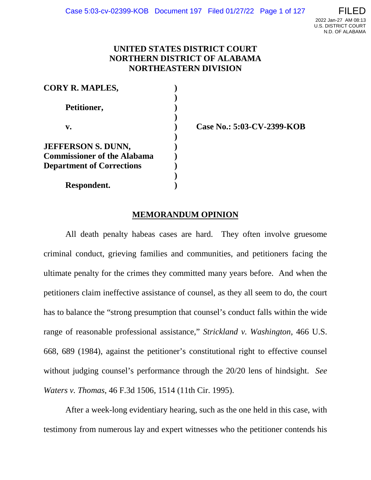# **UNITED STATES DISTRICT COURT NORTHERN DISTRICT OF ALABAMA NORTHEASTERN DIVISION**

| <b>CORY R. MAPLES,</b>             |  |
|------------------------------------|--|
|                                    |  |
| Petitioner,                        |  |
|                                    |  |
| v.                                 |  |
|                                    |  |
| <b>JEFFERSON S. DUNN,</b>          |  |
| <b>Commissioner of the Alabama</b> |  |
| <b>Department of Corrections</b>   |  |
|                                    |  |
| Respondent.                        |  |

**v. ) Case No.: 5:03-CV-2399-KOB**

# **MEMORANDUM OPINION**

All death penalty habeas cases are hard. They often involve gruesome criminal conduct, grieving families and communities, and petitioners facing the ultimate penalty for the crimes they committed many years before. And when the petitioners claim ineffective assistance of counsel, as they all seem to do, the court has to balance the "strong presumption that counsel's conduct falls within the wide range of reasonable professional assistance," *Strickland v. Washington*, 466 U.S. 668, 689 (1984), against the petitioner's constitutional right to effective counsel without judging counsel's performance through the 20/20 lens of hindsight. *See Waters v. Thomas*, 46 F.3d 1506, 1514 (11th Cir. 1995).

After a week-long evidentiary hearing, such as the one held in this case, with testimony from numerous lay and expert witnesses who the petitioner contends his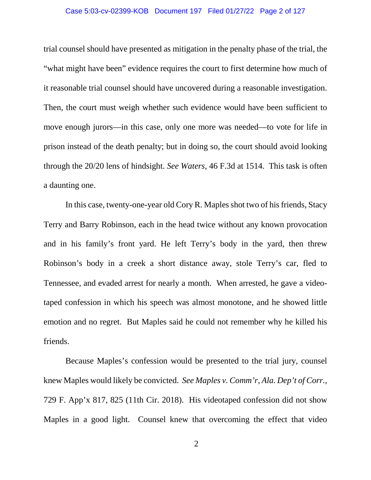#### Case 5:03-cv-02399-KOB Document 197 Filed 01/27/22 Page 2 of 127

trial counsel should have presented as mitigation in the penalty phase of the trial, the "what might have been" evidence requires the court to first determine how much of it reasonable trial counsel should have uncovered during a reasonable investigation. Then, the court must weigh whether such evidence would have been sufficient to move enough jurors—in this case, only one more was needed—to vote for life in prison instead of the death penalty; but in doing so, the court should avoid looking through the 20/20 lens of hindsight. *See Waters*, 46 F.3d at 1514. This task is often a daunting one.

In this case, twenty-one-year old Cory R. Maples shot two of his friends, Stacy Terry and Barry Robinson, each in the head twice without any known provocation and in his family's front yard. He left Terry's body in the yard, then threw Robinson's body in a creek a short distance away, stole Terry's car, fled to Tennessee, and evaded arrest for nearly a month. When arrested, he gave a videotaped confession in which his speech was almost monotone, and he showed little emotion and no regret. But Maples said he could not remember why he killed his friends.

Because Maples's confession would be presented to the trial jury, counsel knew Maples would likely be convicted. *See Maples v. Comm'r, Ala. Dep't of Corr.*, 729 F. App'x 817, 825 (11th Cir. 2018). His videotaped confession did not show Maples in a good light. Counsel knew that overcoming the effect that video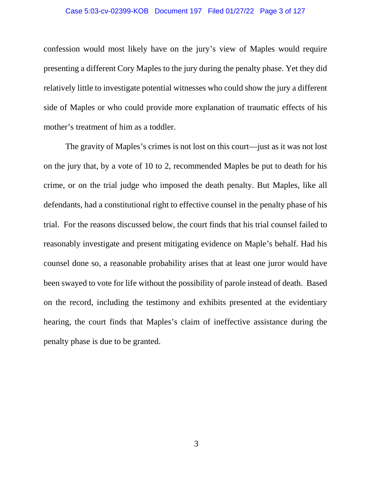confession would most likely have on the jury's view of Maples would require presenting a different Cory Maples to the jury during the penalty phase. Yet they did relatively little to investigate potential witnesses who could show the jury a different side of Maples or who could provide more explanation of traumatic effects of his mother's treatment of him as a toddler.

The gravity of Maples's crimes is not lost on this court—just as it was not lost on the jury that, by a vote of 10 to 2, recommended Maples be put to death for his crime, or on the trial judge who imposed the death penalty. But Maples, like all defendants, had a constitutional right to effective counsel in the penalty phase of his trial. For the reasons discussed below, the court finds that his trial counsel failed to reasonably investigate and present mitigating evidence on Maple's behalf. Had his counsel done so, a reasonable probability arises that at least one juror would have been swayed to vote for life without the possibility of parole instead of death. Based on the record, including the testimony and exhibits presented at the evidentiary hearing, the court finds that Maples's claim of ineffective assistance during the penalty phase is due to be granted.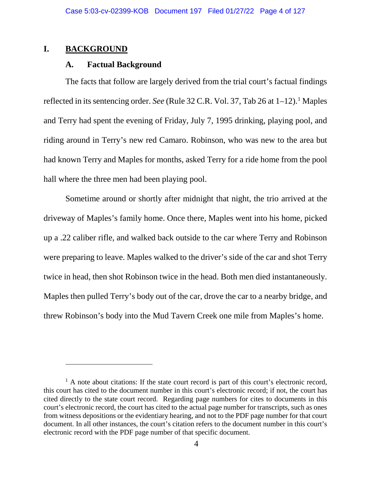# **I. BACKGROUND**

 $\overline{a}$ 

## **A. Factual Background**

The facts that follow are largely derived from the trial court's factual findings reflected in its sentencing order. *See* (Rule 32 C.R. Vol. 37, Tab 26 at  $1-12$  $1-12$ ).<sup>1</sup> Maples and Terry had spent the evening of Friday, July 7, 1995 drinking, playing pool, and riding around in Terry's new red Camaro. Robinson, who was new to the area but had known Terry and Maples for months, asked Terry for a ride home from the pool hall where the three men had been playing pool.

Sometime around or shortly after midnight that night, the trio arrived at the driveway of Maples's family home. Once there, Maples went into his home, picked up a .22 caliber rifle, and walked back outside to the car where Terry and Robinson were preparing to leave. Maples walked to the driver's side of the car and shot Terry twice in head, then shot Robinson twice in the head. Both men died instantaneously. Maples then pulled Terry's body out of the car, drove the car to a nearby bridge, and threw Robinson's body into the Mud Tavern Creek one mile from Maples's home.

<span id="page-3-0"></span> $<sup>1</sup>$  A note about citations: If the state court record is part of this court's electronic record,</sup> this court has cited to the document number in this court's electronic record; if not, the court has cited directly to the state court record. Regarding page numbers for cites to documents in this court's electronic record, the court has cited to the actual page number for transcripts, such as ones from witness depositions or the evidentiary hearing, and not to the PDF page number for that court document. In all other instances, the court's citation refers to the document number in this court's electronic record with the PDF page number of that specific document.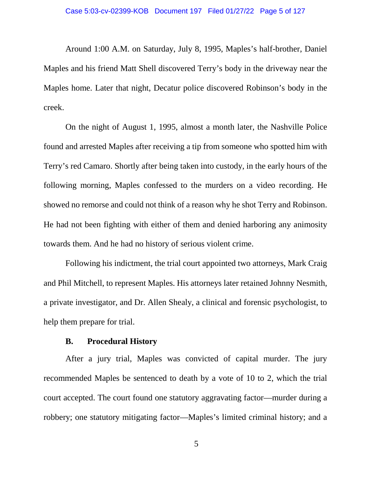Around 1:00 A.M. on Saturday, July 8, 1995, Maples's half-brother, Daniel Maples and his friend Matt Shell discovered Terry's body in the driveway near the Maples home. Later that night, Decatur police discovered Robinson's body in the creek.

On the night of August 1, 1995, almost a month later, the Nashville Police found and arrested Maples after receiving a tip from someone who spotted him with Terry's red Camaro. Shortly after being taken into custody, in the early hours of the following morning, Maples confessed to the murders on a video recording. He showed no remorse and could not think of a reason why he shot Terry and Robinson. He had not been fighting with either of them and denied harboring any animosity towards them. And he had no history of serious violent crime.

Following his indictment, the trial court appointed two attorneys, Mark Craig and Phil Mitchell, to represent Maples. His attorneys later retained Johnny Nesmith, a private investigator, and Dr. Allen Shealy, a clinical and forensic psychologist, to help them prepare for trial.

## **B. Procedural History**

After a jury trial, Maples was convicted of capital murder. The jury recommended Maples be sentenced to death by a vote of 10 to 2, which the trial court accepted. The court found one statutory aggravating factor—murder during a robbery; one statutory mitigating factor—Maples's limited criminal history; and a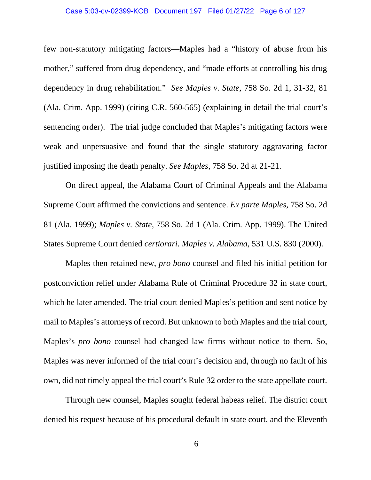### Case 5:03-cv-02399-KOB Document 197 Filed 01/27/22 Page 6 of 127

few non-statutory mitigating factors—Maples had a "history of abuse from his mother," suffered from drug dependency, and "made efforts at controlling his drug dependency in drug rehabilitation." *See Maples v. State*, 758 So. 2d 1, 31-32, 81 (Ala. Crim. App. 1999) (citing C.R. 560-565) (explaining in detail the trial court's sentencing order). The trial judge concluded that Maples's mitigating factors were weak and unpersuasive and found that the single statutory aggravating factor justified imposing the death penalty. *See Maples*, 758 So. 2d at 21-21.

On direct appeal, the Alabama Court of Criminal Appeals and the Alabama Supreme Court affirmed the convictions and sentence. *Ex parte Maples*, 758 So. 2d 81 (Ala. 1999); *Maples v. State*, 758 So. 2d 1 (Ala. Crim. App. 1999). The United States Supreme Court denied *certiorari*. *Maples v. Alabama*, 531 U.S. 830 (2000).

Maples then retained new, *pro bono* counsel and filed his initial petition for postconviction relief under Alabama Rule of Criminal Procedure 32 in state court, which he later amended. The trial court denied Maples's petition and sent notice by mail to Maples's attorneys of record. But unknown to both Maples and the trial court, Maples's *pro bono* counsel had changed law firms without notice to them. So, Maples was never informed of the trial court's decision and, through no fault of his own, did not timely appeal the trial court's Rule 32 order to the state appellate court.

Through new counsel, Maples sought federal habeas relief. The district court denied his request because of his procedural default in state court, and the Eleventh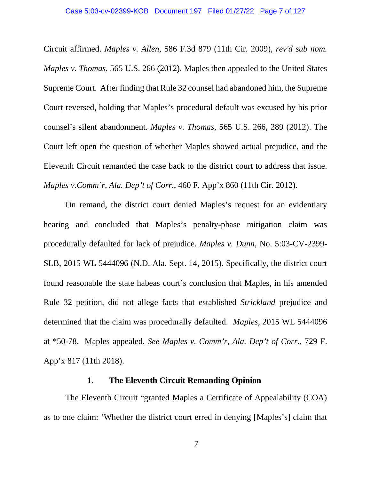Circuit affirmed. *Maples v. Allen*, 586 F.3d 879 (11th Cir. 2009), *rev'd sub nom. Maples v. Thomas*, 565 U.S. 266 (2012). Maples then appealed to the United States Supreme Court. After finding that Rule 32 counsel had abandoned him, the Supreme Court reversed, holding that Maples's procedural default was excused by his prior counsel's silent abandonment. *Maples v. Thomas*, 565 U.S. 266, 289 (2012). The Court left open the question of whether Maples showed actual prejudice, and the Eleventh Circuit remanded the case back to the district court to address that issue. *Maples v.Comm'r, Ala. Dep't of Corr.*, 460 F. App'x 860 (11th Cir. 2012).

On remand, the district court denied Maples's request for an evidentiary hearing and concluded that Maples's penalty-phase mitigation claim was procedurally defaulted for lack of prejudice. *Maples v. Dunn*, No. 5:03-CV-2399- SLB, 2015 WL 5444096 (N.D. Ala. Sept. 14, 2015). Specifically, the district court found reasonable the state habeas court's conclusion that Maples, in his amended Rule 32 petition, did not allege facts that established *Strickland* prejudice and determined that the claim was procedurally defaulted. *Maples*, 2015 WL 5444096 at \*50-78. Maples appealed. *See Maples v. Comm'r, Ala. Dep't of Corr.*, 729 F. App'x 817 (11th 2018).

## **1. The Eleventh Circuit Remanding Opinion**

The Eleventh Circuit "granted Maples a Certificate of Appealability (COA) as to one claim: 'Whether the district court erred in denying [Maples's] claim that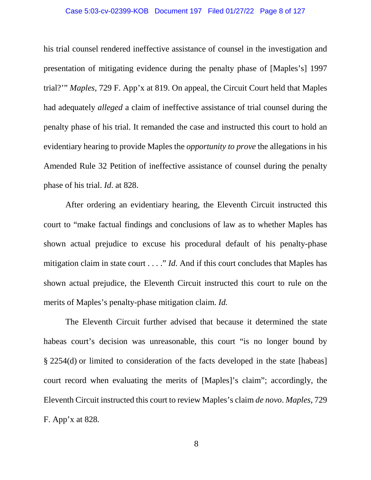### Case 5:03-cv-02399-KOB Document 197 Filed 01/27/22 Page 8 of 127

his trial counsel rendered ineffective assistance of counsel in the investigation and presentation of mitigating evidence during the penalty phase of [Maples's] 1997 trial?'" *Maples*, 729 F. App'x at 819. On appeal, the Circuit Court held that Maples had adequately *alleged* a claim of ineffective assistance of trial counsel during the penalty phase of his trial. It remanded the case and instructed this court to hold an evidentiary hearing to provide Maples the *opportunity to prove* the allegations in his Amended Rule 32 Petition of ineffective assistance of counsel during the penalty phase of his trial. *Id*. at 828.

After ordering an evidentiary hearing, the Eleventh Circuit instructed this court to "make factual findings and conclusions of law as to whether Maples has shown actual prejudice to excuse his procedural default of his penalty-phase mitigation claim in state court . . . ." *Id*. And if this court concludes that Maples has shown actual prejudice, the Eleventh Circuit instructed this court to rule on the merits of Maples's penalty-phase mitigation claim. *Id.*

The Eleventh Circuit further advised that because it determined the state habeas court's decision was unreasonable, this court "is no longer bound by § 2254(d) or limited to consideration of the facts developed in the state [habeas] court record when evaluating the merits of [Maples]'s claim"; accordingly, the Eleventh Circuit instructed this court to review Maples's claim *de novo*. *Maples*, 729 F. App'x at 828*.*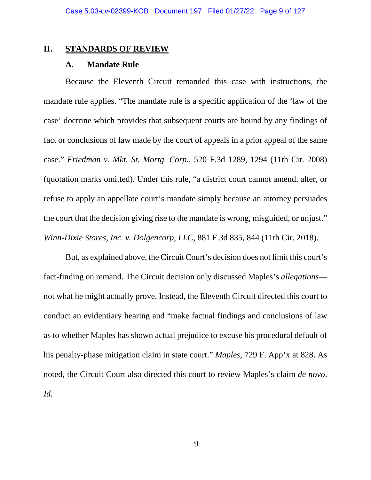## **II. STANDARDS OF REVIEW**

## **A. Mandate Rule**

Because the Eleventh Circuit remanded this case with instructions, the mandate rule applies. "The mandate rule is a specific application of the 'law of the case' doctrine which provides that subsequent courts are bound by any findings of fact or conclusions of law made by the court of appeals in a prior appeal of the same case." *Friedman v. Mkt. St. Mortg. Corp.*, 520 F.3d 1289, 1294 (11th Cir. 2008) (quotation marks omitted). Under this rule, "a district court cannot amend, alter, or refuse to apply an appellate court's mandate simply because an attorney persuades the court that the decision giving rise to the mandate is wrong, misguided, or unjust." *Winn-Dixie Stores, Inc. v. Dolgencorp, LLC*, 881 F.3d 835, 844 (11th Cir. 2018).

But, as explained above, the Circuit Court's decision does not limit this court's fact-finding on remand. The Circuit decision only discussed Maples's *allegations* not what he might actually prove. Instead, the Eleventh Circuit directed this court to conduct an evidentiary hearing and "make factual findings and conclusions of law as to whether Maples has shown actual prejudice to excuse his procedural default of his penalty-phase mitigation claim in state court." *Maples*, 729 F. App'x at 828. As noted, the Circuit Court also directed this court to review Maples's claim *de novo*. *Id.*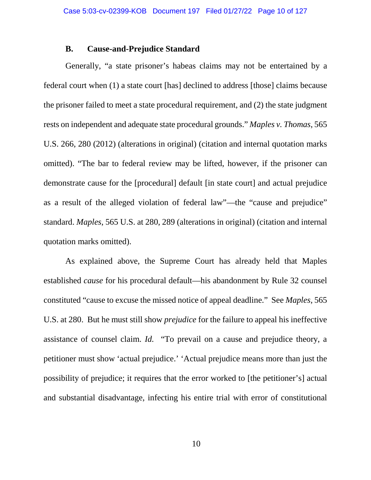## **B. Cause-and-Prejudice Standard**

Generally, "a state prisoner's habeas claims may not be entertained by a federal court when (1) a state court [has] declined to address [those] claims because the prisoner failed to meet a state procedural requirement, and (2) the state judgment rests on independent and adequate state procedural grounds." *Maples v. Thomas*, 565 U.S. 266, 280 (2012) (alterations in original) (citation and internal quotation marks omitted). "The bar to federal review may be lifted, however, if the prisoner can demonstrate cause for the [procedural] default [in state court] and actual prejudice as a result of the alleged violation of federal law"—the "cause and prejudice" standard. *Maples*, 565 U.S. at 280, 289 (alterations in original) (citation and internal quotation marks omitted).

As explained above, the Supreme Court has already held that Maples established *cause* for his procedural default—his abandonment by Rule 32 counsel constituted "cause to excuse the missed notice of appeal deadline." See *Maples*, 565 U.S. at 280. But he must still show *prejudice* for the failure to appeal his ineffective assistance of counsel claim. *Id.* "To prevail on a cause and prejudice theory, a petitioner must show 'actual prejudice.' 'Actual prejudice means more than just the possibility of prejudice; it requires that the error worked to [the petitioner's] actual and substantial disadvantage, infecting his entire trial with error of constitutional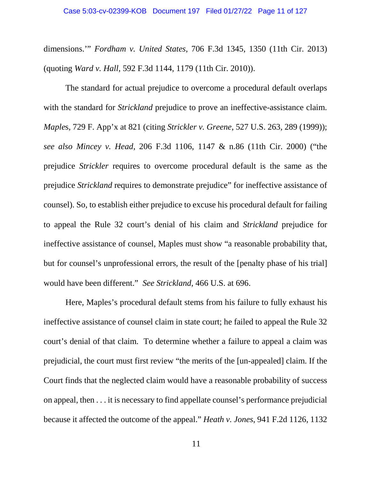dimensions.'" *Fordham v. United States*, 706 F.3d 1345, 1350 (11th Cir. 2013) (quoting *Ward v. Hall*, 592 F.3d 1144, 1179 (11th Cir. 2010)).

The standard for actual prejudice to overcome a procedural default overlaps with the standard for *Strickland* prejudice to prove an ineffective-assistance claim. *Maple*s, 729 F. App'x at 821 (citing *Strickler v. Greene*, 527 U.S. 263, 289 (1999)); *see also Mincey v. Head*, 206 F.3d 1106, 1147 & n.86 (11th Cir. 2000) ("the prejudice *Strickler* requires to overcome procedural default is the same as the prejudice *Strickland* requires to demonstrate prejudice" for ineffective assistance of counsel). So, to establish either prejudice to excuse his procedural default for failing to appeal the Rule 32 court's denial of his claim and *Strickland* prejudice for ineffective assistance of counsel, Maples must show "a reasonable probability that, but for counsel's unprofessional errors, the result of the [penalty phase of his trial] would have been different." *See Strickland*, 466 U.S. at 696.

Here, Maples's procedural default stems from his failure to fully exhaust his ineffective assistance of counsel claim in state court; he failed to appeal the Rule 32 court's denial of that claim. To determine whether a failure to appeal a claim was prejudicial, the court must first review "the merits of the [un-appealed] claim. If the Court finds that the neglected claim would have a reasonable probability of success on appeal, then . . . it is necessary to find appellate counsel's performance prejudicial because it affected the outcome of the appeal." *Heath v. Jones*, 941 F.2d 1126, 1132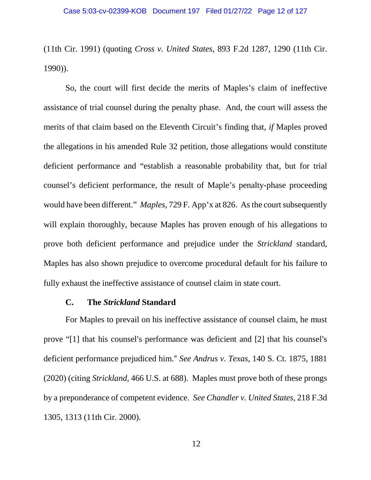(11th Cir. 1991) (quoting *Cross v. United States*, 893 F.2d 1287, 1290 (11th Cir. 1990)).

So, the court will first decide the merits of Maples's claim of ineffective assistance of trial counsel during the penalty phase. And, the court will assess the merits of that claim based on the Eleventh Circuit's finding that, *if* Maples proved the allegations in his amended Rule 32 petition, those allegations would constitute deficient performance and "establish a reasonable probability that, but for trial counsel's deficient performance, the result of Maple's penalty-phase proceeding would have been different." *Maples*, 729 F. App'x at 826. As the court subsequently will explain thoroughly, because Maples has proven enough of his allegations to prove both deficient performance and prejudice under the *Strickland* standard, Maples has also shown prejudice to overcome procedural default for his failure to fully exhaust the ineffective assistance of counsel claim in state court.

## **C. The** *Strickland* **Standard**

For Maples to prevail on his ineffective assistance of counsel claim, he must prove "[1] that his counsel's performance was deficient and  $[2]$  that his counsel's deficient performance prejudiced him.@ *See Andrus v. Texas*, 140 S. Ct. 1875, 1881 (2020) (citing *Strickland*, 466 U.S. at 688). Maples must prove both of these prongs by a preponderance of competent evidence. *See Chandler v. United States*, 218 F.3d 1305, 1313 (11th Cir. 2000).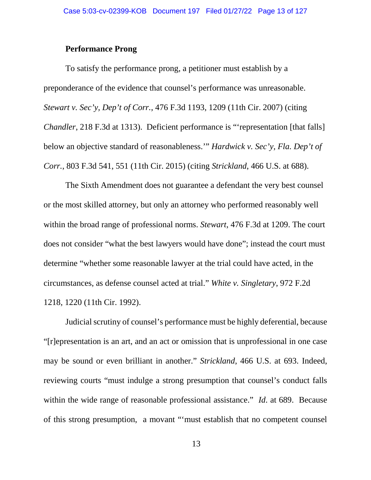# **Performance Prong**

To satisfy the performance prong, a petitioner must establish by a preponderance of the evidence that counsel's performance was unreasonable. *Stewart v. Sec'y, Dep't of Corr.*, 476 F.3d 1193, 1209 (11th Cir. 2007) (citing *Chandler*, 218 F.3d at 1313). Deficient performance is "representation [that falls] below an objective standard of reasonableness.'" *Hardwick v. Sec'y, Fla. Dep't of Corr.*, 803 F.3d 541, 551 (11th Cir. 2015) (citing *Strickland*, 466 U.S. at 688).

The Sixth Amendment does not guarantee a defendant the very best counsel or the most skilled attorney, but only an attorney who performed reasonably well within the broad range of professional norms. *Stewart*, 476 F.3d at 1209. The court does not consider "what the best lawyers would have done"; instead the court must determine "whether some reasonable lawyer at the trial could have acted, in the circumstances, as defense counsel acted at trial." *White v. Singletary*, 972 F.2d 1218, 1220 (11th Cir. 1992).

Judicial scrutiny of counsel's performance must be highly deferential, because "[r]epresentation is an art, and an act or omission that is unprofessional in one case may be sound or even brilliant in another." *Strickland*, 466 U.S. at 693. Indeed, reviewing courts "must indulge a strong presumption that counsel's conduct falls within the wide range of reasonable professional assistance." *Id.* at 689. Because of this strong presumption, a movant "'must establish that no competent counsel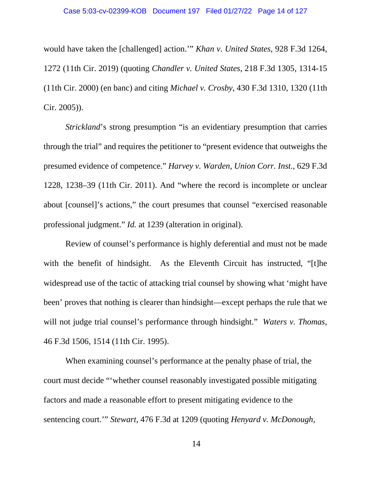would have taken the [challenged] action.'" *Khan v. United States*, 928 F.3d 1264, 1272 (11th Cir. 2019) (quoting *Chandler v. United States*, 218 F.3d 1305, 1314-15 (11th Cir. 2000) (en banc) and citing *Michael v. Crosby*, 430 F.3d 1310, 1320 (11th Cir. 2005)).

*Strickland*'s strong presumption "is an evidentiary presumption that carries through the trial" and requires the petitioner to "present evidence that outweighs the presumed evidence of competence." *Harvey v. Warden, Union Corr. Inst.*, 629 F.3d 1228, 1238–39 (11th Cir. 2011). And "where the record is incomplete or unclear about [counsel]'s actions," the court presumes that counsel "exercised reasonable professional judgment." *Id.* at 1239 (alteration in original).

Review of counsel's performance is highly deferential and must not be made with the benefit of hindsight. As the Eleventh Circuit has instructed, "[t]he widespread use of the tactic of attacking trial counsel by showing what 'might have been' proves that nothing is clearer than hindsight—except perhaps the rule that we will not judge trial counsel's performance through hindsight." *Waters v. Thomas*, 46 F.3d 1506, 1514 (11th Cir. 1995).

When examining counsel's performance at the penalty phase of trial, the court must decide "'whether counsel reasonably investigated possible mitigating factors and made a reasonable effort to present mitigating evidence to the sentencing court.'" *Stewart*, 476 F.3d at 1209 (quoting *Henyard v. McDonough*,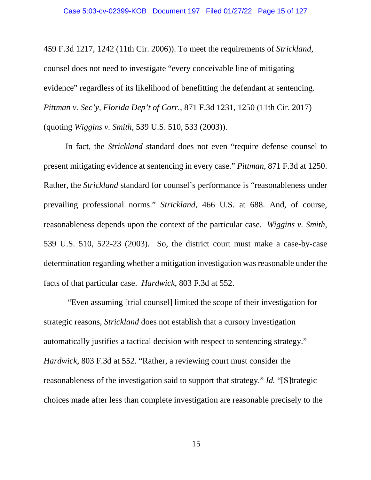459 F.3d 1217, 1242 (11th Cir. 2006)). To meet the requirements of *Strickland*, counsel does not need to investigate "every conceivable line of mitigating evidence" regardless of its likelihood of benefitting the defendant at sentencing. *Pittman v. Sec'y, Florida Dep't of Corr.*, 871 F.3d 1231, 1250 (11th Cir. 2017) (quoting *Wiggins v. Smith*, 539 U.S. 510, 533 (2003)).

In fact, the *Strickland* standard does not even "require defense counsel to present mitigating evidence at sentencing in every case." *Pittman*, 871 F.3d at 1250. Rather, the *Strickland* standard for counsel's performance is "reasonableness under prevailing professional norms." *Strickland*, 466 U.S. at 688. And, of course, reasonableness depends upon the context of the particular case. *Wiggins v. Smith*, 539 U.S. 510, 522-23 (2003). So, the district court must make a case-by-case determination regarding whether a mitigation investigation was reasonable under the facts of that particular case. *Hardwick*, 803 F.3d at 552.

"Even assuming [trial counsel] limited the scope of their investigation for strategic reasons, *Strickland* does not establish that a cursory investigation automatically justifies a tactical decision with respect to sentencing strategy." *Hardwick*, 803 F.3d at 552. "Rather, a reviewing court must consider the reasonableness of the investigation said to support that strategy." *Id.* "[S]trategic choices made after less than complete investigation are reasonable precisely to the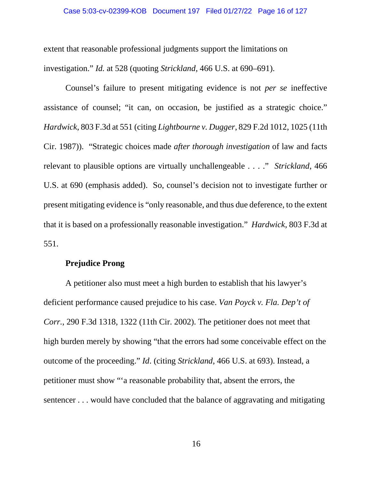extent that reasonable professional judgments support the limitations on investigation." *Id.* at 528 (quoting *Strickland*, 466 U.S. at 690–691).

Counsel's failure to present mitigating evidence is not *per se* ineffective assistance of counsel; "it can, on occasion, be justified as a strategic choice." *Hardwick*, 803 F.3d at 551 (citing *Lightbourne v. Dugger*, 829 F.2d 1012, 1025 (11th Cir. 1987)). "Strategic choices made *after thorough investigation* of law and facts relevant to plausible options are virtually unchallengeable . . . ." *Strickland*, 466 U.S. at 690 (emphasis added). So, counsel's decision not to investigate further or present mitigating evidence is "only reasonable, and thus due deference, to the extent that it is based on a professionally reasonable investigation." *Hardwick*, 803 F.3d at 551.

## **Prejudice Prong**

A petitioner also must meet a high burden to establish that his lawyer's deficient performance caused prejudice to his case. *Van Poyck v. Fla. Dep't of Corr.*, 290 F.3d 1318, 1322 (11th Cir. 2002). The petitioner does not meet that high burden merely by showing "that the errors had some conceivable effect on the outcome of the proceeding." *Id*. (citing *Strickland*, 466 U.S. at 693). Instead, a petitioner must show "'a reasonable probability that, absent the errors, the sentencer . . . would have concluded that the balance of aggravating and mitigating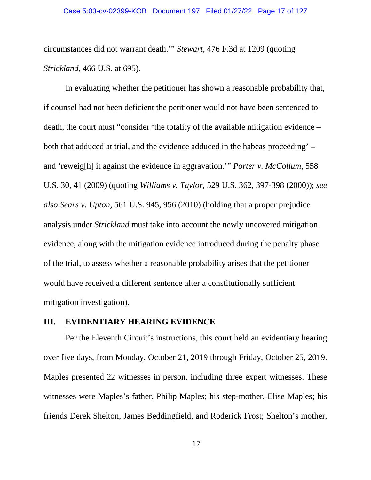circumstances did not warrant death.'" *Stewart*, 476 F.3d at 1209 (quoting *Strickland*, 466 U.S. at 695).

In evaluating whether the petitioner has shown a reasonable probability that, if counsel had not been deficient the petitioner would not have been sentenced to death, the court must "consider 'the totality of the available mitigation evidence – both that adduced at trial, and the evidence adduced in the habeas proceeding' – and 'reweig[h] it against the evidence in aggravation.'" *Porter v. McCollum*, 558 U.S. 30, 41 (2009) (quoting *Williams v. Taylor*, 529 U.S. 362, 397-398 (2000)); *see also Sears v. Upton*, 561 U.S. 945, 956 (2010) (holding that a proper prejudice analysis under *Strickland* must take into account the newly uncovered mitigation evidence, along with the mitigation evidence introduced during the penalty phase of the trial, to assess whether a reasonable probability arises that the petitioner would have received a different sentence after a constitutionally sufficient mitigation investigation).

# **III. EVIDENTIARY HEARING EVIDENCE**

Per the Eleventh Circuit's instructions, this court held an evidentiary hearing over five days, from Monday, October 21, 2019 through Friday, October 25, 2019. Maples presented 22 witnesses in person, including three expert witnesses. These witnesses were Maples's father, Philip Maples; his step-mother, Elise Maples; his friends Derek Shelton, James Beddingfield, and Roderick Frost; Shelton's mother,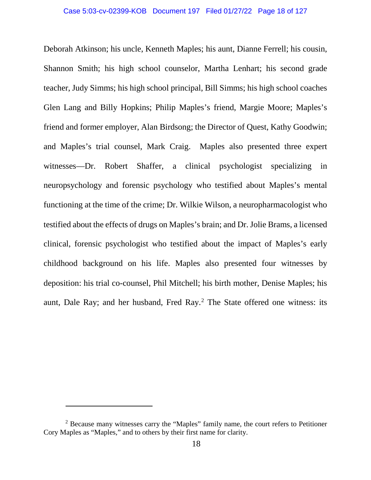Deborah Atkinson; his uncle, Kenneth Maples; his aunt, Dianne Ferrell; his cousin, Shannon Smith; his high school counselor, Martha Lenhart; his second grade teacher, Judy Simms; his high school principal, Bill Simms; his high school coaches Glen Lang and Billy Hopkins; Philip Maples's friend, Margie Moore; Maples's friend and former employer, Alan Birdsong; the Director of Quest, Kathy Goodwin; and Maples's trial counsel, Mark Craig. Maples also presented three expert witnesses—Dr. Robert Shaffer, a clinical psychologist specializing in neuropsychology and forensic psychology who testified about Maples's mental functioning at the time of the crime; Dr. Wilkie Wilson, a neuropharmacologist who testified about the effects of drugs on Maples's brain; and Dr. Jolie Brams, a licensed clinical, forensic psychologist who testified about the impact of Maples's early childhood background on his life. Maples also presented four witnesses by deposition: his trial co-counsel, Phil Mitchell; his birth mother, Denise Maples; his aunt, Dale Ray; and her husband, Fred Ray.<sup>[2](#page-17-0)</sup> The State offered one witness: its

 $\overline{a}$ 

<span id="page-17-0"></span><sup>&</sup>lt;sup>2</sup> Because many witnesses carry the "Maples" family name, the court refers to Petitioner Cory Maples as "Maples," and to others by their first name for clarity.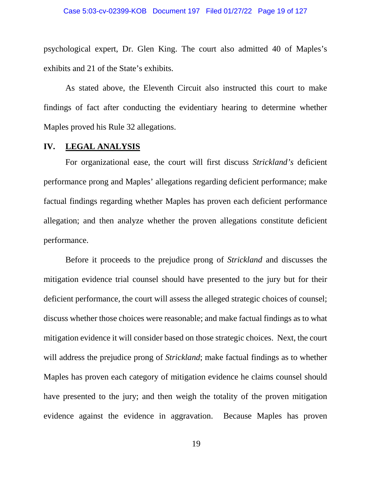psychological expert, Dr. Glen King. The court also admitted 40 of Maples's exhibits and 21 of the State's exhibits.

As stated above, the Eleventh Circuit also instructed this court to make findings of fact after conducting the evidentiary hearing to determine whether Maples proved his Rule 32 allegations.

## **IV. LEGAL ANALYSIS**

For organizational ease, the court will first discuss *Strickland's* deficient performance prong and Maples' allegations regarding deficient performance; make factual findings regarding whether Maples has proven each deficient performance allegation; and then analyze whether the proven allegations constitute deficient performance.

Before it proceeds to the prejudice prong of *Strickland* and discusses the mitigation evidence trial counsel should have presented to the jury but for their deficient performance, the court will assess the alleged strategic choices of counsel; discuss whether those choices were reasonable; and make factual findings as to what mitigation evidence it will consider based on those strategic choices. Next, the court will address the prejudice prong of *Strickland*; make factual findings as to whether Maples has proven each category of mitigation evidence he claims counsel should have presented to the jury; and then weigh the totality of the proven mitigation evidence against the evidence in aggravation. Because Maples has proven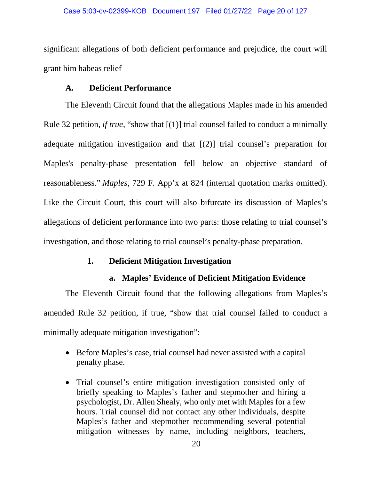significant allegations of both deficient performance and prejudice, the court will grant him habeas relief

# **A. Deficient Performance**

The Eleventh Circuit found that the allegations Maples made in his amended Rule 32 petition, *if true*, "show that [(1)] trial counsel failed to conduct a minimally adequate mitigation investigation and that [(2)] trial counsel's preparation for Maples's penalty-phase presentation fell below an objective standard of reasonableness." *Maples*, 729 F. App'x at 824 (internal quotation marks omitted). Like the Circuit Court, this court will also bifurcate its discussion of Maples's allegations of deficient performance into two parts: those relating to trial counsel's investigation, and those relating to trial counsel's penalty-phase preparation.

# **1. Deficient Mitigation Investigation**

# **a. Maples' Evidence of Deficient Mitigation Evidence**

The Eleventh Circuit found that the following allegations from Maples's amended Rule 32 petition, if true, "show that trial counsel failed to conduct a minimally adequate mitigation investigation":

- Before Maples's case, trial counsel had never assisted with a capital penalty phase.
- Trial counsel's entire mitigation investigation consisted only of briefly speaking to Maples's father and stepmother and hiring a psychologist, Dr. Allen Shealy, who only met with Maples for a few hours. Trial counsel did not contact any other individuals, despite Maples's father and stepmother recommending several potential mitigation witnesses by name, including neighbors, teachers,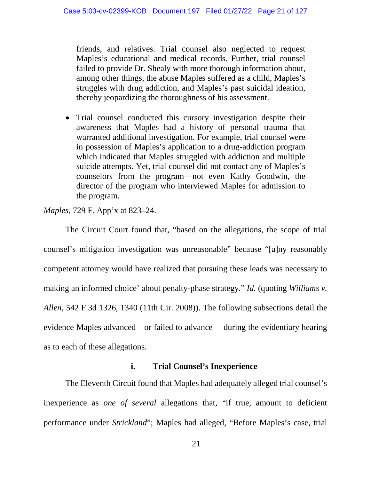friends, and relatives. Trial counsel also neglected to request Maples's educational and medical records. Further, trial counsel failed to provide Dr. Shealy with more thorough information about, among other things, the abuse Maples suffered as a child, Maples's struggles with drug addiction, and Maples's past suicidal ideation, thereby jeopardizing the thoroughness of his assessment.

• Trial counsel conducted this cursory investigation despite their awareness that Maples had a history of personal trauma that warranted additional investigation. For example, trial counsel were in possession of Maples's application to a drug-addiction program which indicated that Maples struggled with addiction and multiple suicide attempts. Yet, trial counsel did not contact any of Maples's counselors from the program—not even Kathy Goodwin, the director of the program who interviewed Maples for admission to the program.

*Maples*, 729 F. App'x at 823–24.

The Circuit Court found that, "based on the allegations, the scope of trial counsel's mitigation investigation was unreasonable" because "[a]ny reasonably competent attorney would have realized that pursuing these leads was necessary to making an informed choice' about penalty-phase strategy." *Id.* (quoting *Williams v. Allen*, 542 F.3d 1326, 1340 (11th Cir. 2008)). The following subsections detail the evidence Maples advanced—or failed to advance— during the evidentiary hearing as to each of these allegations.

# **i. Trial Counsel's Inexperience**

The Eleventh Circuit found that Maples had adequately alleged trial counsel's inexperience as *one of several* allegations that, "if true, amount to deficient performance under *Strickland*"; Maples had alleged, "Before Maples's case, trial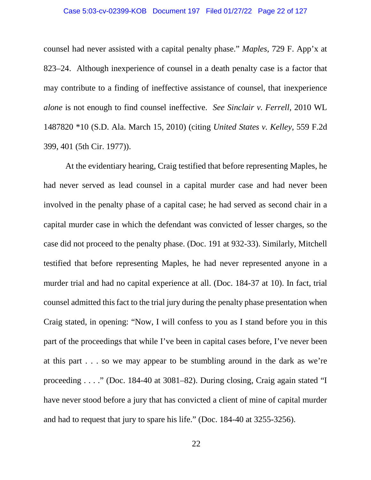### Case 5:03-cv-02399-KOB Document 197 Filed 01/27/22 Page 22 of 127

counsel had never assisted with a capital penalty phase." *Maples*, 729 F. App'x at 823–24. Although inexperience of counsel in a death penalty case is a factor that may contribute to a finding of ineffective assistance of counsel, that inexperience *alone* is not enough to find counsel ineffective. *See Sinclair v. Ferrell*, 2010 WL 1487820 \*10 (S.D. Ala. March 15, 2010) (citing *United States v. Kelley*, 559 F.2d 399, 401 (5th Cir. 1977)).

At the evidentiary hearing, Craig testified that before representing Maples, he had never served as lead counsel in a capital murder case and had never been involved in the penalty phase of a capital case; he had served as second chair in a capital murder case in which the defendant was convicted of lesser charges, so the case did not proceed to the penalty phase. (Doc. 191 at 932-33). Similarly, Mitchell testified that before representing Maples, he had never represented anyone in a murder trial and had no capital experience at all. (Doc. 184-37 at 10). In fact, trial counsel admitted this fact to the trial jury during the penalty phase presentation when Craig stated, in opening: "Now, I will confess to you as I stand before you in this part of the proceedings that while I've been in capital cases before, I've never been at this part . . . so we may appear to be stumbling around in the dark as we're proceeding . . . ." (Doc. 184-40 at 3081–82). During closing, Craig again stated "I have never stood before a jury that has convicted a client of mine of capital murder and had to request that jury to spare his life." (Doc. 184-40 at 3255-3256).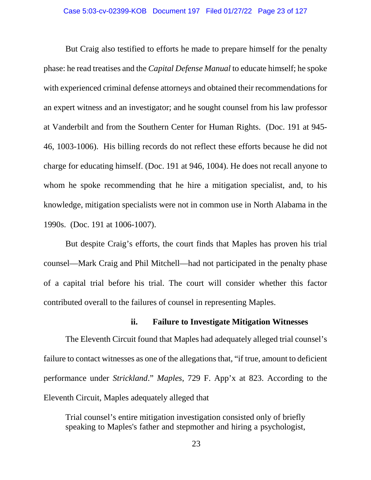But Craig also testified to efforts he made to prepare himself for the penalty phase: he read treatises and the *Capital Defense Manual* to educate himself; he spoke with experienced criminal defense attorneys and obtained their recommendations for an expert witness and an investigator; and he sought counsel from his law professor at Vanderbilt and from the Southern Center for Human Rights. (Doc. 191 at 945- 46, 1003-1006). His billing records do not reflect these efforts because he did not charge for educating himself. (Doc. 191 at 946, 1004). He does not recall anyone to whom he spoke recommending that he hire a mitigation specialist, and, to his knowledge, mitigation specialists were not in common use in North Alabama in the 1990s. (Doc. 191 at 1006-1007).

But despite Craig's efforts, the court finds that Maples has proven his trial counsel—Mark Craig and Phil Mitchell—had not participated in the penalty phase of a capital trial before his trial. The court will consider whether this factor contributed overall to the failures of counsel in representing Maples.

## **ii. Failure to Investigate Mitigation Witnesses**

The Eleventh Circuit found that Maples had adequately alleged trial counsel's failure to contact witnesses as one of the allegations that, "if true, amount to deficient performance under *Strickland*." *Maples*, 729 F. App'x at 823. According to the Eleventh Circuit, Maples adequately alleged that

Trial counsel's entire mitigation investigation consisted only of briefly speaking to Maples's father and stepmother and hiring a psychologist,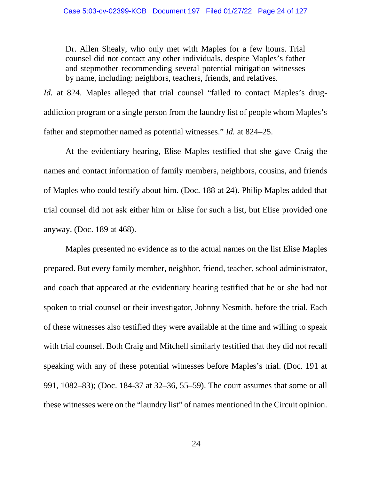Dr. Allen Shealy, who only met with Maples for a few hours. Trial counsel did not contact any other individuals, despite Maples's father and stepmother recommending several potential mitigation witnesses by name, including: neighbors, teachers, friends, and relatives.

*Id.* at 824. Maples alleged that trial counsel "failed to contact Maples's drugaddiction program or a single person from the laundry list of people whom Maples's father and stepmother named as potential witnesses." *Id.* at 824–25.

At the evidentiary hearing, Elise Maples testified that she gave Craig the names and contact information of family members, neighbors, cousins, and friends of Maples who could testify about him. (Doc. 188 at 24). Philip Maples added that trial counsel did not ask either him or Elise for such a list, but Elise provided one anyway. (Doc. 189 at 468).

Maples presented no evidence as to the actual names on the list Elise Maples prepared. But every family member, neighbor, friend, teacher, school administrator, and coach that appeared at the evidentiary hearing testified that he or she had not spoken to trial counsel or their investigator, Johnny Nesmith, before the trial. Each of these witnesses also testified they were available at the time and willing to speak with trial counsel. Both Craig and Mitchell similarly testified that they did not recall speaking with any of these potential witnesses before Maples's trial. (Doc. 191 at 991, 1082–83); (Doc. 184-37 at 32–36, 55–59). The court assumes that some or all these witnesses were on the "laundry list" of names mentioned in the Circuit opinion.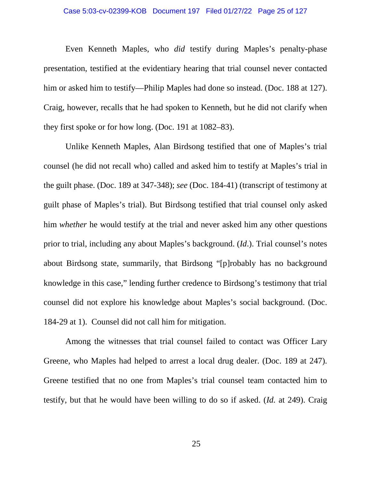### Case 5:03-cv-02399-KOB Document 197 Filed 01/27/22 Page 25 of 127

Even Kenneth Maples, who *did* testify during Maples's penalty-phase presentation, testified at the evidentiary hearing that trial counsel never contacted him or asked him to testify—Philip Maples had done so instead. (Doc. 188 at 127). Craig, however, recalls that he had spoken to Kenneth, but he did not clarify when they first spoke or for how long. (Doc. 191 at 1082–83).

Unlike Kenneth Maples, Alan Birdsong testified that one of Maples's trial counsel (he did not recall who) called and asked him to testify at Maples's trial in the guilt phase. (Doc. 189 at 347-348); *see* (Doc. 184-41) (transcript of testimony at guilt phase of Maples's trial). But Birdsong testified that trial counsel only asked him *whether* he would testify at the trial and never asked him any other questions prior to trial, including any about Maples's background. (*Id*.). Trial counsel's notes about Birdsong state, summarily, that Birdsong "[p]robably has no background knowledge in this case," lending further credence to Birdsong's testimony that trial counsel did not explore his knowledge about Maples's social background. (Doc. 184-29 at 1). Counsel did not call him for mitigation.

Among the witnesses that trial counsel failed to contact was Officer Lary Greene, who Maples had helped to arrest a local drug dealer. (Doc. 189 at 247). Greene testified that no one from Maples's trial counsel team contacted him to testify, but that he would have been willing to do so if asked. (*Id.* at 249). Craig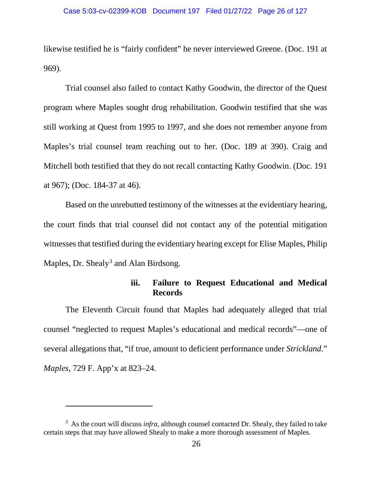likewise testified he is "fairly confident" he never interviewed Greene. (Doc. 191 at 969).

Trial counsel also failed to contact Kathy Goodwin, the director of the Quest program where Maples sought drug rehabilitation. Goodwin testified that she was still working at Quest from 1995 to 1997, and she does not remember anyone from Maples's trial counsel team reaching out to her. (Doc. 189 at 390). Craig and Mitchell both testified that they do not recall contacting Kathy Goodwin. (Doc. 191 at 967); (Doc. 184-37 at 46).

Based on the unrebutted testimony of the witnesses at the evidentiary hearing, the court finds that trial counsel did not contact any of the potential mitigation witnesses that testified during the evidentiary hearing except for Elise Maples, Philip Maples, Dr. Shealy<sup>[3](#page-25-0)</sup> and Alan Birdsong.

# **iii. Failure to Request Educational and Medical Records**

The Eleventh Circuit found that Maples had adequately alleged that trial counsel "neglected to request Maples's educational and medical records"—one of several allegations that, "if true, amount to deficient performance under *Strickland*." *Maples*, 729 F. App'x at 823–24.

 $\overline{a}$ 

<span id="page-25-0"></span><sup>&</sup>lt;sup>3</sup> As the court will discuss *infra*, although counsel contacted Dr. Shealy, they failed to take certain steps that may have allowed Shealy to make a more thorough assessment of Maples.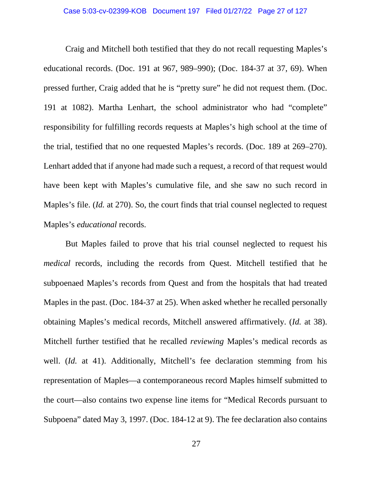### Case 5:03-cv-02399-KOB Document 197 Filed 01/27/22 Page 27 of 127

Craig and Mitchell both testified that they do not recall requesting Maples's educational records. (Doc. 191 at 967, 989–990); (Doc. 184-37 at 37, 69). When pressed further, Craig added that he is "pretty sure" he did not request them. (Doc. 191 at 1082). Martha Lenhart, the school administrator who had "complete" responsibility for fulfilling records requests at Maples's high school at the time of the trial, testified that no one requested Maples's records. (Doc. 189 at 269–270). Lenhart added that if anyone had made such a request, a record of that request would have been kept with Maples's cumulative file, and she saw no such record in Maples's file. (*Id.* at 270). So, the court finds that trial counsel neglected to request Maples's *educational* records.

But Maples failed to prove that his trial counsel neglected to request his *medical* records, including the records from Quest. Mitchell testified that he subpoenaed Maples's records from Quest and from the hospitals that had treated Maples in the past. (Doc. 184-37 at 25). When asked whether he recalled personally obtaining Maples's medical records, Mitchell answered affirmatively. (*Id.* at 38). Mitchell further testified that he recalled *reviewing* Maples's medical records as well. (*Id.* at 41). Additionally, Mitchell's fee declaration stemming from his representation of Maples—a contemporaneous record Maples himself submitted to the court—also contains two expense line items for "Medical Records pursuant to Subpoena" dated May 3, 1997. (Doc. 184-12 at 9). The fee declaration also contains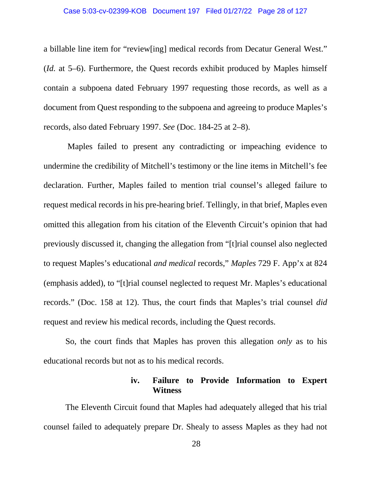### Case 5:03-cv-02399-KOB Document 197 Filed 01/27/22 Page 28 of 127

a billable line item for "review[ing] medical records from Decatur General West." (*Id.* at 5–6). Furthermore, the Quest records exhibit produced by Maples himself contain a subpoena dated February 1997 requesting those records, as well as a document from Quest responding to the subpoena and agreeing to produce Maples's records, also dated February 1997. *See* (Doc. 184-25 at 2–8).

Maples failed to present any contradicting or impeaching evidence to undermine the credibility of Mitchell's testimony or the line items in Mitchell's fee declaration. Further, Maples failed to mention trial counsel's alleged failure to request medical records in his pre-hearing brief. Tellingly, in that brief, Maples even omitted this allegation from his citation of the Eleventh Circuit's opinion that had previously discussed it, changing the allegation from "[t]rial counsel also neglected to request Maples's educational *and medical* records," *Maples* 729 F. App'x at 824 (emphasis added), to "[t]rial counsel neglected to request Mr. Maples's educational records." (Doc. 158 at 12). Thus, the court finds that Maples's trial counsel *did* request and review his medical records, including the Quest records.

So, the court finds that Maples has proven this allegation *only* as to his educational records but not as to his medical records.

# **iv. Failure to Provide Information to Expert Witness**

The Eleventh Circuit found that Maples had adequately alleged that his trial counsel failed to adequately prepare Dr. Shealy to assess Maples as they had not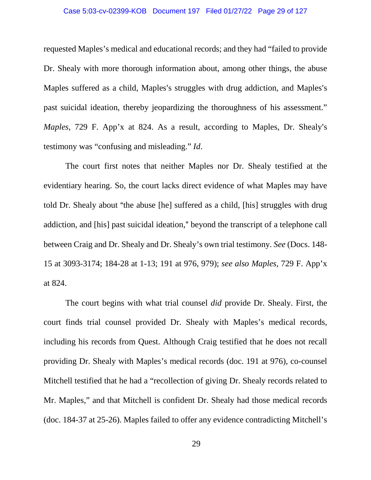### Case 5:03-cv-02399-KOB Document 197 Filed 01/27/22 Page 29 of 127

requested Maples's medical and educational records; and they had "failed to provide Dr. Shealy with more thorough information about, among other things, the abuse Maples suffered as a child, Maples's struggles with drug addiction, and Maples's past suicidal ideation, thereby jeopardizing the thoroughness of his assessment." *Maples*, 729 F. App'x at 824. As a result, according to Maples, Dr. Shealy's testimony was "confusing and misleading." *Id*.

The court first notes that neither Maples nor Dr. Shealy testified at the evidentiary hearing. So, the court lacks direct evidence of what Maples may have told Dr. Shealy about "the abuse [he] suffered as a child, [his] struggles with drug addiction, and [his] past suicidal ideation," beyond the transcript of a telephone call between Craig and Dr. Shealy and Dr. Shealy's own trial testimony. *See* (Docs. 148- 15 at 3093-3174; 184-28 at 1-13; 191 at 976, 979); *see also Maples*, 729 F. App'x at 824.

The court begins with what trial counsel *did* provide Dr. Shealy. First, the court finds trial counsel provided Dr. Shealy with Maples's medical records, including his records from Quest. Although Craig testified that he does not recall providing Dr. Shealy with Maples's medical records (doc. 191 at 976), co-counsel Mitchell testified that he had a "recollection of giving Dr. Shealy records related to Mr. Maples," and that Mitchell is confident Dr. Shealy had those medical records (doc. 184-37 at 25-26). Maples failed to offer any evidence contradicting Mitchell's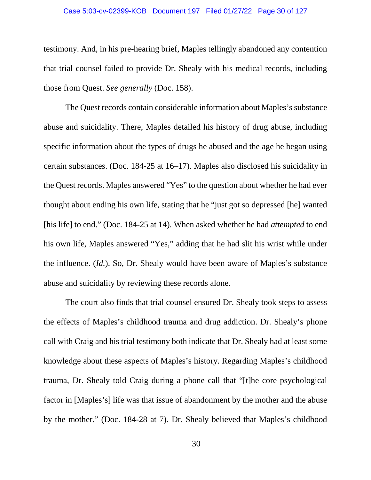### Case 5:03-cv-02399-KOB Document 197 Filed 01/27/22 Page 30 of 127

testimony. And, in his pre-hearing brief, Maples tellingly abandoned any contention that trial counsel failed to provide Dr. Shealy with his medical records, including those from Quest. *See generally* (Doc. 158).

The Quest records contain considerable information about Maples's substance abuse and suicidality. There, Maples detailed his history of drug abuse, including specific information about the types of drugs he abused and the age he began using certain substances. (Doc. 184-25 at 16–17). Maples also disclosed his suicidality in the Quest records. Maples answered "Yes" to the question about whether he had ever thought about ending his own life, stating that he "just got so depressed [he] wanted [his life] to end." (Doc. 184-25 at 14). When asked whether he had *attempted* to end his own life, Maples answered "Yes," adding that he had slit his wrist while under the influence. (*Id.*). So, Dr. Shealy would have been aware of Maples's substance abuse and suicidality by reviewing these records alone.

The court also finds that trial counsel ensured Dr. Shealy took steps to assess the effects of Maples's childhood trauma and drug addiction. Dr. Shealy's phone call with Craig and his trial testimony both indicate that Dr. Shealy had at least some knowledge about these aspects of Maples's history. Regarding Maples's childhood trauma, Dr. Shealy told Craig during a phone call that "[t]he core psychological factor in [Maples's] life was that issue of abandonment by the mother and the abuse by the mother." (Doc. 184-28 at 7). Dr. Shealy believed that Maples's childhood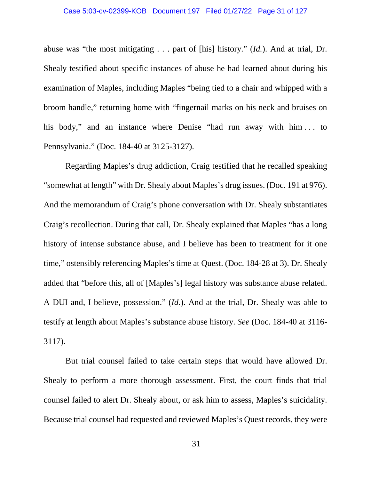### Case 5:03-cv-02399-KOB Document 197 Filed 01/27/22 Page 31 of 127

abuse was "the most mitigating . . . part of [his] history." (*Id.*). And at trial, Dr. Shealy testified about specific instances of abuse he had learned about during his examination of Maples, including Maples "being tied to a chair and whipped with a broom handle," returning home with "fingernail marks on his neck and bruises on his body," and an instance where Denise "had run away with him ... to Pennsylvania." (Doc. 184-40 at 3125-3127).

Regarding Maples's drug addiction, Craig testified that he recalled speaking "somewhat at length" with Dr. Shealy about Maples's drug issues. (Doc. 191 at 976). And the memorandum of Craig's phone conversation with Dr. Shealy substantiates Craig's recollection. During that call, Dr. Shealy explained that Maples "has a long history of intense substance abuse, and I believe has been to treatment for it one time," ostensibly referencing Maples's time at Quest. (Doc. 184-28 at 3). Dr. Shealy added that "before this, all of [Maples's] legal history was substance abuse related. A DUI and, I believe, possession." (*Id.*). And at the trial, Dr. Shealy was able to testify at length about Maples's substance abuse history. *See* (Doc. 184-40 at 3116- 3117).

But trial counsel failed to take certain steps that would have allowed Dr. Shealy to perform a more thorough assessment. First, the court finds that trial counsel failed to alert Dr. Shealy about, or ask him to assess, Maples's suicidality. Because trial counsel had requested and reviewed Maples's Quest records, they were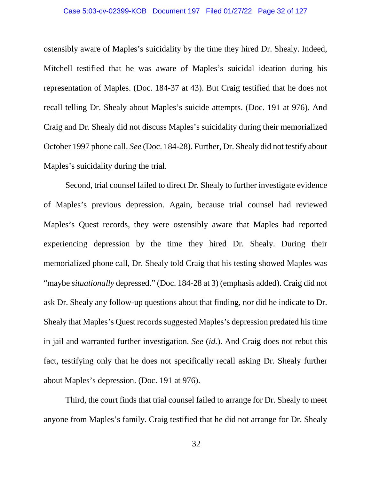### Case 5:03-cv-02399-KOB Document 197 Filed 01/27/22 Page 32 of 127

ostensibly aware of Maples's suicidality by the time they hired Dr. Shealy. Indeed, Mitchell testified that he was aware of Maples's suicidal ideation during his representation of Maples. (Doc. 184-37 at 43). But Craig testified that he does not recall telling Dr. Shealy about Maples's suicide attempts. (Doc. 191 at 976). And Craig and Dr. Shealy did not discuss Maples's suicidality during their memorialized October 1997 phone call. *See* (Doc. 184-28). Further, Dr. Shealy did not testify about Maples's suicidality during the trial.

Second, trial counsel failed to direct Dr. Shealy to further investigate evidence of Maples's previous depression. Again, because trial counsel had reviewed Maples's Quest records, they were ostensibly aware that Maples had reported experiencing depression by the time they hired Dr. Shealy. During their memorialized phone call, Dr. Shealy told Craig that his testing showed Maples was "maybe *situationally* depressed." (Doc. 184-28 at 3) (emphasis added). Craig did not ask Dr. Shealy any follow-up questions about that finding, nor did he indicate to Dr. Shealy that Maples's Quest records suggested Maples's depression predated his time in jail and warranted further investigation. *See* (*id.*). And Craig does not rebut this fact, testifying only that he does not specifically recall asking Dr. Shealy further about Maples's depression. (Doc. 191 at 976).

Third, the court finds that trial counsel failed to arrange for Dr. Shealy to meet anyone from Maples's family. Craig testified that he did not arrange for Dr. Shealy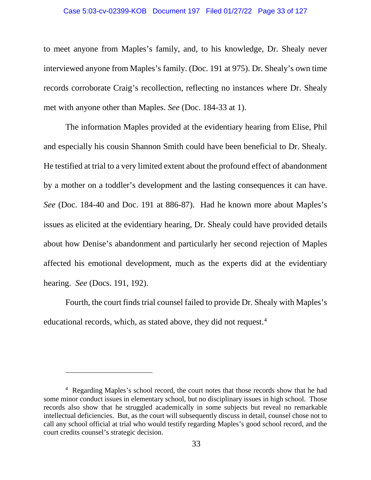### Case 5:03-cv-02399-KOB Document 197 Filed 01/27/22 Page 33 of 127

to meet anyone from Maples's family, and, to his knowledge, Dr. Shealy never interviewed anyone from Maples's family. (Doc. 191 at 975). Dr. Shealy's own time records corroborate Craig's recollection, reflecting no instances where Dr. Shealy met with anyone other than Maples. *See* (Doc. 184-33 at 1).

The information Maples provided at the evidentiary hearing from Elise, Phil and especially his cousin Shannon Smith could have been beneficial to Dr. Shealy. He testified at trial to a very limited extent about the profound effect of abandonment by a mother on a toddler's development and the lasting consequences it can have. *See* (Doc. 184-40 and Doc. 191 at 886-87). Had he known more about Maples's issues as elicited at the evidentiary hearing, Dr. Shealy could have provided details about how Denise's abandonment and particularly her second rejection of Maples affected his emotional development, much as the experts did at the evidentiary hearing. *See* (Docs. 191, 192).

Fourth, the court finds trial counsel failed to provide Dr. Shealy with Maples's educational records, which, as stated above, they did not request.<sup>[4](#page-32-0)</sup>

 $\overline{a}$ 

<span id="page-32-0"></span><sup>&</sup>lt;sup>4</sup> Regarding Maples's school record, the court notes that those records show that he had some minor conduct issues in elementary school, but no disciplinary issues in high school. Those records also show that he struggled academically in some subjects but reveal no remarkable intellectual deficiencies. But, as the court will subsequently discuss in detail, counsel chose not to call any school official at trial who would testify regarding Maples's good school record, and the court credits counsel's strategic decision.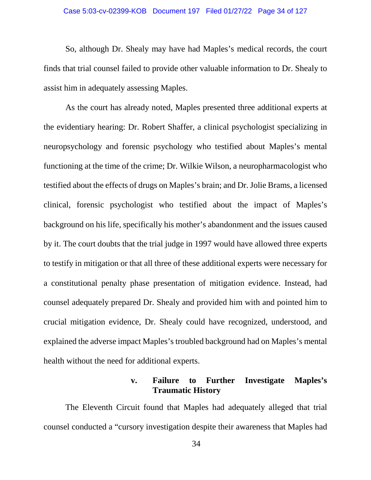### Case 5:03-cv-02399-KOB Document 197 Filed 01/27/22 Page 34 of 127

So, although Dr. Shealy may have had Maples's medical records, the court finds that trial counsel failed to provide other valuable information to Dr. Shealy to assist him in adequately assessing Maples.

As the court has already noted, Maples presented three additional experts at the evidentiary hearing: Dr. Robert Shaffer, a clinical psychologist specializing in neuropsychology and forensic psychology who testified about Maples's mental functioning at the time of the crime; Dr. Wilkie Wilson, a neuropharmacologist who testified about the effects of drugs on Maples's brain; and Dr. Jolie Brams, a licensed clinical, forensic psychologist who testified about the impact of Maples's background on his life, specifically his mother's abandonment and the issues caused by it. The court doubts that the trial judge in 1997 would have allowed three experts to testify in mitigation or that all three of these additional experts were necessary for a constitutional penalty phase presentation of mitigation evidence. Instead, had counsel adequately prepared Dr. Shealy and provided him with and pointed him to crucial mitigation evidence, Dr. Shealy could have recognized, understood, and explained the adverse impact Maples's troubled background had on Maples's mental health without the need for additional experts.

# **v. Failure to Further Investigate Maples's Traumatic History**

The Eleventh Circuit found that Maples had adequately alleged that trial counsel conducted a "cursory investigation despite their awareness that Maples had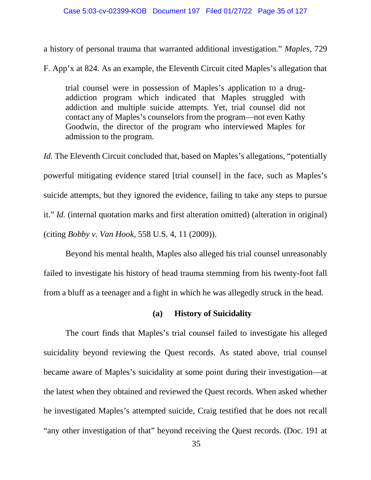### Case 5:03-cv-02399-KOB Document 197 Filed 01/27/22 Page 35 of 127

a history of personal trauma that warranted additional investigation." *Maples*, 729

F. App'x at 824. As an example, the Eleventh Circuit cited Maples's allegation that

trial counsel were in possession of Maples's application to a drugaddiction program which indicated that Maples struggled with addiction and multiple suicide attempts. Yet, trial counsel did not contact any of Maples's counselors from the program—not even Kathy Goodwin, the director of the program who interviewed Maples for admission to the program.

*Id.* The Eleventh Circuit concluded that, based on Maples's allegations, "potentially powerful mitigating evidence stared [trial counsel] in the face, such as Maples's suicide attempts, but they ignored the evidence, failing to take any steps to pursue it." *Id.* (internal quotation marks and first alteration omitted) (alteration in original) (citing *Bobby v. Van Hook*, 558 U.S. 4, 11 (2009)).

Beyond his mental health, Maples also alleged his trial counsel unreasonably failed to investigate his history of head trauma stemming from his twenty-foot fall from a bluff as a teenager and a fight in which he was allegedly struck in the head.

## **(a) History of Suicidality**

The court finds that Maples's trial counsel failed to investigate his alleged suicidality beyond reviewing the Quest records. As stated above, trial counsel became aware of Maples's suicidality at some point during their investigation—at the latest when they obtained and reviewed the Quest records. When asked whether he investigated Maples's attempted suicide, Craig testified that he does not recall "any other investigation of that" beyond receiving the Quest records. (Doc. 191 at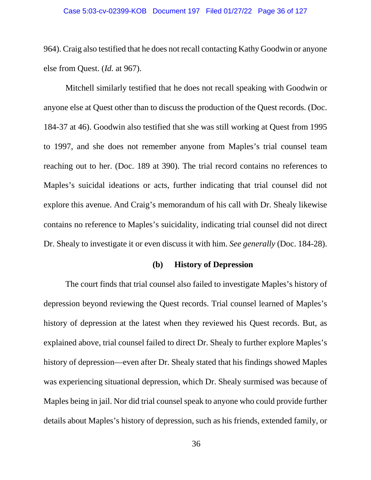### Case 5:03-cv-02399-KOB Document 197 Filed 01/27/22 Page 36 of 127

964). Craig also testified that he does not recall contacting Kathy Goodwin or anyone else from Quest. (*Id.* at 967).

Mitchell similarly testified that he does not recall speaking with Goodwin or anyone else at Quest other than to discuss the production of the Quest records. (Doc. 184-37 at 46). Goodwin also testified that she was still working at Quest from 1995 to 1997, and she does not remember anyone from Maples's trial counsel team reaching out to her. (Doc. 189 at 390). The trial record contains no references to Maples's suicidal ideations or acts, further indicating that trial counsel did not explore this avenue. And Craig's memorandum of his call with Dr. Shealy likewise contains no reference to Maples's suicidality, indicating trial counsel did not direct Dr. Shealy to investigate it or even discuss it with him. *See generally* (Doc. 184-28).

## **(b) History of Depression**

The court finds that trial counsel also failed to investigate Maples's history of depression beyond reviewing the Quest records. Trial counsel learned of Maples's history of depression at the latest when they reviewed his Quest records. But, as explained above, trial counsel failed to direct Dr. Shealy to further explore Maples's history of depression—even after Dr. Shealy stated that his findings showed Maples was experiencing situational depression, which Dr. Shealy surmised was because of Maples being in jail. Nor did trial counsel speak to anyone who could provide further details about Maples's history of depression, such as his friends, extended family, or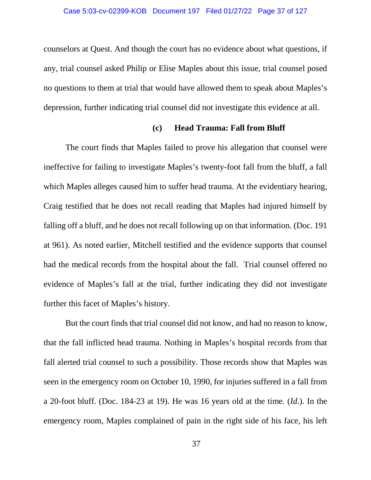counselors at Quest. And though the court has no evidence about what questions, if any, trial counsel asked Philip or Elise Maples about this issue, trial counsel posed no questions to them at trial that would have allowed them to speak about Maples's depression, further indicating trial counsel did not investigate this evidence at all.

# **(c) Head Trauma: Fall from Bluff**

The court finds that Maples failed to prove his allegation that counsel were ineffective for failing to investigate Maples's twenty-foot fall from the bluff, a fall which Maples alleges caused him to suffer head trauma. At the evidentiary hearing, Craig testified that he does not recall reading that Maples had injured himself by falling off a bluff, and he does not recall following up on that information. (Doc. 191 at 961). As noted earlier, Mitchell testified and the evidence supports that counsel had the medical records from the hospital about the fall. Trial counsel offered no evidence of Maples's fall at the trial, further indicating they did not investigate further this facet of Maples's history.

But the court finds that trial counsel did not know, and had no reason to know, that the fall inflicted head trauma. Nothing in Maples's hospital records from that fall alerted trial counsel to such a possibility. Those records show that Maples was seen in the emergency room on October 10, 1990, for injuries suffered in a fall from a 20-foot bluff. (Doc. 184-23 at 19). He was 16 years old at the time. (*Id*.). In the emergency room, Maples complained of pain in the right side of his face, his left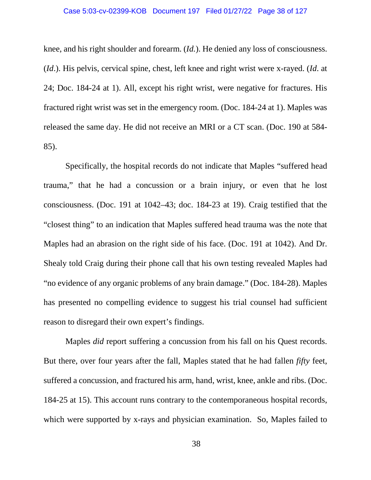### Case 5:03-cv-02399-KOB Document 197 Filed 01/27/22 Page 38 of 127

knee, and his right shoulder and forearm. (*Id.*). He denied any loss of consciousness. (*Id*.). His pelvis, cervical spine, chest, left knee and right wrist were x-rayed. (*Id*. at 24; Doc. 184-24 at 1). All, except his right wrist, were negative for fractures. His fractured right wrist was set in the emergency room. (Doc. 184-24 at 1). Maples was released the same day. He did not receive an MRI or a CT scan. (Doc. 190 at 584- 85).

Specifically, the hospital records do not indicate that Maples "suffered head trauma," that he had a concussion or a brain injury, or even that he lost consciousness. (Doc. 191 at 1042–43; doc. 184-23 at 19). Craig testified that the "closest thing" to an indication that Maples suffered head trauma was the note that Maples had an abrasion on the right side of his face. (Doc. 191 at 1042). And Dr. Shealy told Craig during their phone call that his own testing revealed Maples had "no evidence of any organic problems of any brain damage." (Doc. 184-28). Maples has presented no compelling evidence to suggest his trial counsel had sufficient reason to disregard their own expert's findings.

Maples *did* report suffering a concussion from his fall on his Quest records. But there, over four years after the fall, Maples stated that he had fallen *fifty* feet, suffered a concussion, and fractured his arm, hand, wrist, knee, ankle and ribs. (Doc. 184-25 at 15). This account runs contrary to the contemporaneous hospital records, which were supported by x-rays and physician examination. So, Maples failed to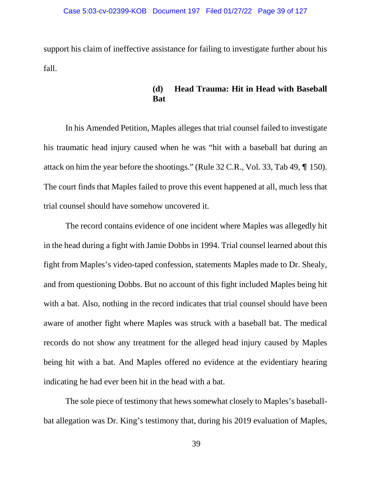support his claim of ineffective assistance for failing to investigate further about his fall.

## **(d) Head Trauma: Hit in Head with Baseball Bat**

In his Amended Petition, Maples alleges that trial counsel failed to investigate his traumatic head injury caused when he was "hit with a baseball bat during an attack on him the year before the shootings." (Rule  $32$  C.R., Vol. 33, Tab 49,  $\P$  150). The court finds that Maples failed to prove this event happened at all, much less that trial counsel should have somehow uncovered it.

The record contains evidence of one incident where Maples was allegedly hit in the head during a fight with Jamie Dobbs in 1994. Trial counsel learned about this fight from Maples's video-taped confession, statements Maples made to Dr. Shealy, and from questioning Dobbs. But no account of this fight included Maples being hit with a bat. Also, nothing in the record indicates that trial counsel should have been aware of another fight where Maples was struck with a baseball bat. The medical records do not show any treatment for the alleged head injury caused by Maples being hit with a bat. And Maples offered no evidence at the evidentiary hearing indicating he had ever been hit in the head with a bat.

The sole piece of testimony that hews somewhat closely to Maples's baseballbat allegation was Dr. King's testimony that, during his 2019 evaluation of Maples,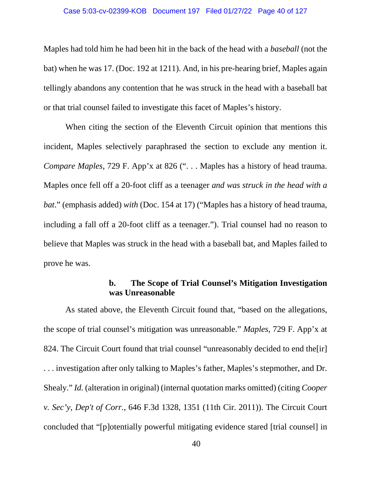### Case 5:03-cv-02399-KOB Document 197 Filed 01/27/22 Page 40 of 127

Maples had told him he had been hit in the back of the head with a *baseball* (not the bat) when he was 17. (Doc. 192 at 1211). And, in his pre-hearing brief, Maples again tellingly abandons any contention that he was struck in the head with a baseball bat or that trial counsel failed to investigate this facet of Maples's history.

When citing the section of the Eleventh Circuit opinion that mentions this incident, Maples selectively paraphrased the section to exclude any mention it. *Compare Maples*, 729 F. App'x at 826 (". . . Maples has a history of head trauma. Maples once fell off a 20-foot cliff as a teenager *and was struck in the head with a bat*." (emphasis added) *with* (Doc. 154 at 17) ("Maples has a history of head trauma, including a fall off a 20-foot cliff as a teenager."). Trial counsel had no reason to believe that Maples was struck in the head with a baseball bat, and Maples failed to prove he was.

# **b. The Scope of Trial Counsel's Mitigation Investigation was Unreasonable**

As stated above, the Eleventh Circuit found that, "based on the allegations, the scope of trial counsel's mitigation was unreasonable." *Maples*, 729 F. App'x at 824. The Circuit Court found that trial counsel "unreasonably decided to end the [ir] . . . investigation after only talking to Maples's father, Maples's stepmother, and Dr. Shealy." *Id.* (alteration in original) (internal quotation marks omitted) (citing *Cooper v. Sec'y, Dep't of Corr.*, 646 F.3d 1328, 1351 (11th Cir. 2011)). The Circuit Court concluded that "[p]otentially powerful mitigating evidence stared [trial counsel] in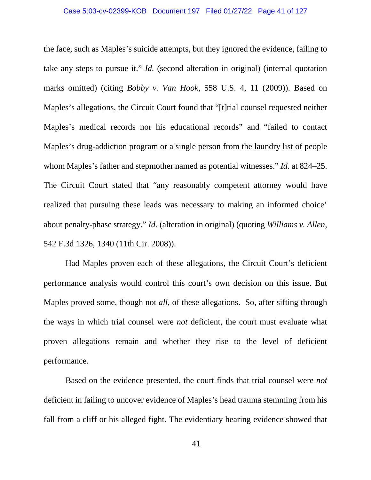## Case 5:03-cv-02399-KOB Document 197 Filed 01/27/22 Page 41 of 127

the face, such as Maples's suicide attempts, but they ignored the evidence, failing to take any steps to pursue it." *Id.* (second alteration in original) (internal quotation marks omitted) (citing *Bobby v. Van Hook*, 558 U.S. 4, 11 (2009)). Based on Maples's allegations, the Circuit Court found that "[t]rial counsel requested neither Maples's medical records nor his educational records" and "failed to contact Maples's drug-addiction program or a single person from the laundry list of people whom Maples's father and stepmother named as potential witnesses." *Id.* at 824–25. The Circuit Court stated that "any reasonably competent attorney would have realized that pursuing these leads was necessary to making an informed choice' about penalty-phase strategy." *Id.* (alteration in original) (quoting *Williams v. Allen*, 542 F.3d 1326, 1340 (11th Cir. 2008)).

Had Maples proven each of these allegations, the Circuit Court's deficient performance analysis would control this court's own decision on this issue. But Maples proved some, though not *all*, of these allegations. So, after sifting through the ways in which trial counsel were *not* deficient, the court must evaluate what proven allegations remain and whether they rise to the level of deficient performance.

Based on the evidence presented, the court finds that trial counsel were *not*  deficient in failing to uncover evidence of Maples's head trauma stemming from his fall from a cliff or his alleged fight. The evidentiary hearing evidence showed that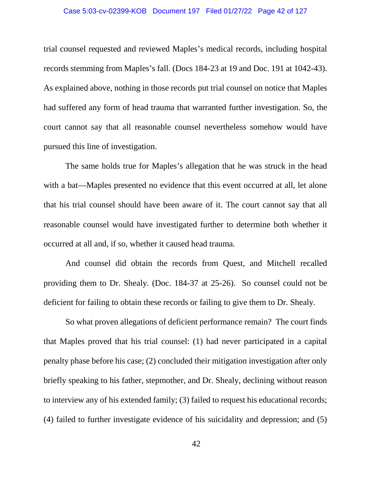### Case 5:03-cv-02399-KOB Document 197 Filed 01/27/22 Page 42 of 127

trial counsel requested and reviewed Maples's medical records, including hospital records stemming from Maples's fall. (Docs 184-23 at 19 and Doc. 191 at 1042-43). As explained above, nothing in those records put trial counsel on notice that Maples had suffered any form of head trauma that warranted further investigation. So, the court cannot say that all reasonable counsel nevertheless somehow would have pursued this line of investigation.

The same holds true for Maples's allegation that he was struck in the head with a bat—Maples presented no evidence that this event occurred at all, let alone that his trial counsel should have been aware of it. The court cannot say that all reasonable counsel would have investigated further to determine both whether it occurred at all and, if so, whether it caused head trauma.

And counsel did obtain the records from Quest, and Mitchell recalled providing them to Dr. Shealy. (Doc. 184-37 at 25-26). So counsel could not be deficient for failing to obtain these records or failing to give them to Dr. Shealy.

So what proven allegations of deficient performance remain? The court finds that Maples proved that his trial counsel: (1) had never participated in a capital penalty phase before his case; (2) concluded their mitigation investigation after only briefly speaking to his father, stepmother, and Dr. Shealy, declining without reason to interview any of his extended family; (3) failed to request his educational records; (4) failed to further investigate evidence of his suicidality and depression; and (5)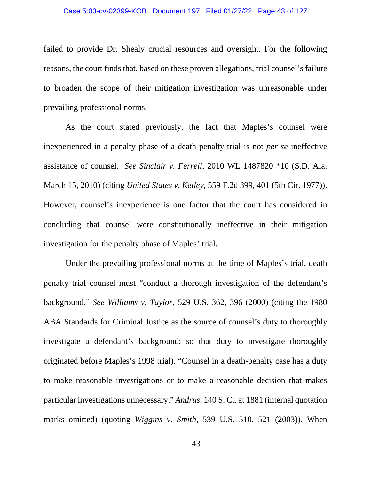### Case 5:03-cv-02399-KOB Document 197 Filed 01/27/22 Page 43 of 127

failed to provide Dr. Shealy crucial resources and oversight. For the following reasons, the court finds that, based on these proven allegations, trial counsel's failure to broaden the scope of their mitigation investigation was unreasonable under prevailing professional norms.

As the court stated previously, the fact that Maples's counsel were inexperienced in a penalty phase of a death penalty trial is not *per se* ineffective assistance of counsel. *See Sinclair v. Ferrell*, 2010 WL 1487820 \*10 (S.D. Ala. March 15, 2010) (citing *United States v. Kelley*, 559 F.2d 399, 401 (5th Cir. 1977)). However, counsel's inexperience is one factor that the court has considered in concluding that counsel were constitutionally ineffective in their mitigation investigation for the penalty phase of Maples' trial.

Under the prevailing professional norms at the time of Maples's trial, death penalty trial counsel must "conduct a thorough investigation of the defendant's background." *See Williams v. Taylor*, 529 U.S. 362, 396 (2000) (citing the 1980 ABA Standards for Criminal Justice as the source of counsel's duty to thoroughly investigate a defendant's background; so that duty to investigate thoroughly originated before Maples's 1998 trial). "Counsel in a death-penalty case has a duty to make reasonable investigations or to make a reasonable decision that makes particular investigations unnecessary." *Andrus*, 140 S. Ct. at 1881 (internal quotation marks omitted) (quoting *Wiggins v. Smith*, 539 U.S. 510, 521 (2003)). When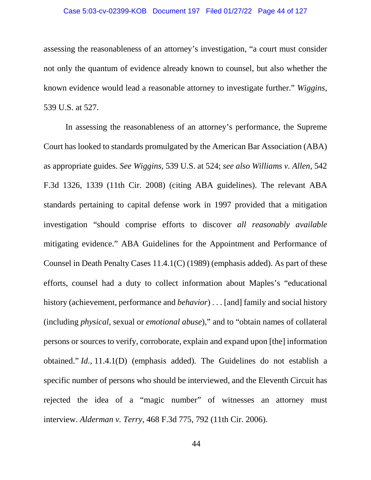## Case 5:03-cv-02399-KOB Document 197 Filed 01/27/22 Page 44 of 127

assessing the reasonableness of an attorney's investigation, "a court must consider not only the quantum of evidence already known to counsel, but also whether the known evidence would lead a reasonable attorney to investigate further." *Wiggins*, 539 U.S. at 527.

In assessing the reasonableness of an attorney's performance, the Supreme Court has looked to standards promulgated by the American Bar Association (ABA) as appropriate guides. *See Wiggins*, 539 U.S. at 524; *see also Williams v. Allen*, 542 F.3d 1326, 1339 (11th Cir. 2008) (citing ABA guidelines). The relevant ABA standards pertaining to capital defense work in 1997 provided that a mitigation investigation "should comprise efforts to discover *all reasonably available* mitigating evidence." ABA Guidelines for the Appointment and Performance of Counsel in Death Penalty Cases 11.4.1(C) (1989) (emphasis added). As part of these efforts, counsel had a duty to collect information about Maples's "educational history (achievement, performance and *behavior*) . . . [and] family and social history (including *physical*, sexual or *emotional abuse*)," and to "obtain names of collateral persons or sources to verify, corroborate, explain and expand upon [the] information obtained." *Id.,* 11.4.1(D) (emphasis added). The Guidelines do not establish a specific number of persons who should be interviewed, and the Eleventh Circuit has rejected the idea of a "magic number" of witnesses an attorney must interview. *Alderman v. Terry,* 468 F.3d 775, 792 (11th Cir. 2006).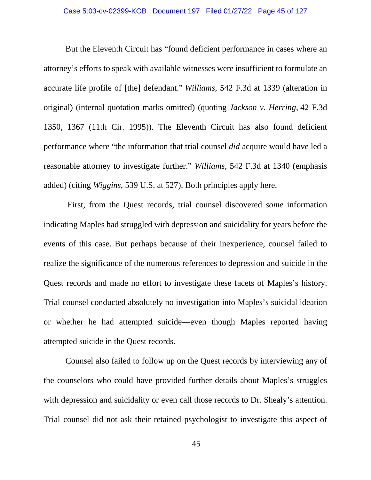### Case 5:03-cv-02399-KOB Document 197 Filed 01/27/22 Page 45 of 127

But the Eleventh Circuit has "found deficient performance in cases where an attorney's efforts to speak with available witnesses were insufficient to formulate an accurate life profile of [the] defendant." *Williams*, 542 F.3d at 1339 (alteration in original) (internal quotation marks omitted) (quoting *Jackson v. Herring*, 42 F.3d 1350, 1367 (11th Cir. 1995)). The Eleventh Circuit has also found deficient performance where "the information that trial counsel *did* acquire would have led a reasonable attorney to investigate further." *Williams*, 542 F.3d at 1340 (emphasis added) (citing *Wiggins*, 539 U.S. at 527). Both principles apply here.

First, from the Quest records, trial counsel discovered *some* information indicating Maples had struggled with depression and suicidality for years before the events of this case. But perhaps because of their inexperience, counsel failed to realize the significance of the numerous references to depression and suicide in the Quest records and made no effort to investigate these facets of Maples's history. Trial counsel conducted absolutely no investigation into Maples's suicidal ideation or whether he had attempted suicide—even though Maples reported having attempted suicide in the Quest records.

Counsel also failed to follow up on the Quest records by interviewing any of the counselors who could have provided further details about Maples's struggles with depression and suicidality or even call those records to Dr. Shealy's attention. Trial counsel did not ask their retained psychologist to investigate this aspect of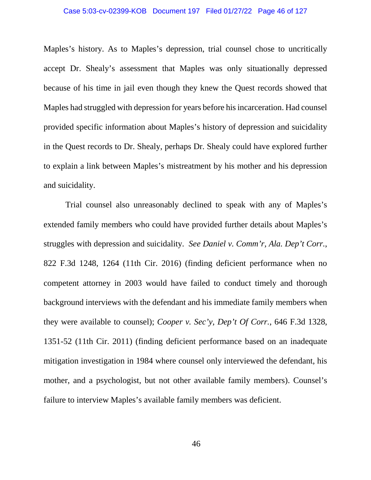### Case 5:03-cv-02399-KOB Document 197 Filed 01/27/22 Page 46 of 127

Maples's history. As to Maples's depression, trial counsel chose to uncritically accept Dr. Shealy's assessment that Maples was only situationally depressed because of his time in jail even though they knew the Quest records showed that Maples had struggled with depression for years before his incarceration. Had counsel provided specific information about Maples's history of depression and suicidality in the Quest records to Dr. Shealy, perhaps Dr. Shealy could have explored further to explain a link between Maples's mistreatment by his mother and his depression and suicidality.

Trial counsel also unreasonably declined to speak with any of Maples's extended family members who could have provided further details about Maples's struggles with depression and suicidality. *See Daniel v. Comm'r, Ala. Dep't Corr.*, 822 F.3d 1248, 1264 (11th Cir. 2016) (finding deficient performance when no competent attorney in 2003 would have failed to conduct timely and thorough background interviews with the defendant and his immediate family members when they were available to counsel); *Cooper v. Sec'y, Dep't Of Corr.*, 646 F.3d 1328, 1351-52 (11th Cir. 2011) (finding deficient performance based on an inadequate mitigation investigation in 1984 where counsel only interviewed the defendant, his mother, and a psychologist, but not other available family members). Counsel's failure to interview Maples's available family members was deficient.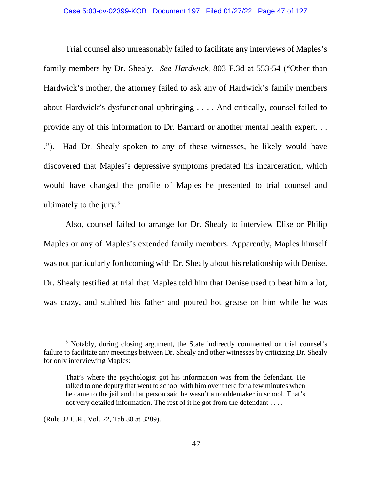Trial counsel also unreasonably failed to facilitate any interviews of Maples's family members by Dr. Shealy. *See Hardwick*, 803 F.3d at 553-54 ("Other than Hardwick's mother, the attorney failed to ask any of Hardwick's family members about Hardwick's dysfunctional upbringing . . . . And critically, counsel failed to provide any of this information to Dr. Barnard or another mental health expert. . . ."). Had Dr. Shealy spoken to any of these witnesses, he likely would have discovered that Maples's depressive symptoms predated his incarceration, which would have changed the profile of Maples he presented to trial counsel and ultimately to the jury. $5$ 

Also, counsel failed to arrange for Dr. Shealy to interview Elise or Philip Maples or any of Maples's extended family members. Apparently, Maples himself was not particularly forthcoming with Dr. Shealy about his relationship with Denise. Dr. Shealy testified at trial that Maples told him that Denise used to beat him a lot, was crazy, and stabbed his father and poured hot grease on him while he was

 $\overline{a}$ 

<span id="page-46-0"></span><sup>5</sup> Notably, during closing argument, the State indirectly commented on trial counsel's failure to facilitate any meetings between Dr. Shealy and other witnesses by criticizing Dr. Shealy for only interviewing Maples:

That's where the psychologist got his information was from the defendant. He talked to one deputy that went to school with him over there for a few minutes when he came to the jail and that person said he wasn't a troublemaker in school. That's not very detailed information. The rest of it he got from the defendant . . . .

<sup>(</sup>Rule 32 C.R., Vol. 22, Tab 30 at 3289).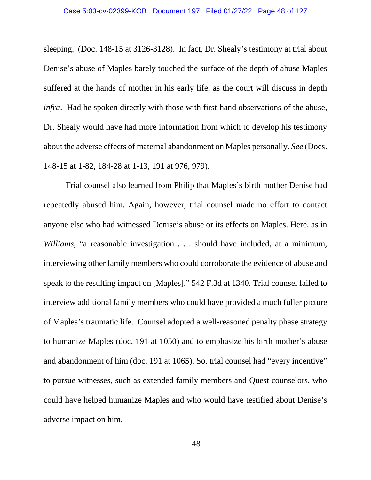sleeping. (Doc. 148-15 at 3126-3128). In fact, Dr. Shealy's testimony at trial about Denise's abuse of Maples barely touched the surface of the depth of abuse Maples suffered at the hands of mother in his early life, as the court will discuss in depth *infra*. Had he spoken directly with those with first-hand observations of the abuse, Dr. Shealy would have had more information from which to develop his testimony about the adverse effects of maternal abandonment on Maples personally. *See* (Docs. 148-15 at 1-82, 184-28 at 1-13, 191 at 976, 979).

Trial counsel also learned from Philip that Maples's birth mother Denise had repeatedly abused him. Again, however, trial counsel made no effort to contact anyone else who had witnessed Denise's abuse or its effects on Maples. Here, as in *Williams*, "a reasonable investigation . . . should have included, at a minimum, interviewing other family members who could corroborate the evidence of abuse and speak to the resulting impact on [Maples]." 542 F.3d at 1340. Trial counsel failed to interview additional family members who could have provided a much fuller picture of Maples's traumatic life. Counsel adopted a well-reasoned penalty phase strategy to humanize Maples (doc. 191 at 1050) and to emphasize his birth mother's abuse and abandonment of him (doc. 191 at 1065). So, trial counsel had "every incentive" to pursue witnesses, such as extended family members and Quest counselors, who could have helped humanize Maples and who would have testified about Denise's adverse impact on him.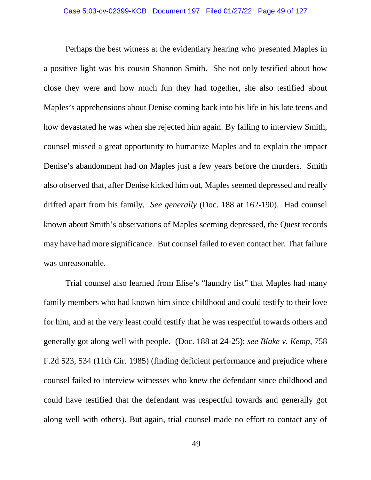## Case 5:03-cv-02399-KOB Document 197 Filed 01/27/22 Page 49 of 127

Perhaps the best witness at the evidentiary hearing who presented Maples in a positive light was his cousin Shannon Smith. She not only testified about how close they were and how much fun they had together, she also testified about Maples's apprehensions about Denise coming back into his life in his late teens and how devastated he was when she rejected him again. By failing to interview Smith, counsel missed a great opportunity to humanize Maples and to explain the impact Denise's abandonment had on Maples just a few years before the murders. Smith also observed that, after Denise kicked him out, Maples seemed depressed and really drifted apart from his family. *See generally* (Doc. 188 at 162-190). Had counsel known about Smith's observations of Maples seeming depressed, the Quest records may have had more significance. But counsel failed to even contact her. That failure was unreasonable.

Trial counsel also learned from Elise's "laundry list" that Maples had many family members who had known him since childhood and could testify to their love for him, and at the very least could testify that he was respectful towards others and generally got along well with people. (Doc. 188 at 24-25); *see Blake v. Kemp*, 758 F.2d 523, 534 (11th Cir. 1985) (finding deficient performance and prejudice where counsel failed to interview witnesses who knew the defendant since childhood and could have testified that the defendant was respectful towards and generally got along well with others). But again, trial counsel made no effort to contact any of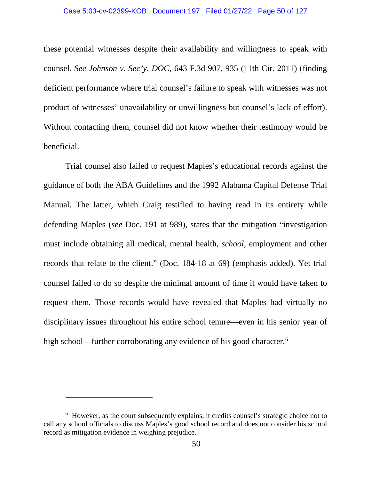### Case 5:03-cv-02399-KOB Document 197 Filed 01/27/22 Page 50 of 127

these potential witnesses despite their availability and willingness to speak with counsel. *See Johnson v. Sec'y, DOC*, 643 F.3d 907, 935 (11th Cir. 2011) (finding deficient performance where trial counsel's failure to speak with witnesses was not product of witnesses' unavailability or unwillingness but counsel's lack of effort). Without contacting them, counsel did not know whether their testimony would be beneficial.

Trial counsel also failed to request Maples's educational records against the guidance of both the ABA Guidelines and the 1992 Alabama Capital Defense Trial Manual. The latter, which Craig testified to having read in its entirety while defending Maples (*see* Doc. 191 at 989), states that the mitigation "investigation must include obtaining all medical, mental health, *school*, employment and other records that relate to the client." (Doc. 184-18 at 69) (emphasis added). Yet trial counsel failed to do so despite the minimal amount of time it would have taken to request them. Those records would have revealed that Maples had virtually no disciplinary issues throughout his entire school tenure—even in his senior year of high school—further corroborating any evidence of his good character.<sup>[6](#page-49-0)</sup>

 $\overline{a}$ 

<span id="page-49-0"></span><sup>&</sup>lt;sup>6</sup> However, as the court subsequently explains, it credits counsel's strategic choice not to call any school officials to discuss Maples's good school record and does not consider his school record as mitigation evidence in weighing prejudice.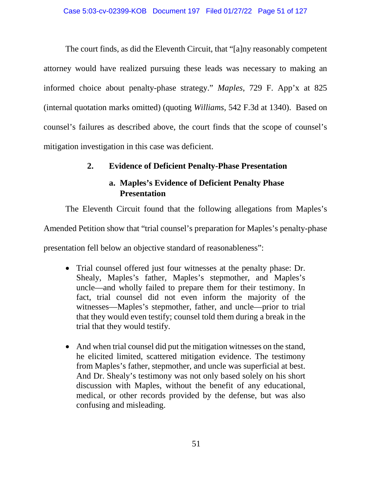The court finds, as did the Eleventh Circuit, that "[a]ny reasonably competent attorney would have realized pursuing these leads was necessary to making an informed choice about penalty-phase strategy." *Maples*, 729 F. App'x at 825 (internal quotation marks omitted) (quoting *Williams*, 542 F.3d at 1340).Based on counsel's failures as described above, the court finds that the scope of counsel's mitigation investigation in this case was deficient.

# **2. Evidence of Deficient Penalty-Phase Presentation**

# **a. Maples's Evidence of Deficient Penalty Phase Presentation**

The Eleventh Circuit found that the following allegations from Maples's

Amended Petition show that "trial counsel's preparation for Maples's penalty-phase

presentation fell below an objective standard of reasonableness":

- Trial counsel offered just four witnesses at the penalty phase: Dr. Shealy, Maples's father, Maples's stepmother, and Maples's uncle—and wholly failed to prepare them for their testimony. In fact, trial counsel did not even inform the majority of the witnesses—Maples's stepmother, father, and uncle—prior to trial that they would even testify; counsel told them during a break in the trial that they would testify.
- And when trial counsel did put the mitigation witnesses on the stand, he elicited limited, scattered mitigation evidence. The testimony from Maples's father, stepmother, and uncle was superficial at best. And Dr. Shealy's testimony was not only based solely on his short discussion with Maples, without the benefit of any educational, medical, or other records provided by the defense, but was also confusing and misleading.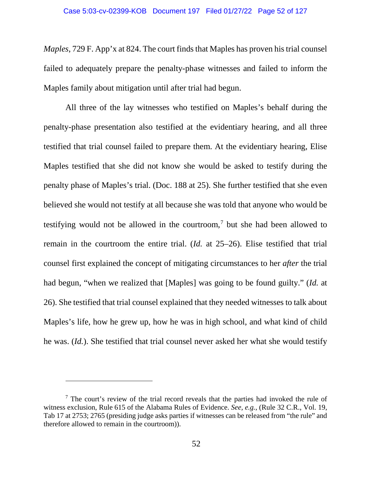*Maples*, 729 F. App'x at 824. The court finds that Maples has proven his trial counsel failed to adequately prepare the penalty-phase witnesses and failed to inform the Maples family about mitigation until after trial had begun.

All three of the lay witnesses who testified on Maples's behalf during the penalty-phase presentation also testified at the evidentiary hearing, and all three testified that trial counsel failed to prepare them. At the evidentiary hearing, Elise Maples testified that she did not know she would be asked to testify during the penalty phase of Maples's trial. (Doc. 188 at 25). She further testified that she even believed she would not testify at all because she was told that anyone who would be testifying would not be allowed in the courtroom,<sup>[7](#page-51-0)</sup> but she had been allowed to remain in the courtroom the entire trial. (*Id.* at 25–26). Elise testified that trial counsel first explained the concept of mitigating circumstances to her *after* the trial had begun, "when we realized that [Maples] was going to be found guilty." (*Id.* at 26). She testified that trial counsel explained that they needed witnesses to talk about Maples's life, how he grew up, how he was in high school, and what kind of child he was. (*Id.*). She testified that trial counsel never asked her what she would testify

 $\overline{a}$ 

<span id="page-51-0"></span> $<sup>7</sup>$  The court's review of the trial record reveals that the parties had invoked the rule of</sup> witness exclusion, Rule 615 of the Alabama Rules of Evidence. *See, e.g.*, (Rule 32 C.R., Vol. 19, Tab 17 at 2753; 2765 (presiding judge asks parties if witnesses can be released from "the rule" and therefore allowed to remain in the courtroom)).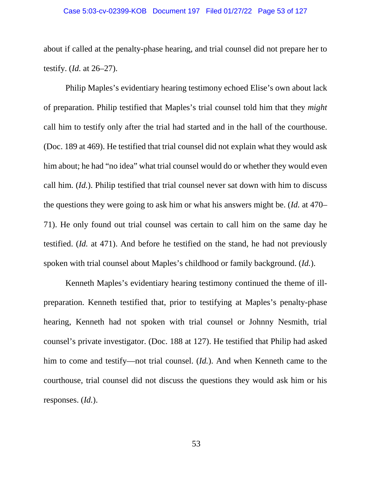### Case 5:03-cv-02399-KOB Document 197 Filed 01/27/22 Page 53 of 127

about if called at the penalty-phase hearing, and trial counsel did not prepare her to testify. (*Id.* at 26–27).

Philip Maples's evidentiary hearing testimony echoed Elise's own about lack of preparation. Philip testified that Maples's trial counsel told him that they *might* call him to testify only after the trial had started and in the hall of the courthouse. (Doc. 189 at 469). He testified that trial counsel did not explain what they would ask him about; he had "no idea" what trial counsel would do or whether they would even call him. (*Id.*). Philip testified that trial counsel never sat down with him to discuss the questions they were going to ask him or what his answers might be. (*Id.* at 470– 71). He only found out trial counsel was certain to call him on the same day he testified. (*Id.* at 471). And before he testified on the stand, he had not previously spoken with trial counsel about Maples's childhood or family background. (*Id.*).

Kenneth Maples's evidentiary hearing testimony continued the theme of illpreparation. Kenneth testified that, prior to testifying at Maples's penalty-phase hearing, Kenneth had not spoken with trial counsel or Johnny Nesmith, trial counsel's private investigator. (Doc. 188 at 127). He testified that Philip had asked him to come and testify—not trial counsel. (*Id.*). And when Kenneth came to the courthouse, trial counsel did not discuss the questions they would ask him or his responses. (*Id.*).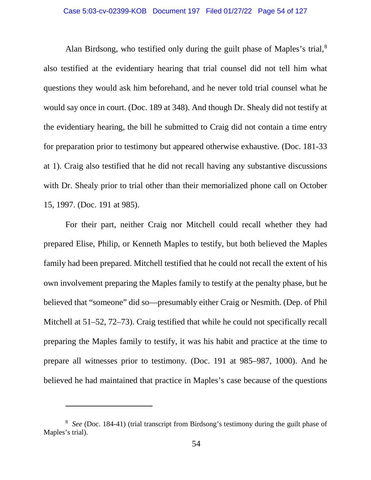## Case 5:03-cv-02399-KOB Document 197 Filed 01/27/22 Page 54 of 127

Alan Birdsong, who testified only during the guilt phase of Maples's trial,  $8$ also testified at the evidentiary hearing that trial counsel did not tell him what questions they would ask him beforehand, and he never told trial counsel what he would say once in court. (Doc. 189 at 348). And though Dr. Shealy did not testify at the evidentiary hearing, the bill he submitted to Craig did not contain a time entry for preparation prior to testimony but appeared otherwise exhaustive. (Doc. 181-33 at 1). Craig also testified that he did not recall having any substantive discussions with Dr. Shealy prior to trial other than their memorialized phone call on October 15, 1997. (Doc. 191 at 985).

For their part, neither Craig nor Mitchell could recall whether they had prepared Elise, Philip, or Kenneth Maples to testify, but both believed the Maples family had been prepared. Mitchell testified that he could not recall the extent of his own involvement preparing the Maples family to testify at the penalty phase, but he believed that "someone" did so—presumably either Craig or Nesmith. (Dep. of Phil Mitchell at 51–52, 72–73). Craig testified that while he could not specifically recall preparing the Maples family to testify, it was his habit and practice at the time to prepare all witnesses prior to testimony. (Doc. 191 at 985–987, 1000). And he believed he had maintained that practice in Maples's case because of the questions

 $\overline{a}$ 

<span id="page-53-0"></span><sup>8</sup> *See* (Doc. 184-41) (trial transcript from Birdsong's testimony during the guilt phase of Maples's trial).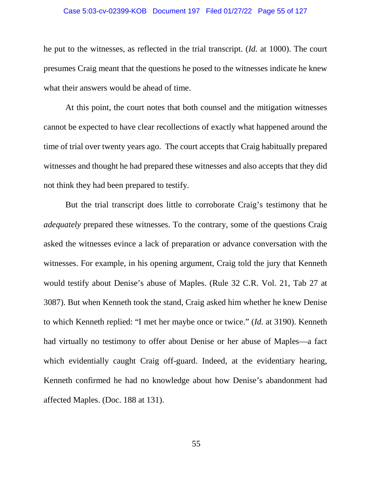### Case 5:03-cv-02399-KOB Document 197 Filed 01/27/22 Page 55 of 127

he put to the witnesses, as reflected in the trial transcript. (*Id.* at 1000). The court presumes Craig meant that the questions he posed to the witnesses indicate he knew what their answers would be ahead of time.

At this point, the court notes that both counsel and the mitigation witnesses cannot be expected to have clear recollections of exactly what happened around the time of trial over twenty years ago. The court accepts that Craig habitually prepared witnesses and thought he had prepared these witnesses and also accepts that they did not think they had been prepared to testify.

But the trial transcript does little to corroborate Craig's testimony that he *adequately* prepared these witnesses. To the contrary, some of the questions Craig asked the witnesses evince a lack of preparation or advance conversation with the witnesses. For example, in his opening argument, Craig told the jury that Kenneth would testify about Denise's abuse of Maples. (Rule 32 C.R. Vol. 21, Tab 27 at 3087). But when Kenneth took the stand, Craig asked him whether he knew Denise to which Kenneth replied: "I met her maybe once or twice." (*Id.* at 3190). Kenneth had virtually no testimony to offer about Denise or her abuse of Maples—a fact which evidentially caught Craig off-guard. Indeed, at the evidentiary hearing, Kenneth confirmed he had no knowledge about how Denise's abandonment had affected Maples. (Doc. 188 at 131).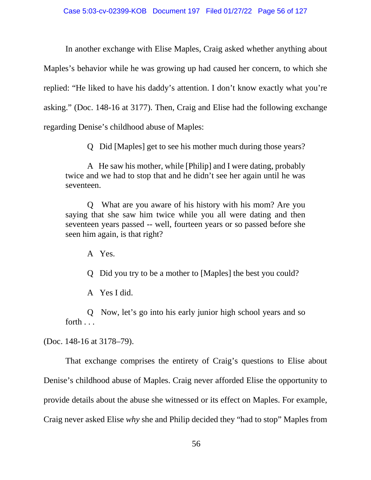In another exchange with Elise Maples, Craig asked whether anything about Maples's behavior while he was growing up had caused her concern, to which she replied: "He liked to have his daddy's attention. I don't know exactly what you're asking." (Doc. 148-16 at 3177). Then, Craig and Elise had the following exchange regarding Denise's childhood abuse of Maples:

Q Did [Maples] get to see his mother much during those years?

A He saw his mother, while [Philip] and I were dating, probably twice and we had to stop that and he didn't see her again until he was seventeen.

Q What are you aware of his history with his mom? Are you saying that she saw him twice while you all were dating and then seventeen years passed -- well, fourteen years or so passed before she seen him again, is that right?

A Yes.

Q Did you try to be a mother to [Maples] the best you could?

A Yes I did.

Q Now, let's go into his early junior high school years and so forth . . .

(Doc. 148-16 at 3178–79).

That exchange comprises the entirety of Craig's questions to Elise about Denise's childhood abuse of Maples. Craig never afforded Elise the opportunity to provide details about the abuse she witnessed or its effect on Maples. For example, Craig never asked Elise *why* she and Philip decided they "had to stop" Maples from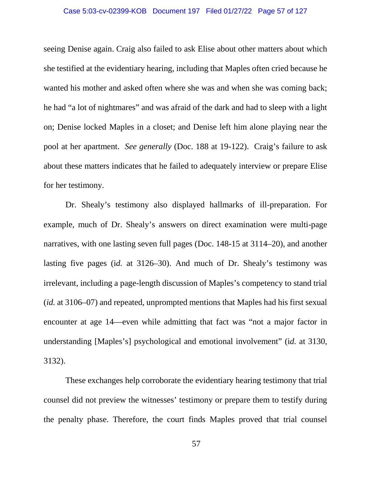## Case 5:03-cv-02399-KOB Document 197 Filed 01/27/22 Page 57 of 127

seeing Denise again. Craig also failed to ask Elise about other matters about which she testified at the evidentiary hearing, including that Maples often cried because he wanted his mother and asked often where she was and when she was coming back; he had "a lot of nightmares" and was afraid of the dark and had to sleep with a light on; Denise locked Maples in a closet; and Denise left him alone playing near the pool at her apartment. *See generally* (Doc. 188 at 19-122). Craig's failure to ask about these matters indicates that he failed to adequately interview or prepare Elise for her testimony.

Dr. Shealy's testimony also displayed hallmarks of ill-preparation. For example, much of Dr. Shealy's answers on direct examination were multi-page narratives, with one lasting seven full pages (Doc. 148-15 at 3114–20), and another lasting five pages (i*d.* at 3126–30). And much of Dr. Shealy's testimony was irrelevant, including a page-length discussion of Maples's competency to stand trial (*id.* at 3106–07) and repeated, unprompted mentions that Maples had his first sexual encounter at age 14—even while admitting that fact was "not a major factor in understanding [Maples's] psychological and emotional involvement" (i*d.* at 3130, 3132).

These exchanges help corroborate the evidentiary hearing testimony that trial counsel did not preview the witnesses' testimony or prepare them to testify during the penalty phase. Therefore, the court finds Maples proved that trial counsel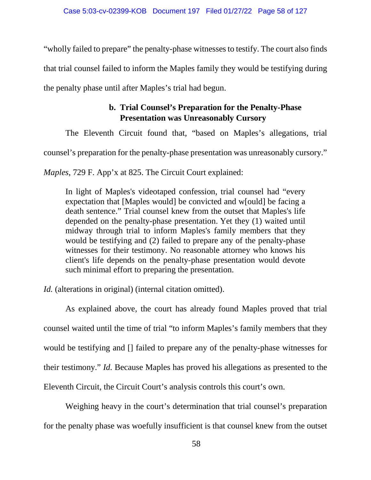"wholly failed to prepare" the penalty-phase witnessesto testify. The court also finds that trial counsel failed to inform the Maples family they would be testifying during the penalty phase until after Maples's trial had begun.

# **b. Trial Counsel's Preparation for the Penalty-Phase Presentation was Unreasonably Cursory**

The Eleventh Circuit found that, "based on Maples's allegations, trial

counsel's preparation for the penalty-phase presentation was unreasonably cursory."

*Maples*, 729 F. App'x at 825. The Circuit Court explained:

In light of Maples's videotaped confession, trial counsel had "every expectation that [Maples would] be convicted and w[ould] be facing a death sentence." Trial counsel knew from the outset that Maples's life depended on the penalty-phase presentation. Yet they (1) waited until midway through trial to inform Maples's family members that they would be testifying and (2) failed to prepare any of the penalty-phase witnesses for their testimony. No reasonable attorney who knows his client's life depends on the penalty-phase presentation would devote such minimal effort to preparing the presentation.

*Id.* (alterations in original) (internal citation omitted).

As explained above, the court has already found Maples proved that trial counsel waited until the time of trial "to inform Maples's family members that they would be testifying and [] failed to prepare any of the penalty-phase witnesses for their testimony." *Id.* Because Maples has proved his allegations as presented to the Eleventh Circuit, the Circuit Court's analysis controls this court's own.

Weighing heavy in the court's determination that trial counsel's preparation for the penalty phase was woefully insufficient is that counsel knew from the outset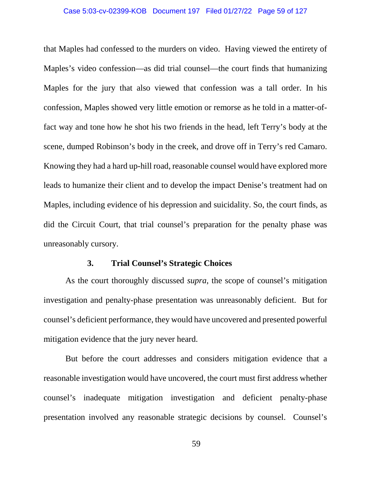### Case 5:03-cv-02399-KOB Document 197 Filed 01/27/22 Page 59 of 127

that Maples had confessed to the murders on video. Having viewed the entirety of Maples's video confession—as did trial counsel—the court finds that humanizing Maples for the jury that also viewed that confession was a tall order. In his confession, Maples showed very little emotion or remorse as he told in a matter-offact way and tone how he shot his two friends in the head, left Terry's body at the scene, dumped Robinson's body in the creek, and drove off in Terry's red Camaro. Knowing they had a hard up-hill road, reasonable counsel would have explored more leads to humanize their client and to develop the impact Denise's treatment had on Maples, including evidence of his depression and suicidality. So, the court finds, as did the Circuit Court, that trial counsel's preparation for the penalty phase was unreasonably cursory.

## **3. Trial Counsel's Strategic Choices**

As the court thoroughly discussed *supra*, the scope of counsel's mitigation investigation and penalty-phase presentation was unreasonably deficient. But for counsel's deficient performance, they would have uncovered and presented powerful mitigation evidence that the jury never heard.

But before the court addresses and considers mitigation evidence that a reasonable investigation would have uncovered, the court must first address whether counsel's inadequate mitigation investigation and deficient penalty-phase presentation involved any reasonable strategic decisions by counsel. Counsel's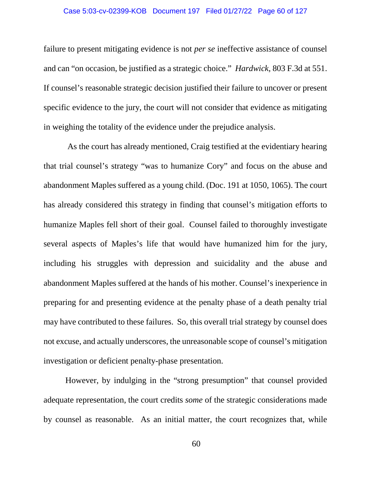## Case 5:03-cv-02399-KOB Document 197 Filed 01/27/22 Page 60 of 127

failure to present mitigating evidence is not *per se* ineffective assistance of counsel and can "on occasion, be justified as a strategic choice." *Hardwick*, 803 F.3d at 551. If counsel's reasonable strategic decision justified their failure to uncover or present specific evidence to the jury, the court will not consider that evidence as mitigating in weighing the totality of the evidence under the prejudice analysis.

As the court has already mentioned, Craig testified at the evidentiary hearing that trial counsel's strategy "was to humanize Cory" and focus on the abuse and abandonment Maples suffered as a young child. (Doc. 191 at 1050, 1065). The court has already considered this strategy in finding that counsel's mitigation efforts to humanize Maples fell short of their goal. Counsel failed to thoroughly investigate several aspects of Maples's life that would have humanized him for the jury, including his struggles with depression and suicidality and the abuse and abandonment Maples suffered at the hands of his mother. Counsel's inexperience in preparing for and presenting evidence at the penalty phase of a death penalty trial may have contributed to these failures. So, this overall trial strategy by counsel does not excuse, and actually underscores, the unreasonable scope of counsel's mitigation investigation or deficient penalty-phase presentation.

However, by indulging in the "strong presumption" that counsel provided adequate representation, the court credits *some* of the strategic considerations made by counsel as reasonable. As an initial matter, the court recognizes that, while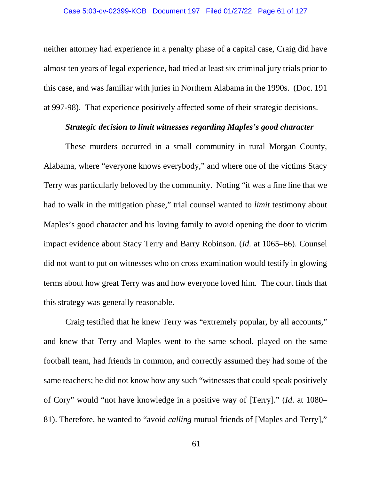## Case 5:03-cv-02399-KOB Document 197 Filed 01/27/22 Page 61 of 127

neither attorney had experience in a penalty phase of a capital case, Craig did have almost ten years of legal experience, had tried at least six criminal jury trials prior to this case, and was familiar with juries in Northern Alabama in the 1990s. (Doc. 191 at 997-98). That experience positively affected some of their strategic decisions.

## *Strategic decision to limit witnesses regarding Maples's good character*

These murders occurred in a small community in rural Morgan County, Alabama, where "everyone knows everybody," and where one of the victims Stacy Terry was particularly beloved by the community. Noting "it was a fine line that we had to walk in the mitigation phase," trial counsel wanted to *limit* testimony about Maples's good character and his loving family to avoid opening the door to victim impact evidence about Stacy Terry and Barry Robinson. (*Id.* at 1065–66). Counsel did not want to put on witnesses who on cross examination would testify in glowing terms about how great Terry was and how everyone loved him. The court finds that this strategy was generally reasonable.

Craig testified that he knew Terry was "extremely popular, by all accounts," and knew that Terry and Maples went to the same school, played on the same football team, had friends in common, and correctly assumed they had some of the same teachers; he did not know how any such "witnesses that could speak positively of Cory" would "not have knowledge in a positive way of [Terry]." (*Id*. at 1080– 81). Therefore, he wanted to "avoid *calling* mutual friends of [Maples and Terry],"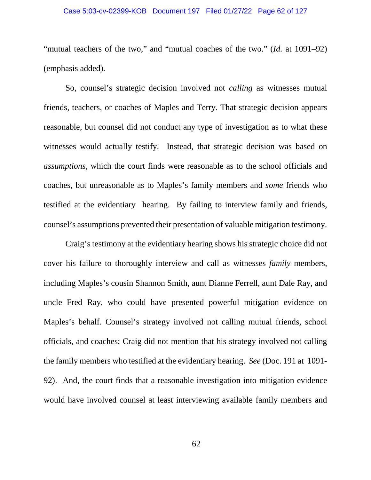## Case 5:03-cv-02399-KOB Document 197 Filed 01/27/22 Page 62 of 127

"mutual teachers of the two," and "mutual coaches of the two." (*Id.* at 1091–92) (emphasis added).

So, counsel's strategic decision involved not *calling* as witnesses mutual friends, teachers, or coaches of Maples and Terry. That strategic decision appears reasonable, but counsel did not conduct any type of investigation as to what these witnesses would actually testify. Instead, that strategic decision was based on *assumptions*, which the court finds were reasonable as to the school officials and coaches, but unreasonable as to Maples's family members and *some* friends who testified at the evidentiary hearing. By failing to interview family and friends, counsel's assumptions prevented their presentation of valuable mitigation testimony.

Craig's testimony at the evidentiary hearing shows his strategic choice did not cover his failure to thoroughly interview and call as witnesses *family* members, including Maples's cousin Shannon Smith, aunt Dianne Ferrell, aunt Dale Ray, and uncle Fred Ray, who could have presented powerful mitigation evidence on Maples's behalf. Counsel's strategy involved not calling mutual friends, school officials, and coaches; Craig did not mention that his strategy involved not calling the family members who testified at the evidentiary hearing. *See* (Doc. 191 at 1091- 92). And, the court finds that a reasonable investigation into mitigation evidence would have involved counsel at least interviewing available family members and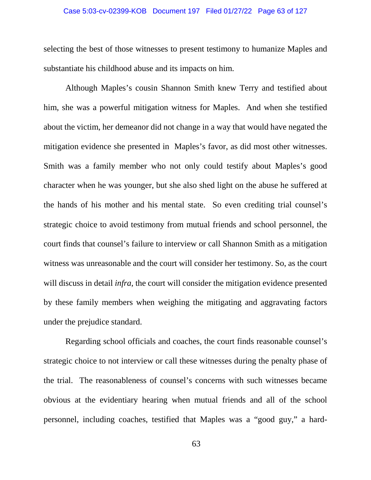### Case 5:03-cv-02399-KOB Document 197 Filed 01/27/22 Page 63 of 127

selecting the best of those witnesses to present testimony to humanize Maples and substantiate his childhood abuse and its impacts on him.

Although Maples's cousin Shannon Smith knew Terry and testified about him, she was a powerful mitigation witness for Maples. And when she testified about the victim, her demeanor did not change in a way that would have negated the mitigation evidence she presented in Maples's favor, as did most other witnesses. Smith was a family member who not only could testify about Maples's good character when he was younger, but she also shed light on the abuse he suffered at the hands of his mother and his mental state. So even crediting trial counsel's strategic choice to avoid testimony from mutual friends and school personnel, the court finds that counsel's failure to interview or call Shannon Smith as a mitigation witness was unreasonable and the court will consider her testimony. So, as the court will discuss in detail *infra*, the court will consider the mitigation evidence presented by these family members when weighing the mitigating and aggravating factors under the prejudice standard.

Regarding school officials and coaches, the court finds reasonable counsel's strategic choice to not interview or call these witnesses during the penalty phase of the trial. The reasonableness of counsel's concerns with such witnesses became obvious at the evidentiary hearing when mutual friends and all of the school personnel, including coaches, testified that Maples was a "good guy," a hard-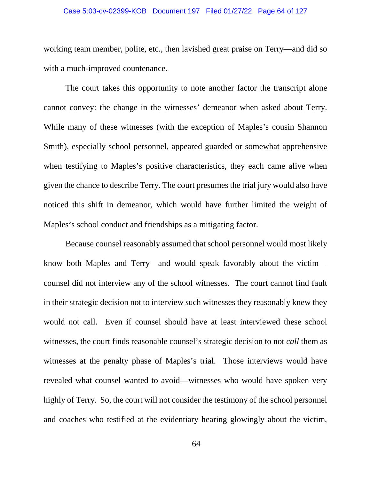### Case 5:03-cv-02399-KOB Document 197 Filed 01/27/22 Page 64 of 127

working team member, polite, etc., then lavished great praise on Terry—and did so with a much-improved countenance.

The court takes this opportunity to note another factor the transcript alone cannot convey: the change in the witnesses' demeanor when asked about Terry. While many of these witnesses (with the exception of Maples's cousin Shannon Smith), especially school personnel, appeared guarded or somewhat apprehensive when testifying to Maples's positive characteristics, they each came alive when given the chance to describe Terry. The court presumes the trial jury would also have noticed this shift in demeanor, which would have further limited the weight of Maples's school conduct and friendships as a mitigating factor.

Because counsel reasonably assumed that school personnel would most likely know both Maples and Terry—and would speak favorably about the victim counsel did not interview any of the school witnesses. The court cannot find fault in their strategic decision not to interview such witnesses they reasonably knew they would not call. Even if counsel should have at least interviewed these school witnesses, the court finds reasonable counsel's strategic decision to not *call* them as witnesses at the penalty phase of Maples's trial. Those interviews would have revealed what counsel wanted to avoid—witnesses who would have spoken very highly of Terry. So, the court will not consider the testimony of the school personnel and coaches who testified at the evidentiary hearing glowingly about the victim,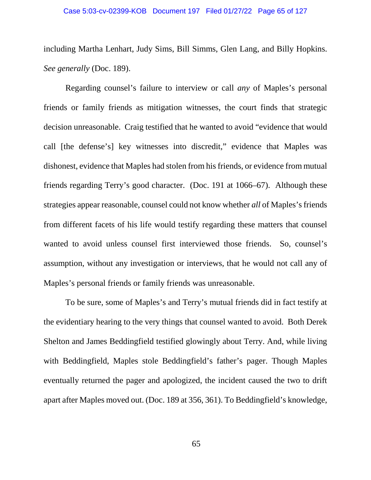including Martha Lenhart, Judy Sims, Bill Simms, Glen Lang, and Billy Hopkins. *See generally* (Doc. 189).

Regarding counsel's failure to interview or call *any* of Maples's personal friends or family friends as mitigation witnesses, the court finds that strategic decision unreasonable. Craig testified that he wanted to avoid "evidence that would call [the defense's] key witnesses into discredit," evidence that Maples was dishonest, evidence that Maples had stolen from his friends, or evidence from mutual friends regarding Terry's good character. (Doc. 191 at 1066–67). Although these strategies appear reasonable, counsel could not know whether *all* of Maples's friends from different facets of his life would testify regarding these matters that counsel wanted to avoid unless counsel first interviewed those friends. So, counsel's assumption, without any investigation or interviews, that he would not call any of Maples's personal friends or family friends was unreasonable.

To be sure, some of Maples's and Terry's mutual friends did in fact testify at the evidentiary hearing to the very things that counsel wanted to avoid. Both Derek Shelton and James Beddingfield testified glowingly about Terry. And, while living with Beddingfield, Maples stole Beddingfield's father's pager. Though Maples eventually returned the pager and apologized, the incident caused the two to drift apart after Maples moved out. (Doc. 189 at 356, 361). To Beddingfield's knowledge,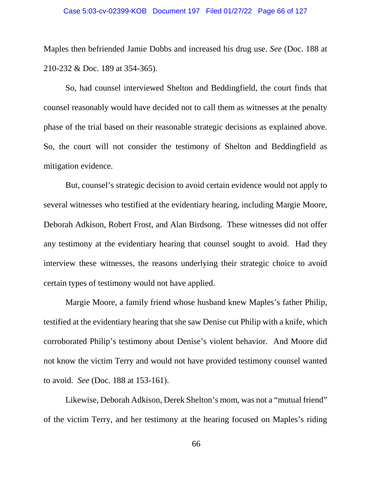### Case 5:03-cv-02399-KOB Document 197 Filed 01/27/22 Page 66 of 127

Maples then befriended Jamie Dobbs and increased his drug use. *See* (Doc. 188 at 210-232 & Doc. 189 at 354-365).

So, had counsel interviewed Shelton and Beddingfield, the court finds that counsel reasonably would have decided not to call them as witnesses at the penalty phase of the trial based on their reasonable strategic decisions as explained above. So, the court will not consider the testimony of Shelton and Beddingfield as mitigation evidence.

But, counsel's strategic decision to avoid certain evidence would not apply to several witnesses who testified at the evidentiary hearing, including Margie Moore, Deborah Adkison, Robert Frost, and Alan Birdsong. These witnesses did not offer any testimony at the evidentiary hearing that counsel sought to avoid. Had they interview these witnesses, the reasons underlying their strategic choice to avoid certain types of testimony would not have applied.

Margie Moore, a family friend whose husband knew Maples's father Philip, testified at the evidentiary hearing that she saw Denise cut Philip with a knife, which corroborated Philip's testimony about Denise's violent behavior. And Moore did not know the victim Terry and would not have provided testimony counsel wanted to avoid. *See* (Doc. 188 at 153-161).

Likewise, Deborah Adkison, Derek Shelton's mom, was not a "mutual friend" of the victim Terry, and her testimony at the hearing focused on Maples's riding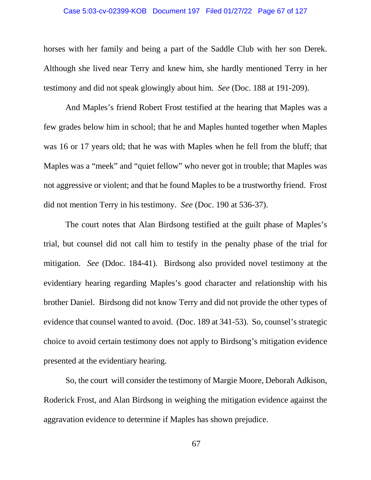### Case 5:03-cv-02399-KOB Document 197 Filed 01/27/22 Page 67 of 127

horses with her family and being a part of the Saddle Club with her son Derek. Although she lived near Terry and knew him, she hardly mentioned Terry in her testimony and did not speak glowingly about him. *See* (Doc. 188 at 191-209).

And Maples's friend Robert Frost testified at the hearing that Maples was a few grades below him in school; that he and Maples hunted together when Maples was 16 or 17 years old; that he was with Maples when he fell from the bluff; that Maples was a "meek" and "quiet fellow" who never got in trouble; that Maples was not aggressive or violent; and that he found Maples to be a trustworthy friend. Frost did not mention Terry in his testimony. *See* (Doc. 190 at 536-37).

The court notes that Alan Birdsong testified at the guilt phase of Maples's trial, but counsel did not call him to testify in the penalty phase of the trial for mitigation. *See* (Ddoc. 184-41). Birdsong also provided novel testimony at the evidentiary hearing regarding Maples's good character and relationship with his brother Daniel. Birdsong did not know Terry and did not provide the other types of evidence that counsel wanted to avoid. (Doc. 189 at 341-53). So, counsel's strategic choice to avoid certain testimony does not apply to Birdsong's mitigation evidence presented at the evidentiary hearing.

So, the court will consider the testimony of Margie Moore, Deborah Adkison, Roderick Frost, and Alan Birdsong in weighing the mitigation evidence against the aggravation evidence to determine if Maples has shown prejudice.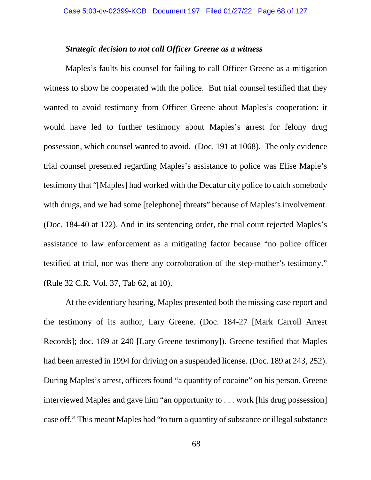## *Strategic decision to not call Officer Greene as a witness*

Maples's faults his counsel for failing to call Officer Greene as a mitigation witness to show he cooperated with the police. But trial counsel testified that they wanted to avoid testimony from Officer Greene about Maples's cooperation: it would have led to further testimony about Maples's arrest for felony drug possession, which counsel wanted to avoid. (Doc. 191 at 1068). The only evidence trial counsel presented regarding Maples's assistance to police was Elise Maple's testimony that "[Maples] had worked with the Decatur city police to catch somebody with drugs, and we had some [telephone] threats" because of Maples's involvement. (Doc. 184-40 at 122). And in its sentencing order, the trial court rejected Maples's assistance to law enforcement as a mitigating factor because "no police officer testified at trial, nor was there any corroboration of the step-mother's testimony." (Rule 32 C.R. Vol. 37, Tab 62, at 10).

At the evidentiary hearing, Maples presented both the missing case report and the testimony of its author, Lary Greene. (Doc. 184-27 [Mark Carroll Arrest Records]; doc. 189 at 240 [Lary Greene testimony]). Greene testified that Maples had been arrested in 1994 for driving on a suspended license. (Doc. 189 at 243, 252). During Maples's arrest, officers found "a quantity of cocaine" on his person. Greene interviewed Maples and gave him "an opportunity to . . . work [his drug possession] case off." This meant Maples had "to turn a quantity of substance or illegal substance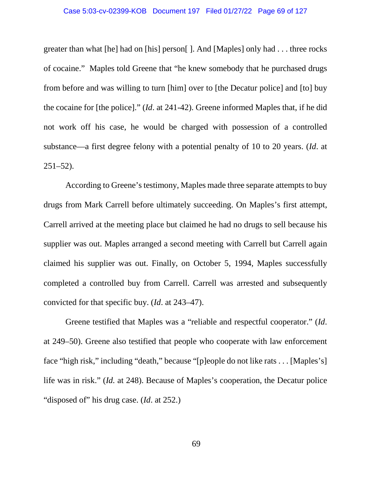## Case 5:03-cv-02399-KOB Document 197 Filed 01/27/22 Page 69 of 127

greater than what [he] had on [his] person[ ]. And [Maples] only had . . . three rocks of cocaine." Maples told Greene that "he knew somebody that he purchased drugs from before and was willing to turn [him] over to [the Decatur police] and [to] buy the cocaine for [the police]." (*Id*. at 241-42). Greene informed Maples that, if he did not work off his case, he would be charged with possession of a controlled substance—a first degree felony with a potential penalty of 10 to 20 years. (*Id*. at 251–52).

According to Greene's testimony, Maples made three separate attempts to buy drugs from Mark Carrell before ultimately succeeding. On Maples's first attempt, Carrell arrived at the meeting place but claimed he had no drugs to sell because his supplier was out. Maples arranged a second meeting with Carrell but Carrell again claimed his supplier was out. Finally, on October 5, 1994, Maples successfully completed a controlled buy from Carrell. Carrell was arrested and subsequently convicted for that specific buy. (*Id*. at 243–47).

Greene testified that Maples was a "reliable and respectful cooperator." (*Id*. at 249–50). Greene also testified that people who cooperate with law enforcement face "high risk," including "death," because "[p]eople do not like rats . . . [Maples's] life was in risk." (*Id.* at 248). Because of Maples's cooperation, the Decatur police "disposed of" his drug case. (*Id*. at 252.)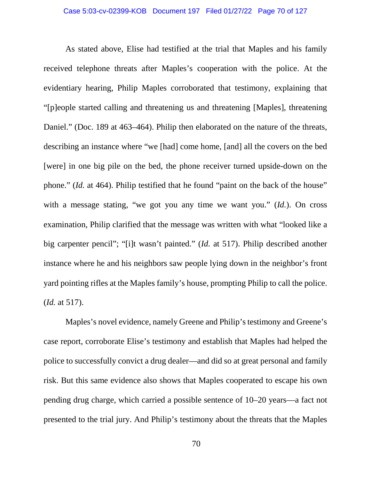As stated above, Elise had testified at the trial that Maples and his family received telephone threats after Maples's cooperation with the police. At the evidentiary hearing, Philip Maples corroborated that testimony, explaining that "[p]eople started calling and threatening us and threatening [Maples], threatening Daniel." (Doc. 189 at 463–464). Philip then elaborated on the nature of the threats, describing an instance where "we [had] come home, [and] all the covers on the bed [were] in one big pile on the bed, the phone receiver turned upside-down on the phone." *(Id.* at 464). Philip testified that he found "paint on the back of the house" with a message stating, "we got you any time we want you." (*Id.*). On cross examination, Philip clarified that the message was written with what "looked like a big carpenter pencil"; "[i]t wasn't painted." (*Id.* at 517). Philip described another instance where he and his neighbors saw people lying down in the neighbor's front yard pointing rifles at the Maples family's house, prompting Philip to call the police. (*Id.* at 517).

Maples's novel evidence, namely Greene and Philip's testimony and Greene's case report, corroborate Elise's testimony and establish that Maples had helped the police to successfully convict a drug dealer—and did so at great personal and family risk. But this same evidence also shows that Maples cooperated to escape his own pending drug charge, which carried a possible sentence of 10–20 years—a fact not presented to the trial jury. And Philip's testimony about the threats that the Maples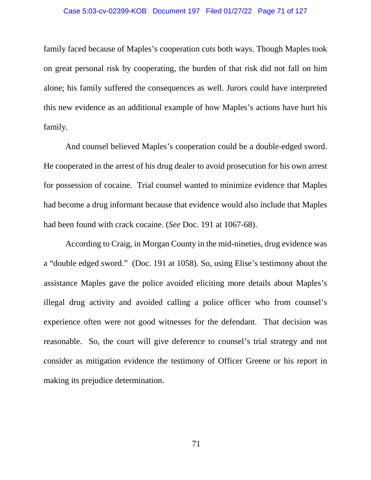### Case 5:03-cv-02399-KOB Document 197 Filed 01/27/22 Page 71 of 127

family faced because of Maples's cooperation cuts both ways. Though Maples took on great personal risk by cooperating, the burden of that risk did not fall on him alone; his family suffered the consequences as well. Jurors could have interpreted this new evidence as an additional example of how Maples's actions have hurt his family.

And counsel believed Maples's cooperation could be a double-edged sword. He cooperated in the arrest of his drug dealer to avoid prosecution for his own arrest for possession of cocaine. Trial counsel wanted to minimize evidence that Maples had become a drug informant because that evidence would also include that Maples had been found with crack cocaine. (*See* Doc. 191 at 1067-68).

According to Craig, in Morgan County in the mid-nineties, drug evidence was a "double edged sword." (Doc. 191 at 1058). So, using Elise's testimony about the assistance Maples gave the police avoided eliciting more details about Maples's illegal drug activity and avoided calling a police officer who from counsel's experience often were not good witnesses for the defendant. That decision was reasonable. So, the court will give deference to counsel's trial strategy and not consider as mitigation evidence the testimony of Officer Greene or his report in making its prejudice determination.

71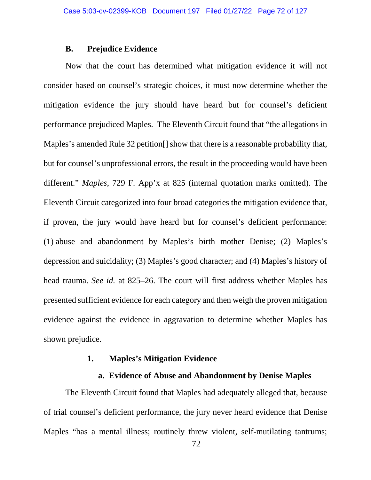## **B. Prejudice Evidence**

Now that the court has determined what mitigation evidence it will not consider based on counsel's strategic choices, it must now determine whether the mitigation evidence the jury should have heard but for counsel's deficient performance prejudiced Maples. The Eleventh Circuit found that "the allegations in Maples's amended Rule 32 petition<sup>[]</sup> show that there is a reasonable probability that, but for counsel's unprofessional errors, the result in the proceeding would have been different." *Maples*, 729 F. App'x at 825 (internal quotation marks omitted). The Eleventh Circuit categorized into four broad categories the mitigation evidence that, if proven, the jury would have heard but for counsel's deficient performance: (1) abuse and abandonment by Maples's birth mother Denise; (2) Maples's depression and suicidality; (3) Maples's good character; and (4) Maples's history of head trauma. *See id.* at 825–26. The court will first address whether Maples has presented sufficient evidence for each category and then weigh the proven mitigation evidence against the evidence in aggravation to determine whether Maples has shown prejudice.

## **1. Maples's Mitigation Evidence**

# **a. Evidence of Abuse and Abandonment by Denise Maples**

The Eleventh Circuit found that Maples had adequately alleged that, because of trial counsel's deficient performance, the jury never heard evidence that Denise Maples "has a mental illness; routinely threw violent, self-mutilating tantrums;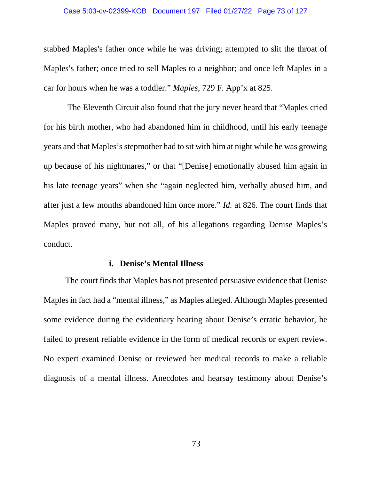#### Case 5:03-cv-02399-KOB Document 197 Filed 01/27/22 Page 73 of 127

stabbed Maples's father once while he was driving; attempted to slit the throat of Maples's father; once tried to sell Maples to a neighbor; and once left Maples in a car for hours when he was a toddler." *Maples*, 729 F. App'x at 825.

The Eleventh Circuit also found that the jury never heard that "Maples cried for his birth mother, who had abandoned him in childhood, until his early teenage years and that Maples's stepmother had to sit with him at night while he was growing up because of his nightmares," or that "[Denise] emotionally abused him again in his late teenage years" when she "again neglected him, verbally abused him, and after just a few months abandoned him once more." *Id.* at 826. The court finds that Maples proved many, but not all, of his allegations regarding Denise Maples's conduct.

## **i. Denise's Mental Illness**

The court finds that Maples has not presented persuasive evidence that Denise Maples in fact had a "mental illness," as Maples alleged. Although Maples presented some evidence during the evidentiary hearing about Denise's erratic behavior, he failed to present reliable evidence in the form of medical records or expert review. No expert examined Denise or reviewed her medical records to make a reliable diagnosis of a mental illness. Anecdotes and hearsay testimony about Denise's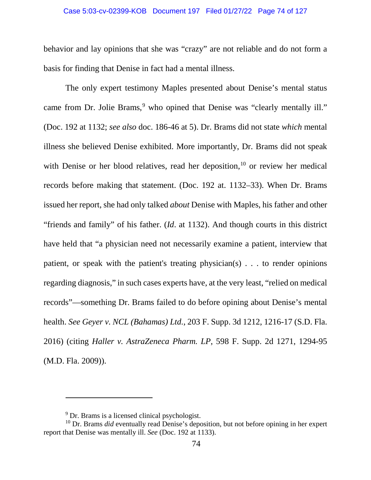### Case 5:03-cv-02399-KOB Document 197 Filed 01/27/22 Page 74 of 127

behavior and lay opinions that she was "crazy" are not reliable and do not form a basis for finding that Denise in fact had a mental illness.

The only expert testimony Maples presented about Denise's mental status came from Dr. Jolie Brams,<sup>[9](#page-73-0)</sup> who opined that Denise was "clearly mentally ill." (Doc. 192 at 1132; *see also* doc. 186-46 at 5). Dr. Brams did not state *which* mental illness she believed Denise exhibited. More importantly, Dr. Brams did not speak with Denise or her blood relatives, read her deposition,<sup>[10](#page-73-1)</sup> or review her medical records before making that statement. (Doc. 192 at. 1132–33). When Dr. Brams issued her report, she had only talked *about* Denise with Maples, his father and other "friends and family" of his father. (*Id*. at 1132). And though courts in this district have held that "a physician need not necessarily examine a patient, interview that patient, or speak with the patient's treating physician(s) . . . to render opinions regarding diagnosis," in such cases experts have, at the very least, "relied on medical records"—something Dr. Brams failed to do before opining about Denise's mental health. *See Geyer v. NCL (Bahamas) Ltd.*, 203 F. Supp. 3d 1212, 1216-17 (S.D. Fla. 2016) (citing *Haller v. AstraZeneca Pharm. LP*, 598 F. Supp. 2d 1271, 1294-95 (M.D. Fla. 2009)).

 $\overline{a}$ 

<sup>&</sup>lt;sup>9</sup> Dr. Brams is a licensed clinical psychologist.

<span id="page-73-1"></span><span id="page-73-0"></span><sup>10</sup> Dr. Brams *did* eventually read Denise's deposition, but not before opining in her expert report that Denise was mentally ill. *See* (Doc. 192 at 1133).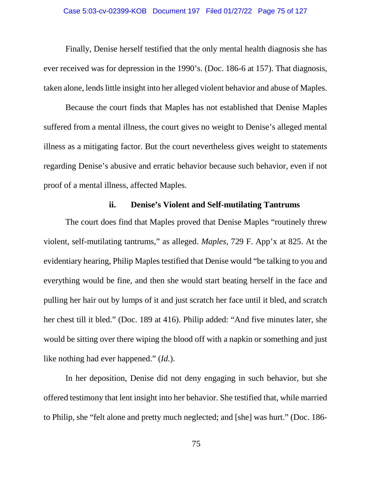### Case 5:03-cv-02399-KOB Document 197 Filed 01/27/22 Page 75 of 127

Finally, Denise herself testified that the only mental health diagnosis she has ever received was for depression in the 1990's. (Doc. 186-6 at 157). That diagnosis, taken alone, lends little insight into her alleged violent behavior and abuse of Maples.

Because the court finds that Maples has not established that Denise Maples suffered from a mental illness, the court gives no weight to Denise's alleged mental illness as a mitigating factor. But the court nevertheless gives weight to statements regarding Denise's abusive and erratic behavior because such behavior, even if not proof of a mental illness, affected Maples.

# **ii. Denise's Violent and Self-mutilating Tantrums**

The court does find that Maples proved that Denise Maples "routinely threw violent, self-mutilating tantrums," as alleged. *Maples*, 729 F. App'x at 825. At the evidentiary hearing, Philip Maples testified that Denise would "be talking to you and everything would be fine, and then she would start beating herself in the face and pulling her hair out by lumps of it and just scratch her face until it bled, and scratch her chest till it bled." (Doc. 189 at 416). Philip added: "And five minutes later, she would be sitting over there wiping the blood off with a napkin or something and just like nothing had ever happened." (*Id.*).

In her deposition, Denise did not deny engaging in such behavior, but she offered testimony that lent insight into her behavior. She testified that, while married to Philip, she "felt alone and pretty much neglected; and [she] was hurt." (Doc. 186-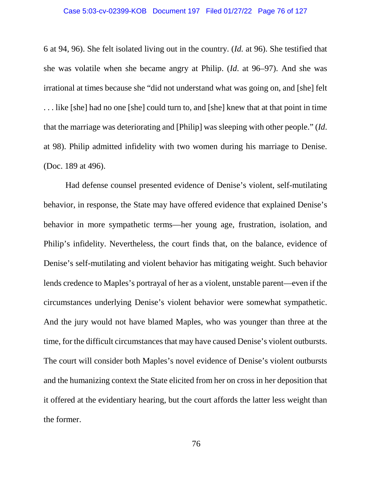#### Case 5:03-cv-02399-KOB Document 197 Filed 01/27/22 Page 76 of 127

6 at 94, 96). She felt isolated living out in the country. (*Id.* at 96). She testified that she was volatile when she became angry at Philip. (*Id*. at 96–97). And she was irrational at times because she "did not understand what was going on, and [she] felt . . . like [she] had no one [she] could turn to, and [she] knew that at that point in time that the marriage was deteriorating and [Philip] was sleeping with other people." (*Id*. at 98). Philip admitted infidelity with two women during his marriage to Denise. (Doc. 189 at 496).

Had defense counsel presented evidence of Denise's violent, self-mutilating behavior, in response, the State may have offered evidence that explained Denise's behavior in more sympathetic terms—her young age, frustration, isolation, and Philip's infidelity. Nevertheless, the court finds that, on the balance, evidence of Denise's self-mutilating and violent behavior has mitigating weight. Such behavior lends credence to Maples's portrayal of her as a violent, unstable parent—even if the circumstances underlying Denise's violent behavior were somewhat sympathetic. And the jury would not have blamed Maples, who was younger than three at the time, for the difficult circumstances that may have caused Denise's violent outbursts. The court will consider both Maples's novel evidence of Denise's violent outbursts and the humanizing context the State elicited from her on cross in her deposition that it offered at the evidentiary hearing, but the court affords the latter less weight than the former.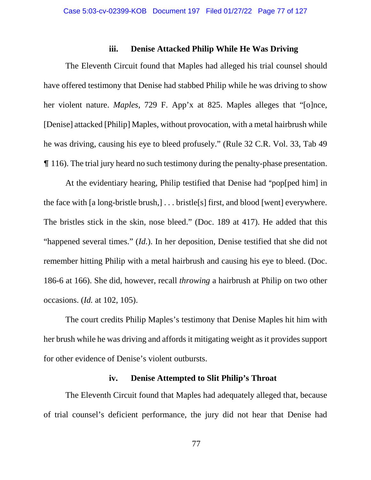## **iii. Denise Attacked Philip While He Was Driving**

The Eleventh Circuit found that Maples had alleged his trial counsel should have offered testimony that Denise had stabbed Philip while he was driving to show her violent nature. *Maples*, 729 F. App'x at 825. Maples alleges that "[o]nce, [Denise] attacked [Philip] Maples, without provocation, with a metal hairbrush while he was driving, causing his eye to bleed profusely." (Rule 32 C.R. Vol. 33, Tab 49 & 116). The trial jury heard no such testimony during the penalty-phase presentation.

At the evidentiary hearing, Philip testified that Denise had "pop[ped him] in the face with [a long-bristle brush,] . . . bristle[s] first, and blood [went] everywhere. The bristles stick in the skin, nose bleed." (Doc. 189 at 417). He added that this "happened several times." (*Id.*). In her deposition, Denise testified that she did not remember hitting Philip with a metal hairbrush and causing his eye to bleed. (Doc. 186-6 at 166). She did, however, recall *throwing* a hairbrush at Philip on two other occasions. (*Id.* at 102, 105).

The court credits Philip Maples's testimony that Denise Maples hit him with her brush while he was driving and affords it mitigating weight as it provides support for other evidence of Denise's violent outbursts.

# **iv. Denise Attempted to Slit Philip's Throat**

The Eleventh Circuit found that Maples had adequately alleged that, because of trial counsel's deficient performance, the jury did not hear that Denise had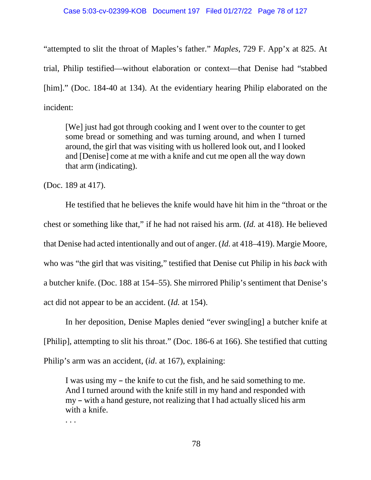### Case 5:03-cv-02399-KOB Document 197 Filed 01/27/22 Page 78 of 127

"attempted to slit the throat of Maples's father." *Maples*, 729 F. App'x at 825. At trial, Philip testified—without elaboration or context—that Denise had "stabbed [him]." (Doc. 184-40 at 134). At the evidentiary hearing Philip elaborated on the incident:

[We] just had got through cooking and I went over to the counter to get some bread or something and was turning around, and when I turned around, the girl that was visiting with us hollered look out, and I looked and [Denise] come at me with a knife and cut me open all the way down that arm (indicating).

(Doc. 189 at 417).

He testified that he believes the knife would have hit him in the "throat or the chest or something like that," if he had not raised his arm. (*Id.* at 418). He believed that Denise had acted intentionally and out of anger. (*Id.* at 418–419). Margie Moore, who was "the girl that was visiting," testified that Denise cut Philip in his *back* with a butcher knife. (Doc. 188 at 154–55). She mirrored Philip's sentiment that Denise's act did not appear to be an accident. (*Id.* at 154).

In her deposition, Denise Maples denied "ever swing[ing] a butcher knife at [Philip], attempting to slit his throat." (Doc. 186-6 at 166). She testified that cutting Philip's arm was an accident, (*id*. at 167), explaining:

I was using my – the knife to cut the fish, and he said something to me. And I turned around with the knife still in my hand and responded with my – with a hand gesture, not realizing that I had actually sliced his arm with a knife.

. . .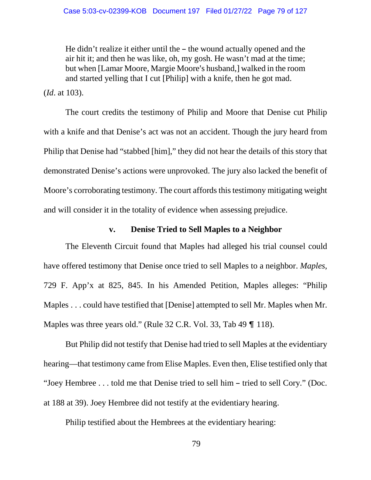He didn't realize it either until the  $-$  the wound actually opened and the air hit it; and then he was like, oh, my gosh. He wasn't mad at the time; but when [Lamar Moore, Margie Moore's husband,] walked in the room and started yelling that I cut [Philip] with a knife, then he got mad.

(*Id*. at 103).

The court credits the testimony of Philip and Moore that Denise cut Philip with a knife and that Denise's act was not an accident. Though the jury heard from Philip that Denise had "stabbed [him]," they did not hear the details of this story that demonstrated Denise's actions were unprovoked. The jury also lacked the benefit of Moore's corroborating testimony. The court affords this testimony mitigating weight and will consider it in the totality of evidence when assessing prejudice.

## **v. Denise Tried to Sell Maples to a Neighbor**

The Eleventh Circuit found that Maples had alleged his trial counsel could have offered testimony that Denise once tried to sell Maples to a neighbor. *Maples*, 729 F. App'x at 825, 845. In his Amended Petition, Maples alleges: "Philip Maples . . . could have testified that [Denise] attempted to sell Mr. Maples when Mr. Maples was three years old." (Rule  $32$  C.R. Vol.  $33$ , Tab  $49$  ¶  $118$ ).

But Philip did not testify that Denise had tried to sell Maples at the evidentiary hearing—that testimony came from Elise Maples. Even then, Elise testified only that "Joey Hembree . . . told me that Denise tried to sell him – tried to sell Cory." (Doc. at 188 at 39). Joey Hembree did not testify at the evidentiary hearing.

Philip testified about the Hembrees at the evidentiary hearing: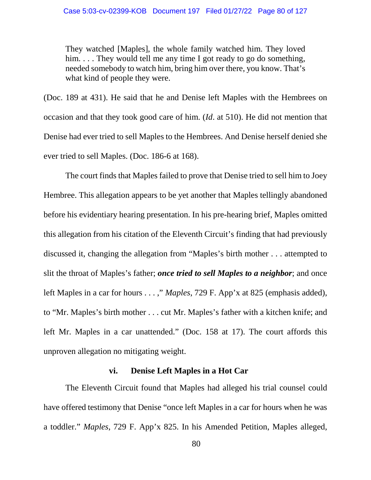They watched [Maples], the whole family watched him. They loved him. . . . They would tell me any time I got ready to go do something, needed somebody to watch him, bring him over there, you know. That's what kind of people they were.

(Doc. 189 at 431). He said that he and Denise left Maples with the Hembrees on occasion and that they took good care of him. (*Id*. at 510). He did not mention that Denise had ever tried to sell Maples to the Hembrees. And Denise herself denied she ever tried to sell Maples. (Doc. 186-6 at 168).

The court finds that Maples failed to prove that Denise tried to sell him to Joey Hembree. This allegation appears to be yet another that Maples tellingly abandoned before his evidentiary hearing presentation. In his pre-hearing brief, Maples omitted this allegation from his citation of the Eleventh Circuit's finding that had previously discussed it, changing the allegation from "Maples's birth mother . . . attempted to slit the throat of Maples's father; *once tried to sell Maples to a neighbor*; and once left Maples in a car for hours . . . ," *Maples*, 729 F. App'x at 825 (emphasis added), to "Mr. Maples's birth mother . . . cut Mr. Maples's father with a kitchen knife; and left Mr. Maples in a car unattended." (Doc. 158 at 17). The court affords this unproven allegation no mitigating weight.

# **vi. Denise Left Maples in a Hot Car**

The Eleventh Circuit found that Maples had alleged his trial counsel could have offered testimony that Denise "once left Maples in a car for hours when he was a toddler." *Maples*, 729 F. App'x 825. In his Amended Petition, Maples alleged,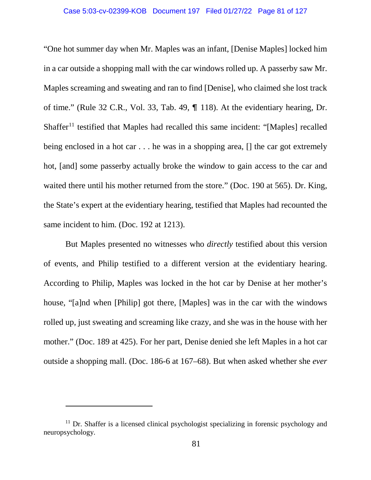### Case 5:03-cv-02399-KOB Document 197 Filed 01/27/22 Page 81 of 127

"One hot summer day when Mr. Maples was an infant, [Denise Maples] locked him in a car outside a shopping mall with the car windows rolled up. A passerby saw Mr. Maples screaming and sweating and ran to find [Denise], who claimed she lost track of time." (Rule 32 C.R., Vol. 33, Tab. 49,  $\P$  118). At the evidentiary hearing, Dr. Shaffer<sup>[11](#page-80-0)</sup> testified that Maples had recalled this same incident: "[Maples] recalled being enclosed in a hot car . . . he was in a shopping area, [] the car got extremely hot, [and] some passerby actually broke the window to gain access to the car and waited there until his mother returned from the store." (Doc. 190 at 565). Dr. King, the State's expert at the evidentiary hearing, testified that Maples had recounted the same incident to him. (Doc. 192 at 1213).

But Maples presented no witnesses who *directly* testified about this version of events, and Philip testified to a different version at the evidentiary hearing. According to Philip, Maples was locked in the hot car by Denise at her mother's house, "[a]nd when [Philip] got there, [Maples] was in the car with the windows rolled up, just sweating and screaming like crazy, and she was in the house with her mother." (Doc. 189 at 425). For her part, Denise denied she left Maples in a hot car outside a shopping mall. (Doc. 186-6 at 167–68). But when asked whether she *ever* 

 $\overline{a}$ 

<span id="page-80-0"></span><sup>&</sup>lt;sup>11</sup> Dr. Shaffer is a licensed clinical psychologist specializing in forensic psychology and neuropsychology.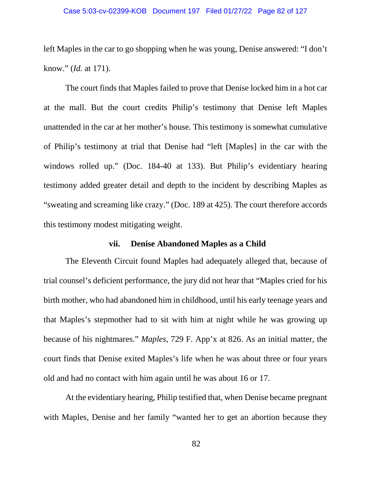### Case 5:03-cv-02399-KOB Document 197 Filed 01/27/22 Page 82 of 127

left Maples in the car to go shopping when he was young, Denise answered: "I don't know." (*Id.* at 171).

The court finds that Maples failed to prove that Denise locked him in a hot car at the mall. But the court credits Philip's testimony that Denise left Maples unattended in the car at her mother's house. This testimony is somewhat cumulative of Philip's testimony at trial that Denise had "left [Maples] in the car with the windows rolled up." (Doc. 184-40 at 133). But Philip's evidentiary hearing testimony added greater detail and depth to the incident by describing Maples as "sweating and screaming like crazy." (Doc. 189 at 425). The court therefore accords this testimony modest mitigating weight.

## **vii. Denise Abandoned Maples as a Child**

The Eleventh Circuit found Maples had adequately alleged that, because of trial counsel's deficient performance, the jury did not hear that "Maples cried for his birth mother, who had abandoned him in childhood, until his early teenage years and that Maples's stepmother had to sit with him at night while he was growing up because of his nightmares." *Maples*, 729 F. App'x at 826. As an initial matter, the court finds that Denise exited Maples's life when he was about three or four years old and had no contact with him again until he was about 16 or 17.

At the evidentiary hearing, Philip testified that, when Denise became pregnant with Maples, Denise and her family "wanted her to get an abortion because they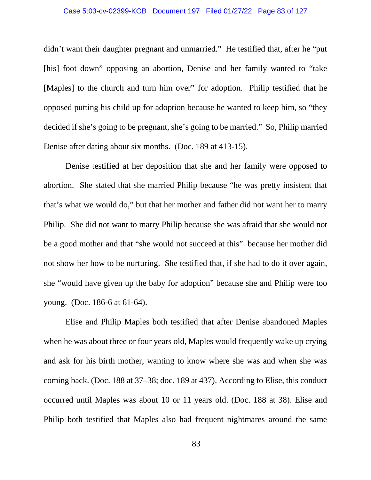### Case 5:03-cv-02399-KOB Document 197 Filed 01/27/22 Page 83 of 127

didn't want their daughter pregnant and unmarried." He testified that, after he "put [his] foot down" opposing an abortion, Denise and her family wanted to "take [Maples] to the church and turn him over" for adoption. Philip testified that he opposed putting his child up for adoption because he wanted to keep him, so "they decided if she's going to be pregnant, she's going to be married." So, Philip married Denise after dating about six months. (Doc. 189 at 413-15).

Denise testified at her deposition that she and her family were opposed to abortion. She stated that she married Philip because "he was pretty insistent that that's what we would do," but that her mother and father did not want her to marry Philip. She did not want to marry Philip because she was afraid that she would not be a good mother and that "she would not succeed at this" because her mother did not show her how to be nurturing. She testified that, if she had to do it over again, she "would have given up the baby for adoption" because she and Philip were too young. (Doc. 186-6 at 61-64).

Elise and Philip Maples both testified that after Denise abandoned Maples when he was about three or four years old, Maples would frequently wake up crying and ask for his birth mother, wanting to know where she was and when she was coming back. (Doc. 188 at 37–38; doc. 189 at 437). According to Elise, this conduct occurred until Maples was about 10 or 11 years old. (Doc. 188 at 38). Elise and Philip both testified that Maples also had frequent nightmares around the same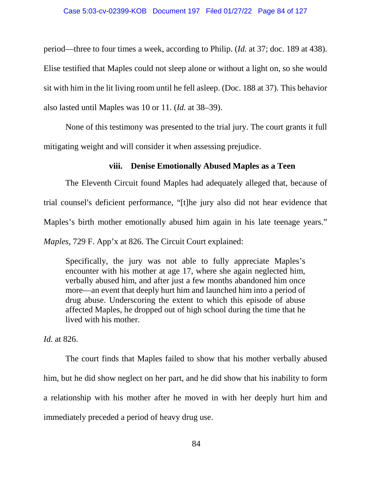period—three to four times a week, according to Philip. (*Id.* at 37; doc. 189 at 438). Elise testified that Maples could not sleep alone or without a light on, so she would sit with him in the lit living room until he fell asleep. (Doc. 188 at 37). This behavior also lasted until Maples was 10 or 11. (*Id.* at 38–39).

None of this testimony was presented to the trial jury. The court grants it full mitigating weight and will consider it when assessing prejudice.

# **viii. Denise Emotionally Abused Maples as a Teen**

The Eleventh Circuit found Maples had adequately alleged that, because of trial counsel's deficient performance, "[t]he jury also did not hear evidence that Maples's birth mother emotionally abused him again in his late teenage years." *Maples*, 729 F. App'x at 826. The Circuit Court explained:

Specifically, the jury was not able to fully appreciate Maples's encounter with his mother at age 17, where she again neglected him, verbally abused him, and after just a few months abandoned him once more—an event that deeply hurt him and launched him into a period of drug abuse. Underscoring the extent to which this episode of abuse affected Maples, he dropped out of high school during the time that he lived with his mother.

*Id.* at 826.

The court finds that Maples failed to show that his mother verbally abused him, but he did show neglect on her part, and he did show that his inability to form a relationship with his mother after he moved in with her deeply hurt him and immediately preceded a period of heavy drug use.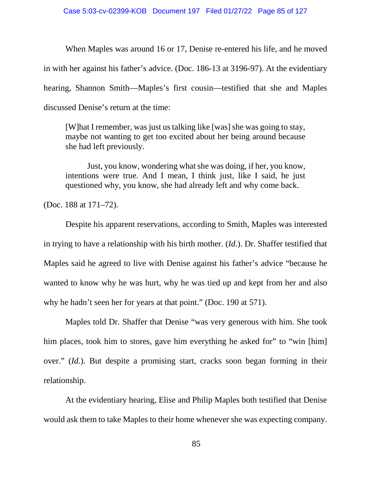When Maples was around 16 or 17, Denise re-entered his life, and he moved in with her against his father's advice. (Doc. 186-13 at 3196-97). At the evidentiary hearing, Shannon Smith—Maples's first cousin—testified that she and Maples discussed Denise's return at the time:

[W]hat I remember, was just us talking like [was] she was going to stay, maybe not wanting to get too excited about her being around because she had left previously.

Just, you know, wondering what she was doing, if her, you know, intentions were true. And I mean, I think just, like I said, he just questioned why, you know, she had already left and why come back.

(Doc. 188 at 171–72).

Despite his apparent reservations, according to Smith, Maples was interested in trying to have a relationship with his birth mother. (*Id.*). Dr. Shaffer testified that Maples said he agreed to live with Denise against his father's advice "because he wanted to know why he was hurt, why he was tied up and kept from her and also why he hadn't seen her for years at that point." (Doc. 190 at 571).

Maples told Dr. Shaffer that Denise "was very generous with him. She took him places, took him to stores, gave him everything he asked for" to "win [him] over." (*Id.*). But despite a promising start, cracks soon began forming in their relationship.

At the evidentiary hearing, Elise and Philip Maples both testified that Denise would ask them to take Maples to their home whenever she was expecting company.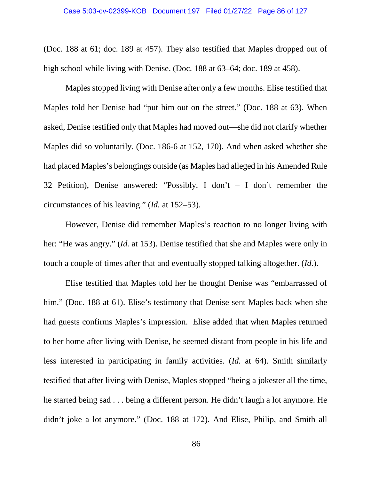(Doc. 188 at 61; doc. 189 at 457). They also testified that Maples dropped out of high school while living with Denise. (Doc. 188 at 63–64; doc. 189 at 458).

Maples stopped living with Denise after only a few months. Elise testified that Maples told her Denise had "put him out on the street." (Doc. 188 at 63). When asked, Denise testified only that Maples had moved out—she did not clarify whether Maples did so voluntarily. (Doc. 186-6 at 152, 170). And when asked whether she had placed Maples's belongings outside (as Maples had alleged in his Amended Rule 32 Petition), Denise answered: "Possibly. I don't – I don't remember the circumstances of his leaving." (*Id.* at 152–53).

However, Denise did remember Maples's reaction to no longer living with her: "He was angry." (*Id.* at 153). Denise testified that she and Maples were only in touch a couple of times after that and eventually stopped talking altogether. (*Id*.).

Elise testified that Maples told her he thought Denise was "embarrassed of him." (Doc. 188 at 61). Elise's testimony that Denise sent Maples back when she had guests confirms Maples's impression. Elise added that when Maples returned to her home after living with Denise, he seemed distant from people in his life and less interested in participating in family activities. (*Id.* at 64). Smith similarly testified that after living with Denise, Maples stopped "being a jokester all the time, he started being sad . . . being a different person. He didn't laugh a lot anymore. He didn't joke a lot anymore." (Doc. 188 at 172). And Elise, Philip, and Smith all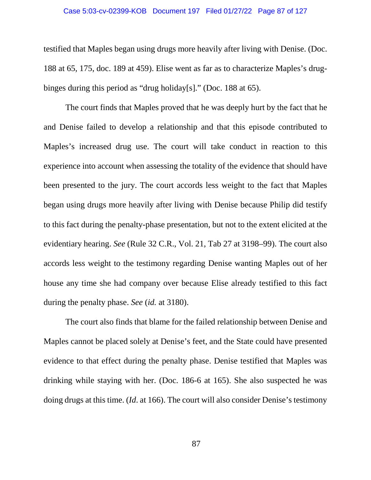#### Case 5:03-cv-02399-KOB Document 197 Filed 01/27/22 Page 87 of 127

testified that Maples began using drugs more heavily after living with Denise. (Doc. 188 at 65, 175, doc. 189 at 459). Elise went as far as to characterize Maples's drugbinges during this period as "drug holiday[s]." (Doc. 188 at 65).

The court finds that Maples proved that he was deeply hurt by the fact that he and Denise failed to develop a relationship and that this episode contributed to Maples's increased drug use. The court will take conduct in reaction to this experience into account when assessing the totality of the evidence that should have been presented to the jury. The court accords less weight to the fact that Maples began using drugs more heavily after living with Denise because Philip did testify to this fact during the penalty-phase presentation, but not to the extent elicited at the evidentiary hearing. *See* (Rule 32 C.R., Vol. 21, Tab 27 at 3198–99). The court also accords less weight to the testimony regarding Denise wanting Maples out of her house any time she had company over because Elise already testified to this fact during the penalty phase. *See* (*id.* at 3180).

The court also finds that blame for the failed relationship between Denise and Maples cannot be placed solely at Denise's feet, and the State could have presented evidence to that effect during the penalty phase. Denise testified that Maples was drinking while staying with her. (Doc. 186-6 at 165). She also suspected he was doing drugs at this time. (*Id*. at 166). The court will also consider Denise's testimony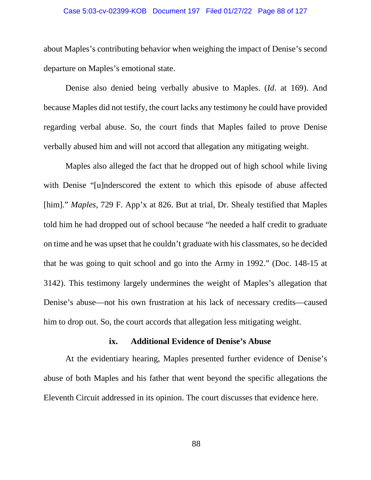#### Case 5:03-cv-02399-KOB Document 197 Filed 01/27/22 Page 88 of 127

about Maples's contributing behavior when weighing the impact of Denise's second departure on Maples's emotional state.

Denise also denied being verbally abusive to Maples. (*Id*. at 169). And because Maples did not testify, the court lacks any testimony he could have provided regarding verbal abuse. So, the court finds that Maples failed to prove Denise verbally abused him and will not accord that allegation any mitigating weight.

Maples also alleged the fact that he dropped out of high school while living with Denise "[u]nderscored the extent to which this episode of abuse affected [him]." *Maples*, 729 F. App'x at 826. But at trial, Dr. Shealy testified that Maples told him he had dropped out of school because "he needed a half credit to graduate on time and he was upset that he couldn't graduate with his classmates, so he decided that he was going to quit school and go into the Army in 1992." (Doc. 148-15 at 3142). This testimony largely undermines the weight of Maples's allegation that Denise's abuse—not his own frustration at his lack of necessary credits—caused him to drop out. So, the court accords that allegation less mitigating weight.

## **ix. Additional Evidence of Denise's Abuse**

At the evidentiary hearing, Maples presented further evidence of Denise's abuse of both Maples and his father that went beyond the specific allegations the Eleventh Circuit addressed in its opinion. The court discusses that evidence here.

88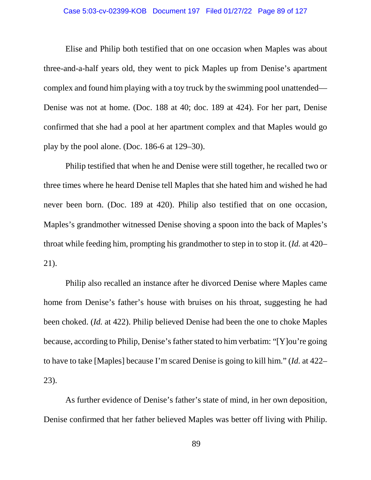### Case 5:03-cv-02399-KOB Document 197 Filed 01/27/22 Page 89 of 127

Elise and Philip both testified that on one occasion when Maples was about three-and-a-half years old, they went to pick Maples up from Denise's apartment complex and found him playing with a toy truck by the swimming pool unattended— Denise was not at home. (Doc. 188 at 40; doc. 189 at 424). For her part, Denise confirmed that she had a pool at her apartment complex and that Maples would go play by the pool alone. (Doc. 186-6 at 129–30).

Philip testified that when he and Denise were still together, he recalled two or three times where he heard Denise tell Maples that she hated him and wished he had never been born. (Doc. 189 at 420). Philip also testified that on one occasion, Maples's grandmother witnessed Denise shoving a spoon into the back of Maples's throat while feeding him, prompting his grandmother to step in to stop it. (*Id.* at 420– 21).

Philip also recalled an instance after he divorced Denise where Maples came home from Denise's father's house with bruises on his throat, suggesting he had been choked. (*Id.* at 422). Philip believed Denise had been the one to choke Maples because, according to Philip, Denise's father stated to him verbatim: "[Y]ou're going to have to take [Maples] because I'm scared Denise is going to kill him." (*Id.* at 422– 23).

As further evidence of Denise's father's state of mind, in her own deposition, Denise confirmed that her father believed Maples was better off living with Philip.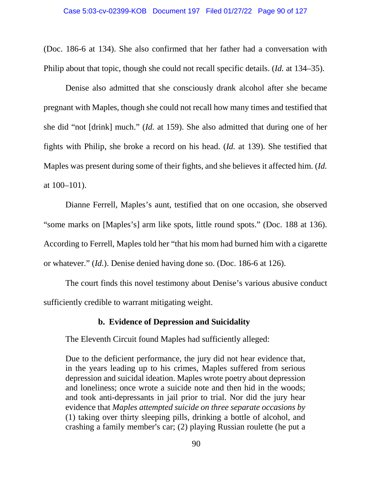(Doc. 186-6 at 134). She also confirmed that her father had a conversation with Philip about that topic, though she could not recall specific details. (*Id.* at 134–35).

Denise also admitted that she consciously drank alcohol after she became pregnant with Maples, though she could not recall how many times and testified that she did "not [drink] much." (*Id.* at 159). She also admitted that during one of her fights with Philip, she broke a record on his head. (*Id.* at 139). She testified that Maples was present during some of their fights, and she believes it affected him. (*Id.*  at 100–101).

Dianne Ferrell, Maples's aunt, testified that on one occasion, she observed "some marks on [Maples's] arm like spots, little round spots." (Doc. 188 at 136). According to Ferrell, Maples told her "that his mom had burned him with a cigarette or whatever." (*Id.*). Denise denied having done so. (Doc. 186-6 at 126).

The court finds this novel testimony about Denise's various abusive conduct sufficiently credible to warrant mitigating weight.

# **b. Evidence of Depression and Suicidality**

The Eleventh Circuit found Maples had sufficiently alleged:

Due to the deficient performance, the jury did not hear evidence that, in the years leading up to his crimes, Maples suffered from serious depression and suicidal ideation. Maples wrote poetry about depression and loneliness; once wrote a suicide note and then hid in the woods; and took anti-depressants in jail prior to trial. Nor did the jury hear evidence that *Maples attempted suicide on three separate occasions by* (1) taking over thirty sleeping pills, drinking a bottle of alcohol, and crashing a family member's car;  $(2)$  playing Russian roulette (he put a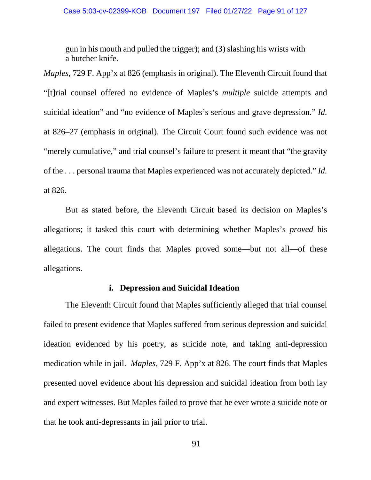gun in his mouth and pulled the trigger); and (3) slashing his wrists with a butcher knife.

*Maples*, 729 F. App'x at 826 (emphasis in original). The Eleventh Circuit found that "[t]rial counsel offered no evidence of Maples's *multiple* suicide attempts and suicidal ideation" and "no evidence of Maples's serious and grave depression." *Id.* at 826–27 (emphasis in original). The Circuit Court found such evidence was not "merely cumulative," and trial counsel's failure to present it meant that "the gravity" of the . . . personal trauma that Maples experienced was not accurately depicted." *Id.* at 826.

But as stated before, the Eleventh Circuit based its decision on Maples's allegations; it tasked this court with determining whether Maples's *proved* his allegations. The court finds that Maples proved some—but not all—of these allegations.

## **i. Depression and Suicidal Ideation**

The Eleventh Circuit found that Maples sufficiently alleged that trial counsel failed to present evidence that Maples suffered from serious depression and suicidal ideation evidenced by his poetry, as suicide note, and taking anti-depression medication while in jail. *Maples*, 729 F. App'x at 826. The court finds that Maples presented novel evidence about his depression and suicidal ideation from both lay and expert witnesses. But Maples failed to prove that he ever wrote a suicide note or that he took anti-depressants in jail prior to trial.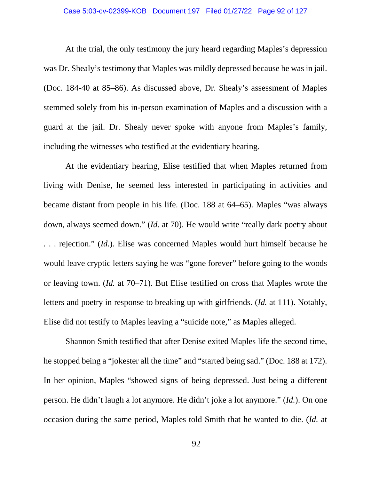### Case 5:03-cv-02399-KOB Document 197 Filed 01/27/22 Page 92 of 127

At the trial, the only testimony the jury heard regarding Maples's depression was Dr. Shealy's testimony that Maples was mildly depressed because he was in jail. (Doc. 184-40 at 85–86). As discussed above, Dr. Shealy's assessment of Maples stemmed solely from his in-person examination of Maples and a discussion with a guard at the jail. Dr. Shealy never spoke with anyone from Maples's family, including the witnesses who testified at the evidentiary hearing.

At the evidentiary hearing, Elise testified that when Maples returned from living with Denise, he seemed less interested in participating in activities and became distant from people in his life. (Doc. 188 at 64–65). Maples "was always down, always seemed down." *(Id.* at 70). He would write "really dark poetry about . . . rejection." (*Id.*). Elise was concerned Maples would hurt himself because he would leave cryptic letters saying he was "gone forever" before going to the woods or leaving town. (*Id.* at 70–71). But Elise testified on cross that Maples wrote the letters and poetry in response to breaking up with girlfriends. (*Id.* at 111). Notably, Elise did not testify to Maples leaving a "suicide note," as Maples alleged.

Shannon Smith testified that after Denise exited Maples life the second time, he stopped being a "jokester all the time" and "started being sad." (Doc. 188 at 172). In her opinion, Maples "showed signs of being depressed. Just being a different person. He didn't laugh a lot anymore. He didn't joke a lot anymore." (*Id.*). On one occasion during the same period, Maples told Smith that he wanted to die. (*Id.* at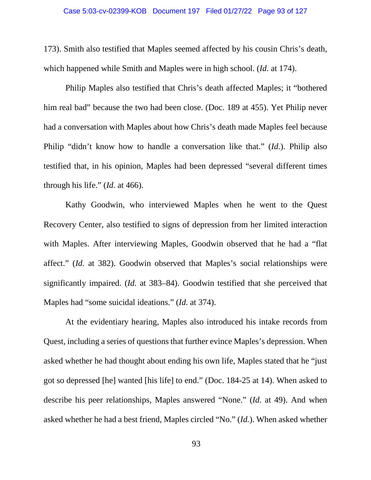#### Case 5:03-cv-02399-KOB Document 197 Filed 01/27/22 Page 93 of 127

173). Smith also testified that Maples seemed affected by his cousin Chris's death, which happened while Smith and Maples were in high school. (*Id.* at 174).

Philip Maples also testified that Chris's death affected Maples; it "bothered him real bad" because the two had been close. (Doc. 189 at 455). Yet Philip never had a conversation with Maples about how Chris's death made Maples feel because Philip "didn't know how to handle a conversation like that." (*Id.*). Philip also testified that, in his opinion, Maples had been depressed "several different times through his life." (*Id.* at 466).

Kathy Goodwin, who interviewed Maples when he went to the Quest Recovery Center, also testified to signs of depression from her limited interaction with Maples. After interviewing Maples, Goodwin observed that he had a "flat affect." (*Id.* at 382). Goodwin observed that Maples's social relationships were significantly impaired. (*Id.* at 383–84). Goodwin testified that she perceived that Maples had "some suicidal ideations." (*Id.* at 374).

At the evidentiary hearing, Maples also introduced his intake records from Quest, including a series of questions that further evince Maples's depression. When asked whether he had thought about ending his own life, Maples stated that he "just got so depressed [he] wanted [his life] to end." (Doc. 184-25 at 14). When asked to describe his peer relationships, Maples answered "None." (*Id.* at 49). And when asked whether he had a best friend, Maples circled "No." (*Id.*). When asked whether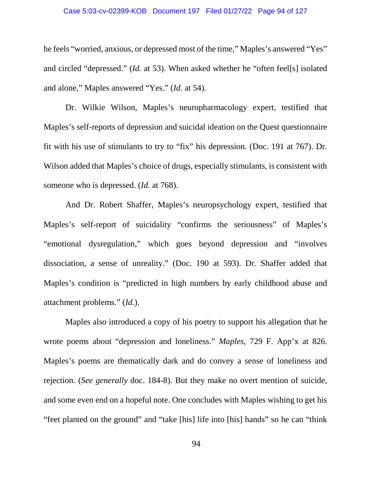### Case 5:03-cv-02399-KOB Document 197 Filed 01/27/22 Page 94 of 127

he feels "worried, anxious, or depressed most of the time," Maples's answered "Yes" and circled "depressed." (*Id.* at 53). When asked whether he "often feel[s] isolated and alone," Maples answered "Yes." (*Id.* at 54).

Dr. Wilkie Wilson, Maples's neuropharmacology expert, testified that Maples's self-reports of depression and suicidal ideation on the Quest questionnaire fit with his use of stimulants to try to "fix" his depression. (Doc. 191 at 767). Dr. Wilson added that Maples's choice of drugs, especially stimulants, is consistent with someone who is depressed. (*Id.* at 768).

And Dr. Robert Shaffer, Maples's neuropsychology expert, testified that Maples's self-report of suicidality "confirms the seriousness" of Maples's "emotional dysregulation," which goes beyond depression and "involves dissociation, a sense of unreality." (Doc. 190 at 593). Dr. Shaffer added that Maples's condition is "predicted in high numbers by early childhood abuse and attachment problems." (*Id.*).

Maples also introduced a copy of his poetry to support his allegation that he wrote poems about "depression and loneliness." *Maples*, 729 F. App'x at 826. Maples's poems are thematically dark and do convey a sense of loneliness and rejection. (*See generally* doc. 184-8). But they make no overt mention of suicide, and some even end on a hopeful note. One concludes with Maples wishing to get his "feet planted on the ground" and "take [his] life into [his] hands" so he can "think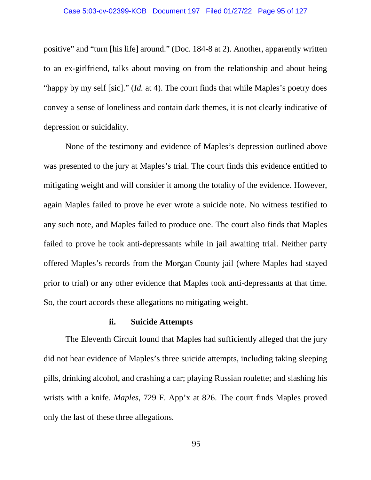positive" and "turn [his life] around." (Doc. 184-8 at 2). Another, apparently written to an ex-girlfriend, talks about moving on from the relationship and about being "happy by my self [sic]." (*Id.* at 4). The court finds that while Maples's poetry does convey a sense of loneliness and contain dark themes, it is not clearly indicative of depression or suicidality.

None of the testimony and evidence of Maples's depression outlined above was presented to the jury at Maples's trial. The court finds this evidence entitled to mitigating weight and will consider it among the totality of the evidence. However, again Maples failed to prove he ever wrote a suicide note. No witness testified to any such note, and Maples failed to produce one. The court also finds that Maples failed to prove he took anti-depressants while in jail awaiting trial. Neither party offered Maples's records from the Morgan County jail (where Maples had stayed prior to trial) or any other evidence that Maples took anti-depressants at that time. So, the court accords these allegations no mitigating weight.

## **ii. Suicide Attempts**

The Eleventh Circuit found that Maples had sufficiently alleged that the jury did not hear evidence of Maples's three suicide attempts, including taking sleeping pills, drinking alcohol, and crashing a car; playing Russian roulette; and slashing his wrists with a knife. *Maples*, 729 F. App'x at 826. The court finds Maples proved only the last of these three allegations.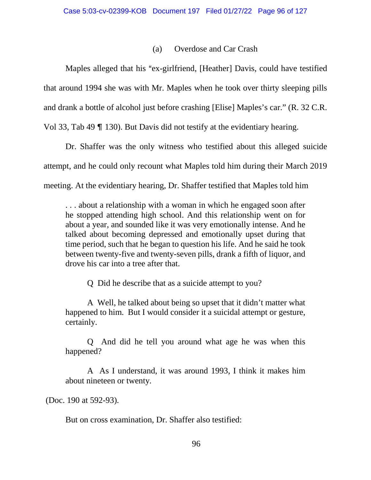# (a) Overdose and Car Crash

Maples alleged that his "ex-girlfriend, [Heather] Davis, could have testified that around 1994 she was with Mr. Maples when he took over thirty sleeping pills and drank a bottle of alcohol just before crashing [Elise] Maples's car." (R. 32 C.R. Vol 33, Tab 49  $\P$  130). But Davis did not testify at the evidentiary hearing.

Dr. Shaffer was the only witness who testified about this alleged suicide attempt, and he could only recount what Maples told him during their March 2019 meeting. At the evidentiary hearing, Dr. Shaffer testified that Maples told him

. . . about a relationship with a woman in which he engaged soon after he stopped attending high school. And this relationship went on for about a year, and sounded like it was very emotionally intense. And he talked about becoming depressed and emotionally upset during that time period, such that he began to question his life. And he said he took between twenty-five and twenty-seven pills, drank a fifth of liquor, and drove his car into a tree after that.

Q Did he describe that as a suicide attempt to you?

A Well, he talked about being so upset that it didn't matter what happened to him. But I would consider it a suicidal attempt or gesture, certainly.

Q And did he tell you around what age he was when this happened?

A As I understand, it was around 1993, I think it makes him about nineteen or twenty.

(Doc. 190 at 592-93).

But on cross examination, Dr. Shaffer also testified: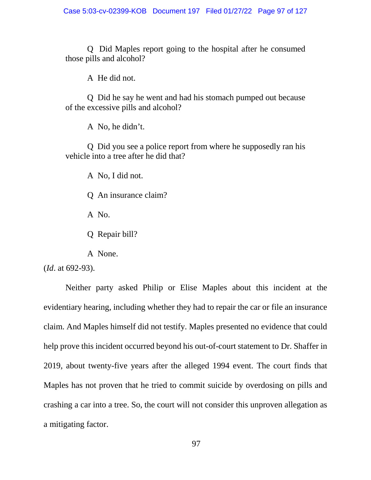Q Did Maples report going to the hospital after he consumed those pills and alcohol?

A He did not.

Q Did he say he went and had his stomach pumped out because of the excessive pills and alcohol?

A No, he didn't.

Q Did you see a police report from where he supposedly ran his vehicle into a tree after he did that?

A No, I did not.

Q An insurance claim?

A No.

Q Repair bill?

A None.

(*Id*. at 692-93).

Neither party asked Philip or Elise Maples about this incident at the evidentiary hearing, including whether they had to repair the car or file an insurance claim. And Maples himself did not testify. Maples presented no evidence that could help prove this incident occurred beyond his out-of-court statement to Dr. Shaffer in 2019, about twenty-five years after the alleged 1994 event. The court finds that Maples has not proven that he tried to commit suicide by overdosing on pills and crashing a car into a tree. So, the court will not consider this unproven allegation as a mitigating factor.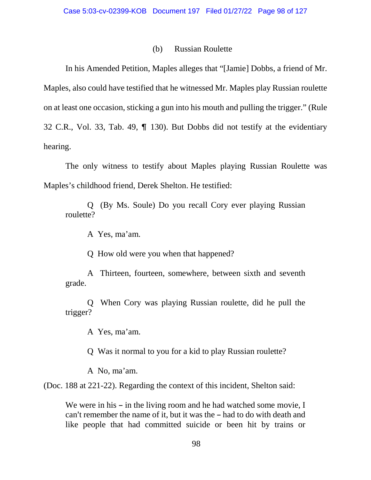## (b) Russian Roulette

In his Amended Petition, Maples alleges that "[Jamie] Dobbs, a friend of Mr. Maples, also could have testified that he witnessed Mr. Maples play Russian roulette on at least one occasion, sticking a gun into his mouth and pulling the trigger." (Rule 32 C.R., Vol. 33, Tab. 49,  $\P$  130). But Dobbs did not testify at the evidentiary hearing.

The only witness to testify about Maples playing Russian Roulette was Maples's childhood friend, Derek Shelton. He testified:

Q (By Ms. Soule) Do you recall Cory ever playing Russian roulette?

A Yes, ma'am.

Q How old were you when that happened?

A Thirteen, fourteen, somewhere, between sixth and seventh grade.

Q When Cory was playing Russian roulette, did he pull the trigger?

A Yes, ma'am.

Q Was it normal to you for a kid to play Russian roulette?

A No, ma'am.

(Doc. 188 at 221-22). Regarding the context of this incident, Shelton said:

We were in his  $-\text{ in the living room and he had watched some movie, I}$ can't remember the name of it, but it was the  $-$  had to do with death and like people that had committed suicide or been hit by trains or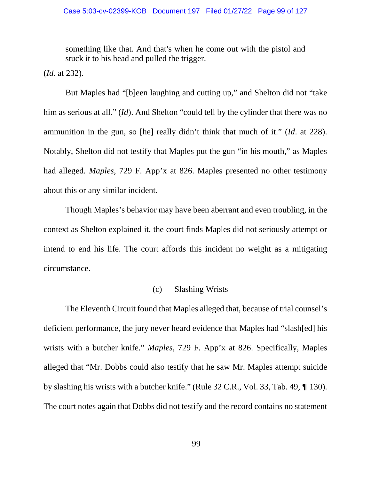something like that. And that's when he come out with the pistol and stuck it to his head and pulled the trigger.

(*Id*. at 232).

But Maples had "[b]een laughing and cutting up," and Shelton did not "take him as serious at all." (*Id*). And Shelton "could tell by the cylinder that there was no ammunition in the gun, so [he] really didn't think that much of it." (*Id*. at 228). Notably, Shelton did not testify that Maples put the gun "in his mouth," as Maples had alleged. *Maples*, 729 F. App'x at 826. Maples presented no other testimony about this or any similar incident.

Though Maples's behavior may have been aberrant and even troubling, in the context as Shelton explained it, the court finds Maples did not seriously attempt or intend to end his life. The court affords this incident no weight as a mitigating circumstance.

## (c) Slashing Wrists

The Eleventh Circuit found that Maples alleged that, because of trial counsel's deficient performance, the jury never heard evidence that Maples had "slash[ed] his wrists with a butcher knife." *Maples*, 729 F. App'x at 826. Specifically, Maples alleged that "Mr. Dobbs could also testify that he saw Mr. Maples attempt suicide by slashing his wrists with a butcher knife." (Rule  $32$  C.R., Vol. 33, Tab. 49,  $\P$  130). The court notes again that Dobbs did not testify and the record contains no statement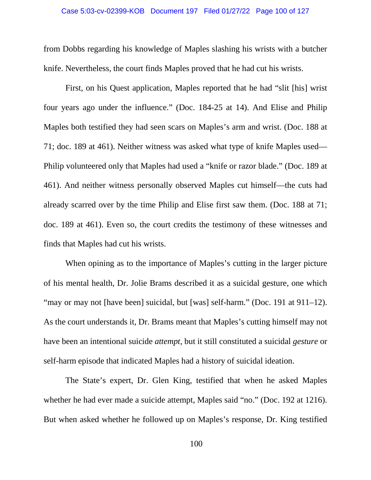#### Case 5:03-cv-02399-KOB Document 197 Filed 01/27/22 Page 100 of 127

from Dobbs regarding his knowledge of Maples slashing his wrists with a butcher knife. Nevertheless, the court finds Maples proved that he had cut his wrists.

First, on his Quest application, Maples reported that he had "slit [his] wrist four years ago under the influence." (Doc. 184-25 at 14). And Elise and Philip Maples both testified they had seen scars on Maples's arm and wrist. (Doc. 188 at 71; doc. 189 at 461). Neither witness was asked what type of knife Maples used— Philip volunteered only that Maples had used a "knife or razor blade." (Doc. 189 at 461). And neither witness personally observed Maples cut himself—the cuts had already scarred over by the time Philip and Elise first saw them. (Doc. 188 at 71; doc. 189 at 461). Even so, the court credits the testimony of these witnesses and finds that Maples had cut his wrists.

When opining as to the importance of Maples's cutting in the larger picture of his mental health, Dr. Jolie Brams described it as a suicidal gesture, one which "may or may not [have been] suicidal, but [was] self-harm." (Doc. 191 at 911–12). As the court understands it, Dr. Brams meant that Maples's cutting himself may not have been an intentional suicide *attempt*, but it still constituted a suicidal *gesture* or self-harm episode that indicated Maples had a history of suicidal ideation.

The State's expert, Dr. Glen King, testified that when he asked Maples whether he had ever made a suicide attempt, Maples said "no." (Doc. 192 at 1216). But when asked whether he followed up on Maples's response, Dr. King testified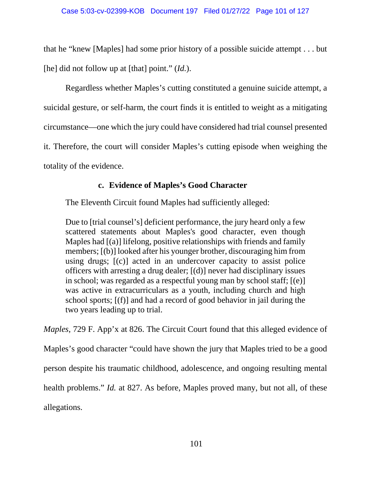that he "knew [Maples] had some prior history of a possible suicide attempt . . . but [he] did not follow up at [that] point." *(Id.)*.

Regardless whether Maples's cutting constituted a genuine suicide attempt, a suicidal gesture, or self-harm, the court finds it is entitled to weight as a mitigating circumstance—one which the jury could have considered had trial counsel presented it. Therefore, the court will consider Maples's cutting episode when weighing the totality of the evidence.

# **c. Evidence of Maples's Good Character**

The Eleventh Circuit found Maples had sufficiently alleged:

Due to [trial counsel's] deficient performance, the jury heard only a few scattered statements about Maples's good character, even though Maples had  $[(a)]$  lifelong, positive relationships with friends and family members; [(b)] looked after his younger brother, discouraging him from using drugs; [(c)] acted in an undercover capacity to assist police officers with arresting a drug dealer; [(d)] never had disciplinary issues in school; was regarded as a respectful young man by school staff; [(e)] was active in extracurriculars as a youth, including church and high school sports; [(f)] and had a record of good behavior in jail during the two years leading up to trial.

*Maples*, 729 F. App'x at 826. The Circuit Court found that this alleged evidence of Maples's good character "could have shown the jury that Maples tried to be a good person despite his traumatic childhood, adolescence, and ongoing resulting mental health problems." *Id.* at 827. As before, Maples proved many, but not all, of these allegations.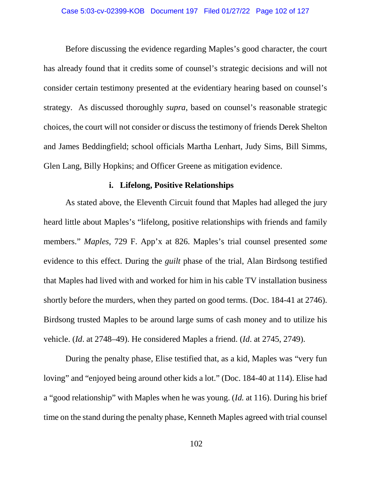### Case 5:03-cv-02399-KOB Document 197 Filed 01/27/22 Page 102 of 127

Before discussing the evidence regarding Maples's good character, the court has already found that it credits some of counsel's strategic decisions and will not consider certain testimony presented at the evidentiary hearing based on counsel's strategy. As discussed thoroughly *supra*, based on counsel's reasonable strategic choices, the court will not consider or discuss the testimony of friends Derek Shelton and James Beddingfield; school officials Martha Lenhart, Judy Sims, Bill Simms, Glen Lang, Billy Hopkins; and Officer Greene as mitigation evidence.

## **i. Lifelong, Positive Relationships**

As stated above, the Eleventh Circuit found that Maples had alleged the jury heard little about Maples's "lifelong, positive relationships with friends and family members." *Maples*, 729 F. App'x at 826. Maples's trial counsel presented *some*  evidence to this effect. During the *guilt* phase of the trial, Alan Birdsong testified that Maples had lived with and worked for him in his cable TV installation business shortly before the murders, when they parted on good terms. (Doc. 184-41 at 2746). Birdsong trusted Maples to be around large sums of cash money and to utilize his vehicle. (*Id*. at 2748–49). He considered Maples a friend. (*Id*. at 2745, 2749).

During the penalty phase, Elise testified that, as a kid, Maples was "very fun loving" and "enjoyed being around other kids a lot." (Doc. 184-40 at 114). Elise had a "good relationship" with Maples when he was young. (*Id.* at 116). During his brief time on the stand during the penalty phase, Kenneth Maples agreed with trial counsel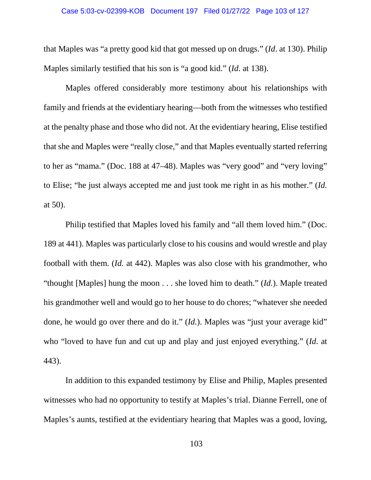### Case 5:03-cv-02399-KOB Document 197 Filed 01/27/22 Page 103 of 127

that Maples was "a pretty good kid that got messed up on drugs." (*Id*. at 130). Philip Maples similarly testified that his son is "a good kid." (*Id*. at 138).

Maples offered considerably more testimony about his relationships with family and friends at the evidentiary hearing—both from the witnesses who testified at the penalty phase and those who did not. At the evidentiary hearing, Elise testified that she and Maples were "really close," and that Maples eventually started referring to her as "mama." (Doc. 188 at 47–48). Maples was "very good" and "very loving" to Elise; "he just always accepted me and just took me right in as his mother." (*Id.* at 50).

Philip testified that Maples loved his family and "all them loved him." (Doc. 189 at 441). Maples was particularly close to his cousins and would wrestle and play football with them. (*Id.* at 442). Maples was also close with his grandmother, who "thought [Maples] hung the moon . . . she loved him to death." (*Id.*). Maple treated his grandmother well and would go to her house to do chores; "whatever she needed done, he would go over there and do it." (*Id.*). Maples was "just your average kid" who "loved to have fun and cut up and play and just enjoyed everything." (*Id*. at 443).

In addition to this expanded testimony by Elise and Philip, Maples presented witnesses who had no opportunity to testify at Maples's trial. Dianne Ferrell, one of Maples's aunts, testified at the evidentiary hearing that Maples was a good, loving,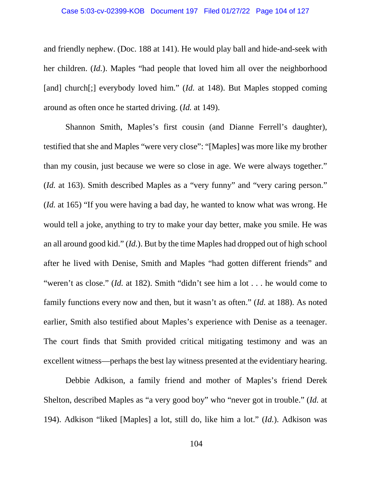and friendly nephew. (Doc. 188 at 141). He would play ball and hide-and-seek with her children. (*Id.*). Maples "had people that loved him all over the neighborhood [and] church[;] everybody loved him." (*Id.* at 148). But Maples stopped coming around as often once he started driving. (*Id.* at 149).

Shannon Smith, Maples's first cousin (and Dianne Ferrell's daughter), testified that she and Maples "were very close": "[Maples] was more like my brother than my cousin, just because we were so close in age. We were always together." (*Id.* at 163). Smith described Maples as a "very funny" and "very caring person." (*Id.* at 165) "If you were having a bad day, he wanted to know what was wrong. He would tell a joke, anything to try to make your day better, make you smile. He was an all around good kid." (*Id.*). But by the time Maples had dropped out of high school after he lived with Denise, Smith and Maples "had gotten different friends" and "weren't as close." *(Id.* at 182). Smith "didn't see him a lot . . . he would come to family functions every now and then, but it wasn't as often." (*Id.* at 188). As noted earlier, Smith also testified about Maples's experience with Denise as a teenager. The court finds that Smith provided critical mitigating testimony and was an excellent witness—perhaps the best lay witness presented at the evidentiary hearing.

Debbie Adkison, a family friend and mother of Maples's friend Derek Shelton, described Maples as "a very good boy" who "never got in trouble." (*Id.* at 194). Adkison "liked [Maples] a lot, still do, like him a lot." (*Id.*). Adkison was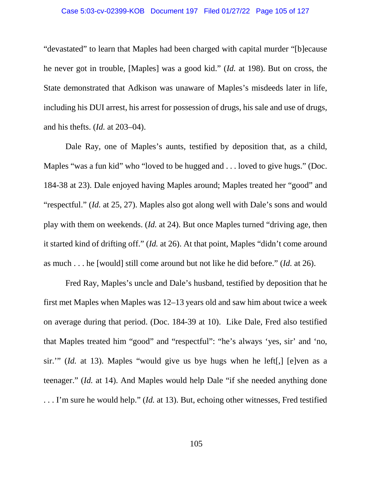### Case 5:03-cv-02399-KOB Document 197 Filed 01/27/22 Page 105 of 127

"devastated" to learn that Maples had been charged with capital murder "[b]ecause he never got in trouble, [Maples] was a good kid." (*Id.* at 198). But on cross, the State demonstrated that Adkison was unaware of Maples's misdeeds later in life, including his DUI arrest, his arrest for possession of drugs, his sale and use of drugs, and his thefts. (*Id.* at 203–04).

Dale Ray, one of Maples's aunts, testified by deposition that, as a child, Maples "was a fun kid" who "loved to be hugged and . . . loved to give hugs." (Doc. 184-38 at 23). Dale enjoyed having Maples around; Maples treated her "good" and "respectful." (*Id.* at 25, 27). Maples also got along well with Dale's sons and would play with them on weekends. (*Id.* at 24). But once Maples turned "driving age, then it started kind of drifting off." (*Id.* at 26). At that point, Maples "didn't come around as much . . . he [would] still come around but not like he did before." (*Id.* at 26).

Fred Ray, Maples's uncle and Dale's husband, testified by deposition that he first met Maples when Maples was 12–13 years old and saw him about twice a week on average during that period. (Doc. 184-39 at 10). Like Dale, Fred also testified that Maples treated him "good" and "respectful": "he's always 'yes, sir' and 'no, sir.'" (*Id.* at 13). Maples "would give us bye hugs when he left[,] [e]ven as a teenager." (*Id.* at 14). And Maples would help Dale "if she needed anything done . . . I'm sure he would help." (*Id.* at 13). But, echoing other witnesses, Fred testified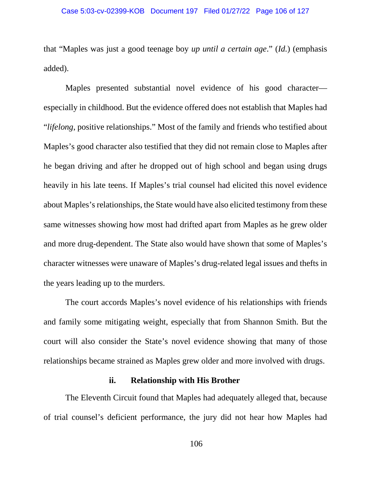that "Maples was just a good teenage boy *up until a certain age*." (*Id.*) (emphasis added).

Maples presented substantial novel evidence of his good character especially in childhood. But the evidence offered does not establish that Maples had "*lifelong*, positive relationships." Most of the family and friends who testified about Maples's good character also testified that they did not remain close to Maples after he began driving and after he dropped out of high school and began using drugs heavily in his late teens. If Maples's trial counsel had elicited this novel evidence about Maples's relationships, the State would have also elicited testimony from these same witnesses showing how most had drifted apart from Maples as he grew older and more drug-dependent. The State also would have shown that some of Maples's character witnesses were unaware of Maples's drug-related legal issues and thefts in the years leading up to the murders.

The court accords Maples's novel evidence of his relationships with friends and family some mitigating weight, especially that from Shannon Smith. But the court will also consider the State's novel evidence showing that many of those relationships became strained as Maples grew older and more involved with drugs.

## **ii. Relationship with His Brother**

The Eleventh Circuit found that Maples had adequately alleged that, because of trial counsel's deficient performance, the jury did not hear how Maples had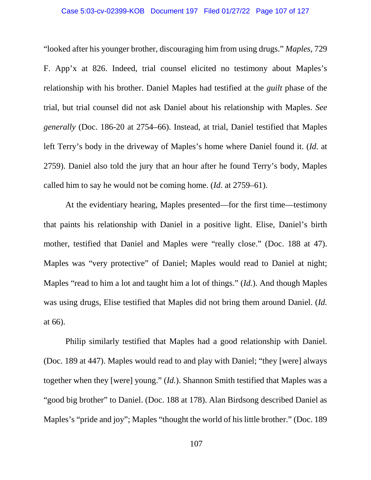### Case 5:03-cv-02399-KOB Document 197 Filed 01/27/22 Page 107 of 127

"looked after his younger brother, discouraging him from using drugs." *Maples*, 729 F. App'x at 826. Indeed, trial counsel elicited no testimony about Maples's relationship with his brother. Daniel Maples had testified at the *guilt* phase of the trial, but trial counsel did not ask Daniel about his relationship with Maples. *See generally* (Doc. 186-20 at 2754–66). Instead, at trial, Daniel testified that Maples left Terry's body in the driveway of Maples's home where Daniel found it. (*Id.* at 2759). Daniel also told the jury that an hour after he found Terry's body, Maples called him to say he would not be coming home. (*Id.* at 2759–61).

At the evidentiary hearing, Maples presented—for the first time—testimony that paints his relationship with Daniel in a positive light. Elise, Daniel's birth mother, testified that Daniel and Maples were "really close." (Doc. 188 at 47). Maples was "very protective" of Daniel; Maples would read to Daniel at night; Maples "read to him a lot and taught him a lot of things." (*Id.*). And though Maples was using drugs, Elise testified that Maples did not bring them around Daniel. (*Id.*  at 66).

Philip similarly testified that Maples had a good relationship with Daniel. (Doc. 189 at 447). Maples would read to and play with Daniel; "they [were] always together when they [were] young." (*Id.*). Shannon Smith testified that Maples was a "good big brother" to Daniel. (Doc. 188 at 178). Alan Birdsong described Daniel as Maples's "pride and joy"; Maples "thought the world of his little brother." (Doc. 189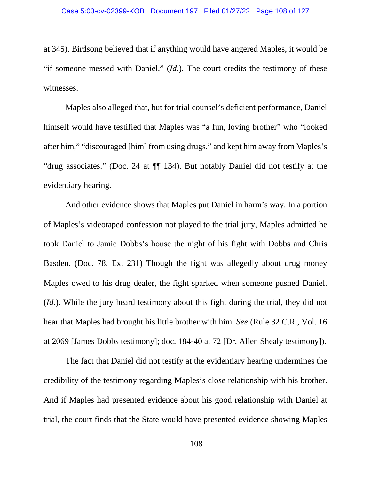at 345). Birdsong believed that if anything would have angered Maples, it would be "if someone messed with Daniel." (*Id.*). The court credits the testimony of these witnesses.

Maples also alleged that, but for trial counsel's deficient performance, Daniel himself would have testified that Maples was "a fun, loving brother" who "looked after him," "discouraged [him] from using drugs," and kept him away from Maples's "drug associates." (Doc. 24 at ¶¶ 134). But notably Daniel did not testify at the evidentiary hearing.

And other evidence shows that Maples put Daniel in harm's way. In a portion of Maples's videotaped confession not played to the trial jury, Maples admitted he took Daniel to Jamie Dobbs's house the night of his fight with Dobbs and Chris Basden. (Doc. 78, Ex. 231) Though the fight was allegedly about drug money Maples owed to his drug dealer, the fight sparked when someone pushed Daniel. (*Id.*). While the jury heard testimony about this fight during the trial, they did not hear that Maples had brought his little brother with him. *See* (Rule 32 C.R., Vol. 16 at 2069 [James Dobbs testimony]; doc. 184-40 at 72 [Dr. Allen Shealy testimony]).

The fact that Daniel did not testify at the evidentiary hearing undermines the credibility of the testimony regarding Maples's close relationship with his brother. And if Maples had presented evidence about his good relationship with Daniel at trial, the court finds that the State would have presented evidence showing Maples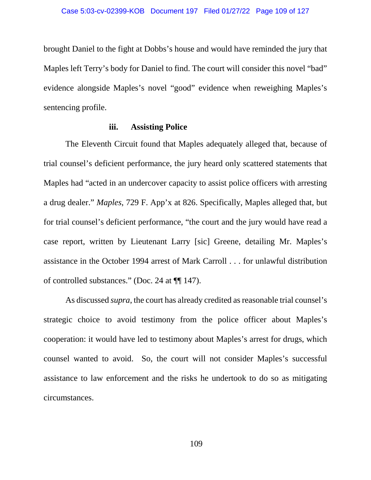brought Daniel to the fight at Dobbs's house and would have reminded the jury that Maples left Terry's body for Daniel to find. The court will consider this novel "bad" evidence alongside Maples's novel "good" evidence when reweighing Maples's sentencing profile.

### **iii. Assisting Police**

The Eleventh Circuit found that Maples adequately alleged that, because of trial counsel's deficient performance, the jury heard only scattered statements that Maples had "acted in an undercover capacity to assist police officers with arresting a drug dealer." *Maples*, 729 F. App'x at 826. Specifically, Maples alleged that, but for trial counsel's deficient performance, "the court and the jury would have read a case report, written by Lieutenant Larry [sic] Greene, detailing Mr. Maples's assistance in the October 1994 arrest of Mark Carroll . . . for unlawful distribution of controlled substances." (Doc. 24 at ¶¶ 147).

As discussed *supra*, the court has already credited as reasonable trial counsel's strategic choice to avoid testimony from the police officer about Maples's cooperation: it would have led to testimony about Maples's arrest for drugs, which counsel wanted to avoid. So, the court will not consider Maples's successful assistance to law enforcement and the risks he undertook to do so as mitigating circumstances.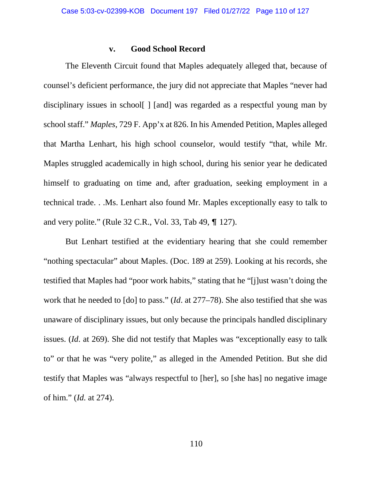### **v. Good School Record**

The Eleventh Circuit found that Maples adequately alleged that, because of counsel's deficient performance, the jury did not appreciate that Maples "never had disciplinary issues in school[ ] [and] was regarded as a respectful young man by school staff." *Maples*, 729 F. App'x at 826. In his Amended Petition, Maples alleged that Martha Lenhart, his high school counselor, would testify "that, while Mr. Maples struggled academically in high school, during his senior year he dedicated himself to graduating on time and, after graduation, seeking employment in a technical trade. . .Ms. Lenhart also found Mr. Maples exceptionally easy to talk to and very polite." (Rule  $32$  C.R., Vol.  $33$ , Tab  $49$ ,  $\P$  127).

But Lenhart testified at the evidentiary hearing that she could remember "nothing spectacular" about Maples. (Doc. 189 at 259). Looking at his records, she testified that Maples had "poor work habits," stating that he "[j]ust wasn't doing the work that he needed to [do] to pass." (*Id*. at 277–78). She also testified that she was unaware of disciplinary issues, but only because the principals handled disciplinary issues. (*Id*. at 269). She did not testify that Maples was "exceptionally easy to talk to" or that he was "very polite," as alleged in the Amended Petition. But she did testify that Maples was "always respectful to [her], so [she has] no negative image of him." (*Id.* at 274).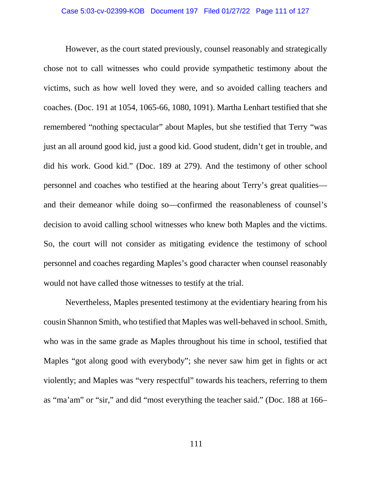However, as the court stated previously, counsel reasonably and strategically chose not to call witnesses who could provide sympathetic testimony about the victims, such as how well loved they were, and so avoided calling teachers and coaches. (Doc. 191 at 1054, 1065-66, 1080, 1091). Martha Lenhart testified that she remembered "nothing spectacular" about Maples, but she testified that Terry "was just an all around good kid, just a good kid. Good student, didn't get in trouble, and did his work. Good kid." (Doc. 189 at 279). And the testimony of other school personnel and coaches who testified at the hearing about Terry's great qualities and their demeanor while doing so—confirmed the reasonableness of counsel's decision to avoid calling school witnesses who knew both Maples and the victims. So, the court will not consider as mitigating evidence the testimony of school personnel and coaches regarding Maples's good character when counsel reasonably would not have called those witnesses to testify at the trial.

Nevertheless, Maples presented testimony at the evidentiary hearing from his cousin Shannon Smith, who testified that Maples was well-behaved in school. Smith, who was in the same grade as Maples throughout his time in school, testified that Maples "got along good with everybody"; she never saw him get in fights or act violently; and Maples was "very respectful" towards his teachers, referring to them as "ma'am" or "sir," and did "most everything the teacher said." (Doc. 188 at 166–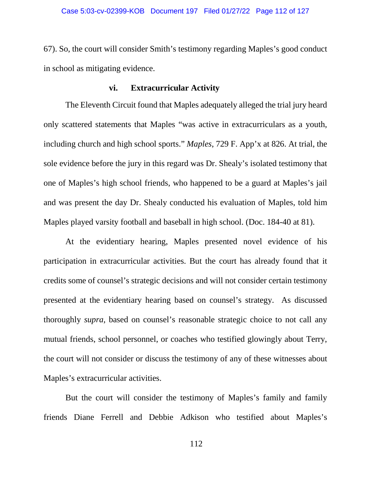67). So, the court will consider Smith's testimony regarding Maples's good conduct in school as mitigating evidence.

## **vi. Extracurricular Activity**

The Eleventh Circuit found that Maples adequately alleged the trial jury heard only scattered statements that Maples "was active in extracurriculars as a youth, including church and high school sports." *Maples*, 729 F. App'x at 826. At trial, the sole evidence before the jury in this regard was Dr. Shealy's isolated testimony that one of Maples's high school friends, who happened to be a guard at Maples's jail and was present the day Dr. Shealy conducted his evaluation of Maples, told him Maples played varsity football and baseball in high school. (Doc. 184-40 at 81).

At the evidentiary hearing, Maples presented novel evidence of his participation in extracurricular activities. But the court has already found that it credits some of counsel's strategic decisions and will not consider certain testimony presented at the evidentiary hearing based on counsel's strategy. As discussed thoroughly *supra*, based on counsel's reasonable strategic choice to not call any mutual friends, school personnel, or coaches who testified glowingly about Terry, the court will not consider or discuss the testimony of any of these witnesses about Maples's extracurricular activities.

But the court will consider the testimony of Maples's family and family friends Diane Ferrell and Debbie Adkison who testified about Maples's

112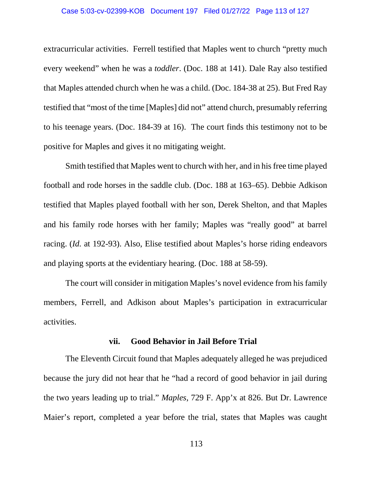#### Case 5:03-cv-02399-KOB Document 197 Filed 01/27/22 Page 113 of 127

extracurricular activities. Ferrell testified that Maples went to church "pretty much every weekend" when he was a *toddler*. (Doc. 188 at 141). Dale Ray also testified that Maples attended church when he was a child. (Doc. 184-38 at 25). But Fred Ray testified that "most of the time [Maples] did not" attend church, presumably referring to his teenage years. (Doc. 184-39 at 16). The court finds this testimony not to be positive for Maples and gives it no mitigating weight.

Smith testified that Maples went to church with her, and in his free time played football and rode horses in the saddle club. (Doc. 188 at 163–65). Debbie Adkison testified that Maples played football with her son, Derek Shelton, and that Maples and his family rode horses with her family; Maples was "really good" at barrel racing. (*Id.* at 192-93). Also, Elise testified about Maples's horse riding endeavors and playing sports at the evidentiary hearing. (Doc. 188 at 58-59).

The court will consider in mitigation Maples's novel evidence from his family members, Ferrell, and Adkison about Maples's participation in extracurricular activities.

### **vii. Good Behavior in Jail Before Trial**

The Eleventh Circuit found that Maples adequately alleged he was prejudiced because the jury did not hear that he "had a record of good behavior in jail during the two years leading up to trial." *Maples*, 729 F. App'x at 826. But Dr. Lawrence Maier's report, completed a year before the trial, states that Maples was caught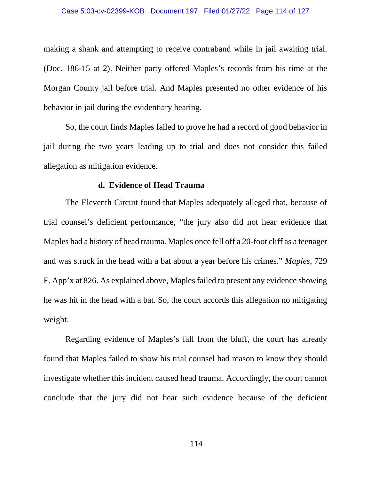making a shank and attempting to receive contraband while in jail awaiting trial. (Doc. 186-15 at 2). Neither party offered Maples's records from his time at the Morgan County jail before trial. And Maples presented no other evidence of his behavior in jail during the evidentiary hearing.

So, the court finds Maples failed to prove he had a record of good behavior in jail during the two years leading up to trial and does not consider this failed allegation as mitigation evidence.

# **d. Evidence of Head Trauma**

The Eleventh Circuit found that Maples adequately alleged that, because of trial counsel's deficient performance, "the jury also did not hear evidence that Maples had a history of head trauma. Maples once fell off a 20-foot cliff as a teenager and was struck in the head with a bat about a year before his crimes." *Maples*, 729 F. App'x at 826. As explained above, Maples failed to present any evidence showing he was hit in the head with a bat. So, the court accords this allegation no mitigating weight.

Regarding evidence of Maples's fall from the bluff, the court has already found that Maples failed to show his trial counsel had reason to know they should investigate whether this incident caused head trauma. Accordingly, the court cannot conclude that the jury did not hear such evidence because of the deficient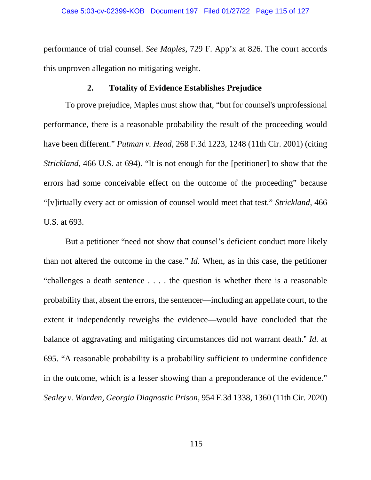performance of trial counsel. *See Maples*, 729 F. App'x at 826. The court accords this unproven allegation no mitigating weight.

### **2. Totality of Evidence Establishes Prejudice**

To prove prejudice, Maples must show that, "but for counsel's unprofessional performance, there is a reasonable probability the result of the proceeding would have been different." *Putman v. Head*, 268 F.3d 1223, 1248 (11th Cir. 2001) (citing *Strickland*, 466 U.S. at 694). "It is not enough for the [petitioner] to show that the errors had some conceivable effect on the outcome of the proceeding" because "[v]irtually every act or omission of counsel would meet that test." *Strickland*, 466 U.S. at 693.

But a petitioner "need not show that counsel's deficient conduct more likely than not altered the outcome in the case." *Id.* When, as in this case, the petitioner "challenges a death sentence . . . . the question is whether there is a reasonable probability that, absent the errors, the sentencer—including an appellate court, to the extent it independently reweighs the evidence—would have concluded that the balance of aggravating and mitigating circumstances did not warrant death." *Id.* at 695. "A reasonable probability is a probability sufficient to undermine confidence in the outcome, which is a lesser showing than a preponderance of the evidence." *Sealey v. Warden, Georgia Diagnostic Prison*, 954 F.3d 1338, 1360 (11th Cir. 2020)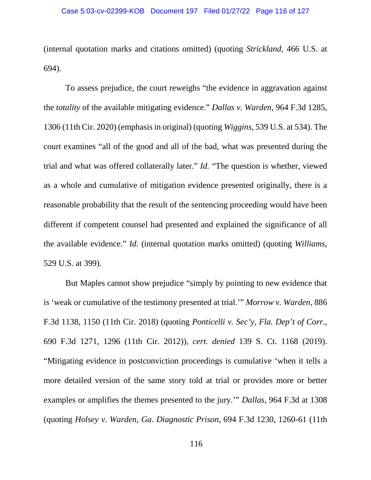(internal quotation marks and citations omitted) (quoting *Strickland*, 466 U.S. at 694).

To assess prejudice, the court reweighs "the evidence in aggravation against the *totality* of the available mitigating evidence." *Dallas v. Warden*, 964 F.3d 1285, 1306 (11th Cir. 2020) (emphasis in original) (quoting *Wiggins*, 539 U.S. at 534). The court examines "all of the good and all of the bad, what was presented during the trial and what was offered collaterally later." *Id.* "The question is whether, viewed as a whole and cumulative of mitigation evidence presented originally, there is a reasonable probability that the result of the sentencing proceeding would have been different if competent counsel had presented and explained the significance of all the available evidence." *Id.* (internal quotation marks omitted) (quoting *Williams*, 529 U.S. at 399).

But Maples cannot show prejudice "simply by pointing to new evidence that is 'weak or cumulative of the testimony presented at trial.'" *Morrow v. Warden*, 886 F.3d 1138, 1150 (11th Cir. 2018) (quoting *Ponticelli v. Sec'y, Fla. Dep't of Corr.*, 690 F.3d 1271, 1296 (11th Cir. 2012)), *cert. denied* 139 S. Ct. 1168 (2019). "Mitigating evidence in postconviction proceedings is cumulative 'when it tells a more detailed version of the same story told at trial or provides more or better examples or amplifies the themes presented to the jury.'" *Dallas*, 964 F.3d at 1308 (quoting *Holsey v. Warden, Ga. Diagnostic Prison*, 694 F.3d 1230, 1260-61 (11th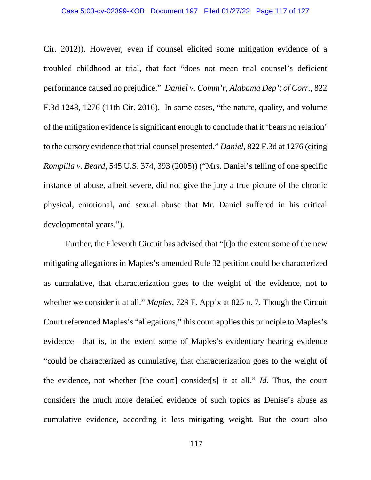Cir. 2012)). However, even if counsel elicited some mitigation evidence of a troubled childhood at trial, that fact "does not mean trial counsel's deficient performance caused no prejudice." *Daniel v. Comm'r, Alabama Dep't of Corr.*, 822 F.3d 1248, 1276 (11th Cir. 2016). In some cases, "the nature, quality, and volume of the mitigation evidence is significant enough to conclude that it 'bears no relation' to the cursory evidence that trial counsel presented." *Daniel*, 822 F.3d at 1276 (citing *Rompilla v. Beard*, 545 U.S. 374, 393 (2005)) ("Mrs. Daniel's telling of one specific instance of abuse, albeit severe, did not give the jury a true picture of the chronic physical, emotional, and sexual abuse that Mr. Daniel suffered in his critical developmental years.").

Further, the Eleventh Circuit has advised that "[t]o the extent some of the new mitigating allegations in Maples's amended Rule 32 petition could be characterized as cumulative, that characterization goes to the weight of the evidence, not to whether we consider it at all." *Maples*, 729 F. App'x at 825 n. 7. Though the Circuit Court referenced Maples's "allegations," this court applies this principle to Maples's evidence—that is, to the extent some of Maples's evidentiary hearing evidence "could be characterized as cumulative, that characterization goes to the weight of the evidence, not whether [the court] consider[s] it at all." *Id.* Thus, the court considers the much more detailed evidence of such topics as Denise's abuse as cumulative evidence, according it less mitigating weight. But the court also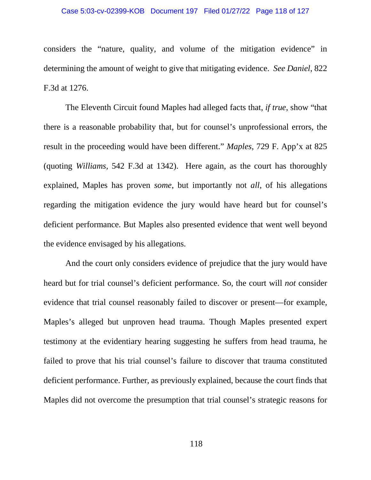#### Case 5:03-cv-02399-KOB Document 197 Filed 01/27/22 Page 118 of 127

considers the "nature, quality, and volume of the mitigation evidence" in determining the amount of weight to give that mitigating evidence. *See Daniel*, 822 F.3d at 1276.

The Eleventh Circuit found Maples had alleged facts that, *if true*, show "that there is a reasonable probability that, but for counsel's unprofessional errors, the result in the proceeding would have been different." *Maples*, 729 F. App'x at 825 (quoting *Williams*, 542 F.3d at 1342). Here again, as the court has thoroughly explained, Maples has proven *some*, but importantly not *all*, of his allegations regarding the mitigation evidence the jury would have heard but for counsel's deficient performance. But Maples also presented evidence that went well beyond the evidence envisaged by his allegations.

And the court only considers evidence of prejudice that the jury would have heard but for trial counsel's deficient performance. So, the court will *not* consider evidence that trial counsel reasonably failed to discover or present—for example, Maples's alleged but unproven head trauma. Though Maples presented expert testimony at the evidentiary hearing suggesting he suffers from head trauma, he failed to prove that his trial counsel's failure to discover that trauma constituted deficient performance. Further, as previously explained, because the court finds that Maples did not overcome the presumption that trial counsel's strategic reasons for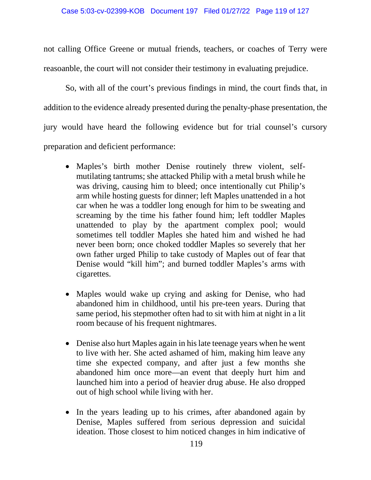not calling Office Greene or mutual friends, teachers, or coaches of Terry were reasoanble, the court will not consider their testimony in evaluating prejudice.

So, with all of the court's previous findings in mind, the court finds that, in addition to the evidence already presented during the penalty-phase presentation, the jury would have heard the following evidence but for trial counsel's cursory preparation and deficient performance:

- Maples's birth mother Denise routinely threw violent, selfmutilating tantrums; she attacked Philip with a metal brush while he was driving, causing him to bleed; once intentionally cut Philip's arm while hosting guests for dinner; left Maples unattended in a hot car when he was a toddler long enough for him to be sweating and screaming by the time his father found him; left toddler Maples unattended to play by the apartment complex pool; would sometimes tell toddler Maples she hated him and wished he had never been born; once choked toddler Maples so severely that her own father urged Philip to take custody of Maples out of fear that Denise would "kill him"; and burned toddler Maples's arms with cigarettes.
- Maples would wake up crying and asking for Denise, who had abandoned him in childhood, until his pre-teen years. During that same period, his stepmother often had to sit with him at night in a lit room because of his frequent nightmares.
- Denise also hurt Maples again in his late teenage years when he went to live with her. She acted ashamed of him, making him leave any time she expected company, and after just a few months she abandoned him once more—an event that deeply hurt him and launched him into a period of heavier drug abuse. He also dropped out of high school while living with her.
- In the years leading up to his crimes, after abandoned again by Denise, Maples suffered from serious depression and suicidal ideation. Those closest to him noticed changes in him indicative of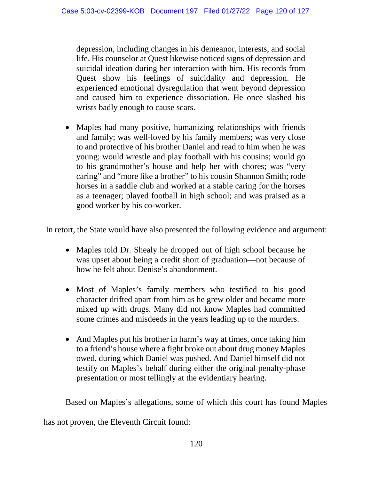depression, including changes in his demeanor, interests, and social life. His counselor at Quest likewise noticed signs of depression and suicidal ideation during her interaction with him. His records from Quest show his feelings of suicidality and depression. He experienced emotional dysregulation that went beyond depression and caused him to experience dissociation. He once slashed his wrists badly enough to cause scars.

• Maples had many positive, humanizing relationships with friends and family; was well-loved by his family members; was very close to and protective of his brother Daniel and read to him when he was young; would wrestle and play football with his cousins; would go to his grandmother's house and help her with chores; was "very caring" and "more like a brother" to his cousin Shannon Smith; rode horses in a saddle club and worked at a stable caring for the horses as a teenager; played football in high school; and was praised as a good worker by his co-worker.

In retort, the State would have also presented the following evidence and argument:

- Maples told Dr. Shealy he dropped out of high school because he was upset about being a credit short of graduation—not because of how he felt about Denise's abandonment.
- Most of Maples's family members who testified to his good character drifted apart from him as he grew older and became more mixed up with drugs. Many did not know Maples had committed some crimes and misdeeds in the years leading up to the murders.
- And Maples put his brother in harm's way at times, once taking him to a friend's house where a fight broke out about drug money Maples owed, during which Daniel was pushed. And Daniel himself did not testify on Maples's behalf during either the original penalty-phase presentation or most tellingly at the evidentiary hearing.

Based on Maples's allegations, some of which this court has found Maples

has not proven, the Eleventh Circuit found: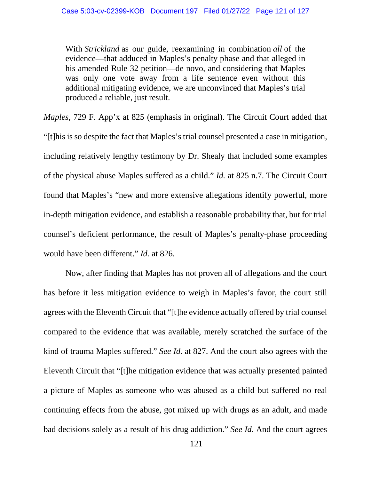With *Strickland* as our guide, reexamining in combination *all* of the evidence—that adduced in Maples's penalty phase and that alleged in his amended Rule 32 petition—de novo, and considering that Maples was only one vote away from a life sentence even without this additional mitigating evidence, we are unconvinced that Maples's trial produced a reliable, just result.

*Maples*, 729 F. App'x at 825 (emphasis in original). The Circuit Court added that "[t]his is so despite the fact that Maples's trial counsel presented a case in mitigation, including relatively lengthy testimony by Dr. Shealy that included some examples of the physical abuse Maples suffered as a child." *Id.* at 825 n.7. The Circuit Court found that Maples's "new and more extensive allegations identify powerful, more in-depth mitigation evidence, and establish a reasonable probability that, but for trial counsel's deficient performance, the result of Maples's penalty-phase proceeding would have been different." *Id.* at 826.

Now, after finding that Maples has not proven all of allegations and the court has before it less mitigation evidence to weigh in Maples's favor, the court still agrees with the Eleventh Circuit that "[t]he evidence actually offered by trial counsel compared to the evidence that was available, merely scratched the surface of the kind of trauma Maples suffered." *See Id.* at 827. And the court also agrees with the Eleventh Circuit that "[t]he mitigation evidence that was actually presented painted a picture of Maples as someone who was abused as a child but suffered no real continuing effects from the abuse, got mixed up with drugs as an adult, and made bad decisions solely as a result of his drug addiction." *See Id.* And the court agrees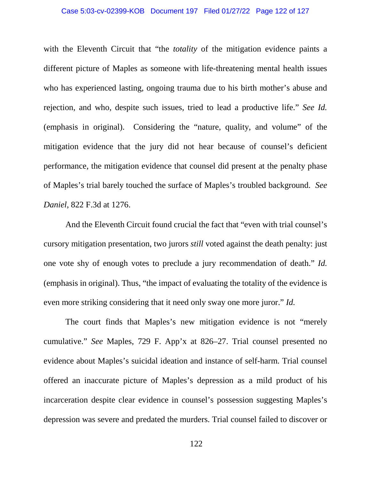#### Case 5:03-cv-02399-KOB Document 197 Filed 01/27/22 Page 122 of 127

with the Eleventh Circuit that "the *totality* of the mitigation evidence paints a different picture of Maples as someone with life-threatening mental health issues who has experienced lasting, ongoing trauma due to his birth mother's abuse and rejection, and who, despite such issues, tried to lead a productive life." *See Id.*  (emphasis in original). Considering the "nature, quality, and volume" of the mitigation evidence that the jury did not hear because of counsel's deficient performance, the mitigation evidence that counsel did present at the penalty phase of Maples's trial barely touched the surface of Maples's troubled background. *See Daniel*, 822 F.3d at 1276.

And the Eleventh Circuit found crucial the fact that "even with trial counsel's cursory mitigation presentation, two jurors *still* voted against the death penalty: just one vote shy of enough votes to preclude a jury recommendation of death." *Id.* (emphasis in original). Thus, "the impact of evaluating the totality of the evidence is even more striking considering that it need only sway one more juror." *Id.*

The court finds that Maples's new mitigation evidence is not "merely cumulative." *See* Maples, 729 F. App'x at 826–27. Trial counsel presented no evidence about Maples's suicidal ideation and instance of self-harm. Trial counsel offered an inaccurate picture of Maples's depression as a mild product of his incarceration despite clear evidence in counsel's possession suggesting Maples's depression was severe and predated the murders. Trial counsel failed to discover or

122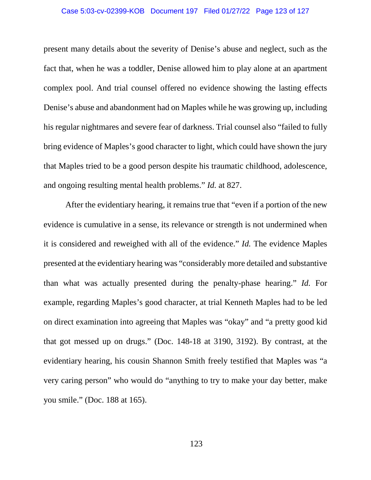#### Case 5:03-cv-02399-KOB Document 197 Filed 01/27/22 Page 123 of 127

present many details about the severity of Denise's abuse and neglect, such as the fact that, when he was a toddler, Denise allowed him to play alone at an apartment complex pool. And trial counsel offered no evidence showing the lasting effects Denise's abuse and abandonment had on Maples while he was growing up, including his regular nightmares and severe fear of darkness. Trial counsel also "failed to fully bring evidence of Maples's good character to light, which could have shown the jury that Maples tried to be a good person despite his traumatic childhood, adolescence, and ongoing resulting mental health problems." *Id.* at 827.

After the evidentiary hearing, it remains true that "even if a portion of the new evidence is cumulative in a sense, its relevance or strength is not undermined when it is considered and reweighed with all of the evidence." *Id.* The evidence Maples presented at the evidentiary hearing was "considerably more detailed and substantive than what was actually presented during the penalty-phase hearing." *Id.* For example, regarding Maples's good character, at trial Kenneth Maples had to be led on direct examination into agreeing that Maples was "okay" and "a pretty good kid that got messed up on drugs." (Doc. 148-18 at 3190, 3192). By contrast, at the evidentiary hearing, his cousin Shannon Smith freely testified that Maples was "a very caring person" who would do "anything to try to make your day better, make you smile." (Doc. 188 at 165).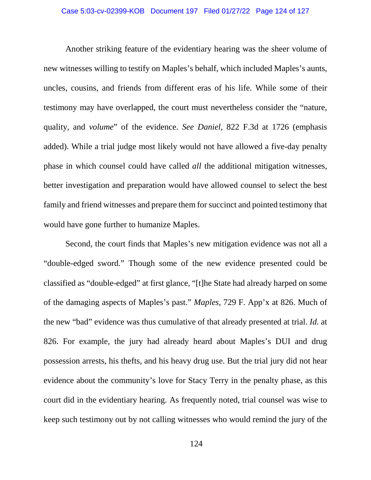Another striking feature of the evidentiary hearing was the sheer volume of new witnesses willing to testify on Maples's behalf, which included Maples's aunts, uncles, cousins, and friends from different eras of his life. While some of their testimony may have overlapped, the court must nevertheless consider the "nature, quality, and *volume*" of the evidence. *See Daniel*, 822 F.3d at 1726 (emphasis added). While a trial judge most likely would not have allowed a five-day penalty phase in which counsel could have called *all* the additional mitigation witnesses, better investigation and preparation would have allowed counsel to select the best family and friend witnesses and prepare them for succinct and pointed testimony that would have gone further to humanize Maples.

Second, the court finds that Maples's new mitigation evidence was not all a "double-edged sword." Though some of the new evidence presented could be classified as "double-edged" at first glance, "[t]he State had already harped on some of the damaging aspects of Maples's past." *Maples*, 729 F. App'x at 826. Much of the new "bad" evidence was thus cumulative of that already presented at trial. *Id.* at 826. For example, the jury had already heard about Maples's DUI and drug possession arrests, his thefts, and his heavy drug use. But the trial jury did not hear evidence about the community's love for Stacy Terry in the penalty phase, as this court did in the evidentiary hearing. As frequently noted, trial counsel was wise to keep such testimony out by not calling witnesses who would remind the jury of the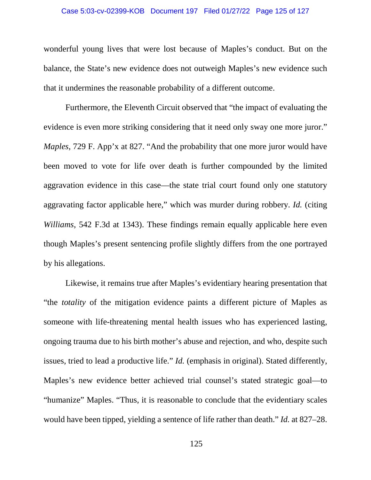#### Case 5:03-cv-02399-KOB Document 197 Filed 01/27/22 Page 125 of 127

wonderful young lives that were lost because of Maples's conduct. But on the balance, the State's new evidence does not outweigh Maples's new evidence such that it undermines the reasonable probability of a different outcome.

Furthermore, the Eleventh Circuit observed that "the impact of evaluating the evidence is even more striking considering that it need only sway one more juror." *Maples*, 729 F. App'x at 827. "And the probability that one more juror would have been moved to vote for life over death is further compounded by the limited aggravation evidence in this case—the state trial court found only one statutory aggravating factor applicable here," which was murder during robbery. *Id.* (citing *Williams*, 542 F.3d at 1343). These findings remain equally applicable here even though Maples's present sentencing profile slightly differs from the one portrayed by his allegations.

Likewise, it remains true after Maples's evidentiary hearing presentation that "the *totality* of the mitigation evidence paints a different picture of Maples as someone with life-threatening mental health issues who has experienced lasting, ongoing trauma due to his birth mother's abuse and rejection, and who, despite such issues, tried to lead a productive life." *Id.* (emphasis in original). Stated differently, Maples's new evidence better achieved trial counsel's stated strategic goal—to "humanize" Maples. "Thus, it is reasonable to conclude that the evidentiary scales would have been tipped, yielding a sentence of life rather than death." *Id.* at 827–28.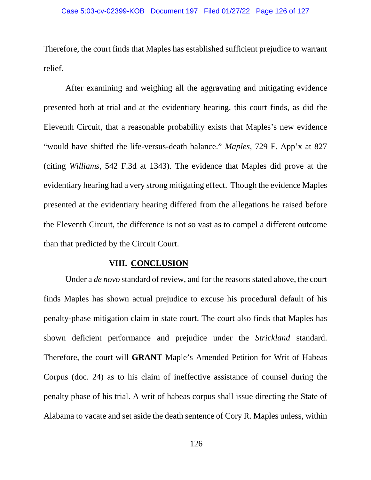Therefore, the court finds that Maples has established sufficient prejudice to warrant relief.

After examining and weighing all the aggravating and mitigating evidence presented both at trial and at the evidentiary hearing, this court finds, as did the Eleventh Circuit, that a reasonable probability exists that Maples's new evidence "would have shifted the life-versus-death balance." *Maples*, 729 F. App'x at 827 (citing *Williams*, 542 F.3d at 1343). The evidence that Maples did prove at the evidentiary hearing had a very strong mitigating effect. Though the evidence Maples presented at the evidentiary hearing differed from the allegations he raised before the Eleventh Circuit, the difference is not so vast as to compel a different outcome than that predicted by the Circuit Court.

### **VIII. CONCLUSION**

Under a *de novo* standard of review, and for the reasons stated above, the court finds Maples has shown actual prejudice to excuse his procedural default of his penalty-phase mitigation claim in state court. The court also finds that Maples has shown deficient performance and prejudice under the *Strickland* standard. Therefore, the court will **GRANT** Maple's Amended Petition for Writ of Habeas Corpus (doc. 24) as to his claim of ineffective assistance of counsel during the penalty phase of his trial. A writ of habeas corpus shall issue directing the State of Alabama to vacate and set aside the death sentence of Cory R. Maples unless, within